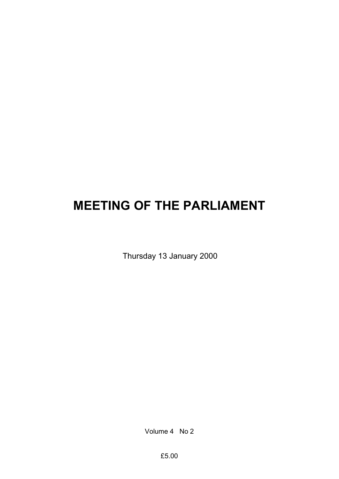# **MEETING OF THE PARLIAMENT**

Thursday 13 January 2000

Volume 4 No 2

£5.00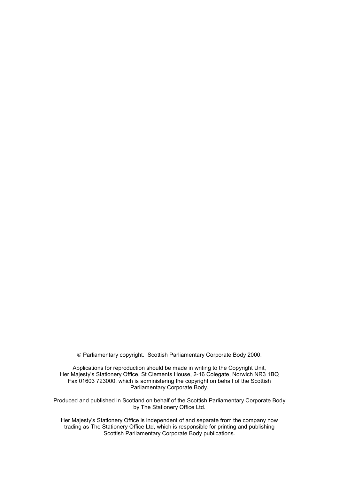Parliamentary copyright. Scottish Parliamentary Corporate Body 2000.

Applications for reproduction should be made in writing to the Copyright Unit, Her Majesty's Stationery Office, St Clements House, 2-16 Colegate, Norwich NR3 1BQ Fax 01603 723000, which is administering the copyright on behalf of the Scottish Parliamentary Corporate Body.

Produced and published in Scotland on behalf of the Scottish Parliamentary Corporate Body by The Stationery Office Ltd.

Her Majesty's Stationery Office is independent of and separate from the company now trading as The Stationery Office Ltd, which is responsible for printing and publishing Scottish Parliamentary Corporate Body publications.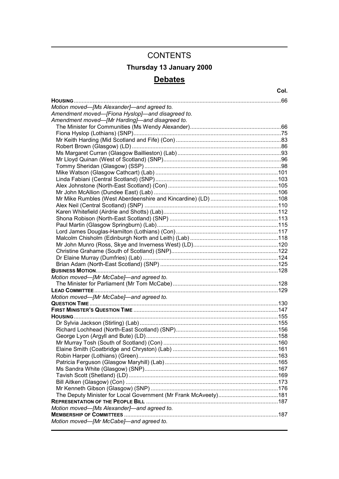## **CONTENTS Thursday 13 January 2000 Debates**

| Motion moved-[Ms Alexander]-and agreed to.       |  |
|--------------------------------------------------|--|
| Amendment moved-[Fiona Hyslop]-and disagreed to. |  |
| Amendment moved-[Mr Harding]-and disagreed to.   |  |
|                                                  |  |
|                                                  |  |
|                                                  |  |
|                                                  |  |
|                                                  |  |
|                                                  |  |
|                                                  |  |
|                                                  |  |
|                                                  |  |
|                                                  |  |
|                                                  |  |
|                                                  |  |
|                                                  |  |
|                                                  |  |
|                                                  |  |
|                                                  |  |
|                                                  |  |
|                                                  |  |
|                                                  |  |
|                                                  |  |
|                                                  |  |
|                                                  |  |
|                                                  |  |
| Motion moved-[Mr McCabe]-and agreed to.          |  |
|                                                  |  |
|                                                  |  |
| Motion moved-[Mr McCabe]-and agreed to.          |  |
|                                                  |  |
|                                                  |  |
|                                                  |  |
|                                                  |  |
|                                                  |  |
|                                                  |  |
|                                                  |  |
|                                                  |  |
|                                                  |  |
|                                                  |  |
|                                                  |  |
|                                                  |  |
|                                                  |  |
|                                                  |  |
|                                                  |  |
|                                                  |  |
| Motion moved-[Ms Alexander]-and agreed to.       |  |
|                                                  |  |
| Motion moved-[Mr McCabe]-and agreed to.          |  |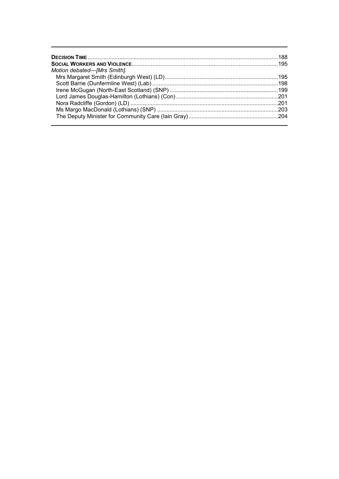| Motion debated-[Mrs Smith]. |  |
|-----------------------------|--|
|                             |  |
|                             |  |
|                             |  |
|                             |  |
|                             |  |
|                             |  |
|                             |  |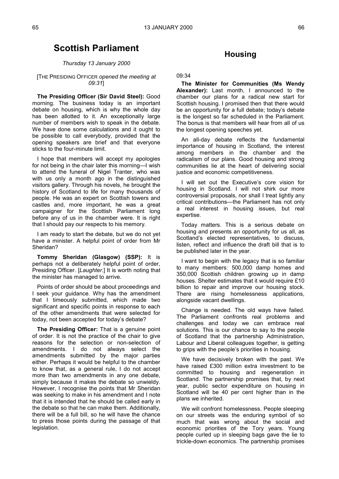## **Scottish Parliament**

#### *Thursday 13 January 2000*

#### [THE PRESIDING OFFICER *opened the meeting at 09:31*]

**The Presiding Officer (Sir David Steel):** Good morning. The business today is an important debate on housing, which is why the whole day has been allotted to it. An exceptionally large number of members wish to speak in the debate. We have done some calculations and it ought to be possible to call everybody, provided that the opening speakers are brief and that everyone sticks to the four-minute limit.

I hope that members will accept my apologies for not being in the chair later this morning—I wish to attend the funeral of Nigel Tranter, who was with us only a month ago in the distinguished visitors gallery. Through his novels, he brought the history of Scotland to life for many thousands of people. He was an expert on Scottish towers and castles and, more important, he was a great campaigner for the Scottish Parliament long before any of us in the chamber were. It is right that I should pay our respects to his memory.

I am ready to start the debate, but we do not yet have a minister. A helpful point of order from Mr Sheridan?

**Tommy Sheridan (Glasgow) (SSP):** It is perhaps not a deliberately helpful point of order, Presiding Officer. [*Laughter.*] It is worth noting that the minister has managed to arrive.

Points of order should be about proceedings and I seek your guidance. Why has the amendment that I timeously submitted, which made two significant and specific points in response to each of the other amendments that were selected for today, not been accepted for today's debate?

**The Presiding Officer:** That is a genuine point of order. It is not the practice of the chair to give reasons for the selection or non-selection of amendments. I do not always select the amendments submitted by the major parties either. Perhaps it would be helpful to the chamber to know that, as a general rule, I do not accept more than two amendments in any one debate, simply because it makes the debate so unwieldy. However, I recognise the points that Mr Sheridan was seeking to make in his amendment and I note that it is intended that he should be called early in the debate so that he can make them. Additionally, there will be a full bill, so he will have the chance to press those points during the passage of that legislation.

### **Housing**

09:34

**The Minister for Communities (Ms Wendy Alexander):** Last month, I announced to the chamber our plans for a radical new start for Scottish housing. I promised then that there would be an opportunity for a full debate; today's debate is the longest so far scheduled in the Parliament. The bonus is that members will hear from all of us the longest opening speeches yet.

An all-day debate reflects the fundamental importance of housing in Scotland, the interest among members in the chamber and the radicalism of our plans. Good housing and strong communities lie at the heart of delivering social justice and economic competitiveness.

I will set out the Executive's core vision for housing in Scotland. I will not shirk our more controversial proposals, nor shall I treat lightly any critical contributions—the Parliament has not only a real interest in housing issues, but real expertise.

Today matters. This is a serious debate on housing and presents an opportunity for us all, as Scotland's elected representatives, to discuss, listen, reflect and influence the draft bill that is to be published later in the year.

I want to begin with the legacy that is so familiar to many members: 500,000 damp homes and 350,000 Scottish children growing up in damp houses. Shelter estimates that it would require £10 billion to repair and improve our housing stock. There are rising homelessness applications, alongside vacant dwellings.

Change is needed. The old ways have failed. The Parliament confronts real problems and challenges and today we can embrace real solutions. This is our chance to say to the people of Scotland that the partnership Administration, Labour and Liberal colleagues together, is getting to grips with the people's priorities in housing.

We have decisively broken with the past. We have raised £300 million extra investment to be committed to housing and regeneration in Scotland. The partnership promises that, by next year, public sector expenditure on housing in Scotland will be 40 per cent higher than in the plans we inherited.

We will confront homelessness. People sleeping on our streets was the enduring symbol of so much that was wrong about the social and economic priorities of the Tory years. Young people curled up in sleeping bags gave the lie to trickle-down economics. The partnership promises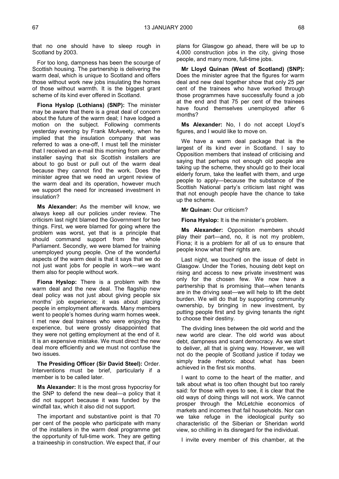that no one should have to sleep rough in Scotland by 2003.

For too long, dampness has been the scourge of Scottish housing. The partnership is delivering the warm deal, which is unique to Scotland and offers those without work new jobs insulating the homes of those without warmth. It is the biggest grant scheme of its kind ever offered in Scotland.

**Fiona Hyslop (Lothians) (SNP):** The minister may be aware that there is a great deal of concern about the future of the warm deal; I have lodged a motion on the subject. Following comments yesterday evening by Frank McAveety, when he implied that the insulation company that was referred to was a one-off, I must tell the minister that I received an e-mail this morning from another installer saying that six Scottish installers are about to go bust or pull out of the warm deal because they cannot find the work. Does the minister agree that we need an urgent review of the warm deal and its operation, however much we support the need for increased investment in insulation?

**Ms Alexander:** As the member will know, we always keep all our policies under review. The criticism last night blamed the Government for two things. First, we were blamed for going where the problem was worst, yet that is a principle that should command support from the whole Parliament. Secondly, we were blamed for training unemployed young people. One of the wonderful aspects of the warm deal is that it says that we do not just want jobs for people in work—we want them also for people without work.

**Fiona Hyslop:** There is a problem with the warm deal and the new deal. The flagship new deal policy was not just about giving people six months' job experience; it was about placing people in employment afterwards. Many members went to people's homes during warm homes week. I met new deal trainees who were enjoying the experience, but were grossly disappointed that they were not getting employment at the end of it. It is an expensive mistake. We must direct the new deal more efficiently and we must not confuse the two issues.

**The Presiding Officer (Sir David Steel):** Order. Interventions must be brief, particularly if a member is to be called later.

**Ms Alexander:** It is the most gross hypocrisy for the SNP to defend the new deal—a policy that it did not support because it was funded by the windfall tax, which it also did not support.

The important and substantive point is that 70 per cent of the people who participate with many of the installers in the warm deal programme get the opportunity of full-time work. They are getting a traineeship in construction. We expect that, if our

plans for Glasgow go ahead, there will be up to 4,000 construction jobs in the city, giving those people, and many more, full-time jobs.

**Mr Lloyd Quinan (West of Scotland) (SNP):** Does the minister agree that the figures for warm deal and new deal together show that only 25 per cent of the trainees who have worked through those programmes have successfully found a job at the end and that 75 per cent of the trainees have found themselves unemployed after 6 months?

**Ms Alexander:** No, I do not accept Lloyd's figures, and I would like to move on.

We have a warm deal package that is the largest of its kind ever in Scotland. I say to Opposition members that instead of criticising and saying that perhaps not enough old people are taking up the scheme, they should go to their local elderly forum, take the leaflet with them, and urge people to apply—because the substance of the Scottish National party's criticism last night was that not enough people have the chance to take up the scheme.

**Mr Quinan:** Our criticism?

**Fiona Hyslop:** It is the minister's problem.

**Ms Alexander:** Opposition members should play their part—and, no, it is not my problem, Fiona; it is a problem for all of us to ensure that people know what their rights are.

Last night, we touched on the issue of debt in Glasgow. Under the Tories, housing debt kept on rising and access to new private investment was only for the chosen few. We now have a partnership that is promising that—when tenants are in the driving seat—we will help to lift the debt burden. We will do that by supporting community ownership, by bringing in new investment, by putting people first and by giving tenants the right to choose their destiny.

The dividing lines between the old world and the new world are clear. The old world was about debt, dampness and scant democracy. As we start to deliver, all that is giving way. However, we will not do the people of Scotland justice if today we simply trade rhetoric about what has been achieved in the first six months.

I want to come to the heart of the matter, and talk about what is too often thought but too rarely said: for those with eyes to see, it is clear that the old ways of doing things will not work. We cannot prosper through the McLetchie economics of markets and incomes that fail households. Nor can we take refuge in the ideological purity so characteristic of the Siberian or Sheridan world view, so chilling in its disregard for the individual.

I invite every member of this chamber, at the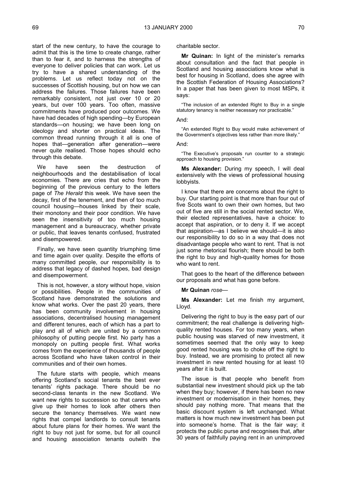start of the new century, to have the courage to admit that this is the time to create change, rather than to fear it, and to harness the strengths of everyone to deliver policies that can work. Let us try to have a shared understanding of the problems. Let us reflect today not on the successes of Scottish housing, but on how we can address the failures. Those failures have been remarkably consistent, not just over 10 or 20 years, but over 100 years. Too often, massive commitments have produced poor outcomes. We have had decades of high spending—by European standards—on housing; we have been long on ideology and shorter on practical ideas. The common thread running through it all is one of hopes that—generation after generation—were never quite realised. Those hopes should echo through this debate.

We have seen the destruction of neighbourhoods and the destabilisation of local economies. There are cries that echo from the beginning of the previous century to the letters page of *The Herald* this week. We have seen the decay, first of the tenement, and then of too much council housing—houses linked by their scale, their monotony and their poor condition. We have seen the insensitivity of too much housing management and a bureaucracy, whether private or public, that leaves tenants confused, frustrated and disempowered.

Finally, we have seen quantity triumphing time and time again over quality. Despite the efforts of many committed people, our responsibility is to address that legacy of dashed hopes, bad design and disempowerment.

This is not, however, a story without hope, vision or possibilities. People in the communities of Scotland have demonstrated the solutions and know what works. Over the past 20 years, there has been community involvement in housing associations, decentralised housing management and different tenures, each of which has a part to play and all of which are united by a common philosophy of putting people first. No party has a monopoly on putting people first. What works comes from the experience of thousands of people across Scotland who have taken control in their communities and of their own homes.

The future starts with people, which means offering Scotland's social tenants the best ever tenants' rights package. There should be no second-class tenants in the new Scotland. We want new rights to succession so that carers who give up their homes to look after others then secure the tenancy themselves. We want new rights that compel landlords to consult tenants about future plans for their homes. We want the right to buy not just for some, but for all council and housing association tenants outwith the

charitable sector.

**Mr Quinan:** In light of the minister's remarks about consultation and the fact that people in Scotland and housing associations know what is best for housing in Scotland, does she agree with the Scottish Federation of Housing Associations? In a paper that has been given to most MSPs, it says:

"The inclusion of an extended Right to Buy in a single statutory tenancy is neither necessary nor practicable."

#### And:

"An extended Right to Buy would make achievement of the Government's objectives less rather than more likely."

And:

"The Executive's proposals run counter to a strategic approach to housing provision."

**Ms Alexander:** During my speech, I will deal extensively with the views of professional housing lobbyists.

I know that there are concerns about the right to buy. Our starting point is that more than four out of five Scots want to own their own homes, but two out of five are still in the social rented sector. We, their elected representatives, have a choice: to accept that aspiration, or to deny it. If we accept that aspiration—as I believe we should—it is also our responsibility to do so in a way that does not disadvantage people who want to rent. That is not just some rhetorical flourish; there should be both the right to buy and high-quality homes for those who want to rent.

That goes to the heart of the difference between our proposals and what has gone before.

**Mr Quinan** *rose*—

**Ms Alexander:** Let me finish my argument, Lloyd.

Delivering the right to buy is the easy part of our commitment; the real challenge is delivering highquality rented houses. For too many years, when public housing was starved of new investment, it sometimes seemed that the only way to keep good rented housing was to choke off the right to buy. Instead, we are promising to protect all new investment in new rented housing for at least 10 years after it is built.

The issue is that people who benefit from substantial new investment should pick up the tab when they buy; however, if there has been no new investment or modernisation in their homes, they should pay nothing more. That means that the basic discount system is left unchanged. What matters is how much new investment has been put into someone's home. That is the fair way; it protects the public purse and recognises that, after 30 years of faithfully paying rent in an unimproved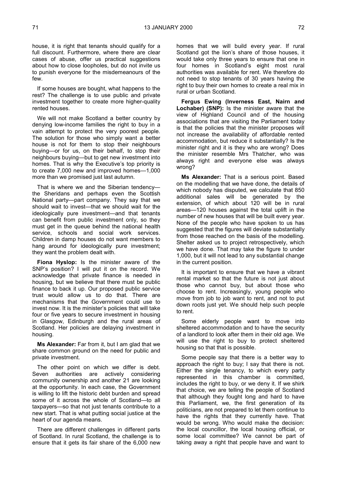house, it is right that tenants should qualify for a full discount. Furthermore, where there are clear cases of abuse, offer us practical suggestions about how to close loopholes, but do not invite us to punish everyone for the misdemeanours of the few.

If some houses are bought, what happens to the rest? The challenge is to use public and private investment together to create more higher-quality rented houses.

We will not make Scotland a better country by denying low-income families the right to buy in a vain attempt to protect the very poorest people. The solution for those who simply want a better house is not for them to stop their neighbours buying—or for us, on their behalf, to stop their neighbours buying—but to get new investment into homes. That is why the Executive's top priority is to create 7,000 new and improved homes—1,000 more than we promised just last autumn.

That is where we and the Siberian tendency the Sheridans and perhaps even the Scottish National party—part company. They say that we should wait to invest—that we should wait for the ideologically pure investment—and that tenants can benefit from public investment only, so they must get in the queue behind the national health service, schools and social work services. Children in damp houses do not want members to hang around for ideologically pure investment; they want the problem dealt with.

**Fiona Hyslop:** Is the minister aware of the SNP's position? I will put it on the record. We acknowledge that private finance is needed in housing, but we believe that there must be public finance to back it up. Our proposed public service trust would allow us to do that. There are mechanisms that the Government could use to invest now. It is the minister's policies that will take four or five years to secure investment in housing in Glasgow, Edinburgh and the rural areas of Scotland. Her policies are delaying investment in housing.

**Ms Alexander:** Far from it, but I am glad that we share common ground on the need for public and private investment.

The other point on which we differ is debt. Seven authorities are actively considering community ownership and another 21 are looking at the opportunity. In each case, the Government is willing to lift the historic debt burden and spread some of it across the whole of Scotland—to all taxpayers—so that not just tenants contribute to a new start. That is what putting social justice at the heart of our agenda means.

There are different challenges in different parts of Scotland. In rural Scotland, the challenge is to ensure that it gets its fair share of the 6,000 new homes that we will build every year. If rural Scotland got the lion's share of those houses, it would take only three years to ensure that one in four homes in Scotland's eight most rural authorities was available for rent. We therefore do not need to stop tenants of 30 years having the right to buy their own homes to create a real mix in rural or urban Scotland.

**Fergus Ewing (Inverness East, Nairn and Lochaber) (SNP):** Is the minister aware that the view of Highland Council and of the housing associations that are visiting the Parliament today is that the policies that the minister proposes will not increase the availability of affordable rented accommodation, but reduce it substantially? Is the minister right and it is they who are wrong? Does the minister resemble Mrs Thatcher, who was always right and everyone else was always wrong?

**Ms Alexander:** That is a serious point. Based on the modelling that we have done, the details of which nobody has disputed, we calculate that 850 additional sales will be generated by the extension, of which about 120 will be in rural areas—120 houses against the total uplift in the number of new houses that will be built every year. None of the people who have spoken to us has suggested that the figures will deviate substantially from those reached on the basis of the modelling. Shelter asked us to project retrospectively, which we have done. That may take the figure to under 1,000, but it will not lead to any substantial change in the current position.

It is important to ensure that we have a vibrant rental market so that the future is not just about those who cannot buy, but about those who choose to rent. Increasingly, young people who move from job to job want to rent, and not to put down roots just yet. We should help such people to rent.

Some elderly people want to move into sheltered accommodation and to have the security of a landlord to look after them in their old age. We will use the right to buy to protect sheltered housing so that that is possible.

Some people say that there is a better way to approach the right to buy; I say that there is not. Either the single tenancy, to which every party represented in this chamber is committed, includes the right to buy, or we deny it. If we shirk that choice, we are telling the people of Scotland that although they fought long and hard to have this Parliament, we, the first generation of its politicians, are not prepared to let them continue to have the rights that they currently have. That would be wrong. Who would make the decision: the local councillor, the local housing official, or some local committee? We cannot be part of taking away a right that people have and want to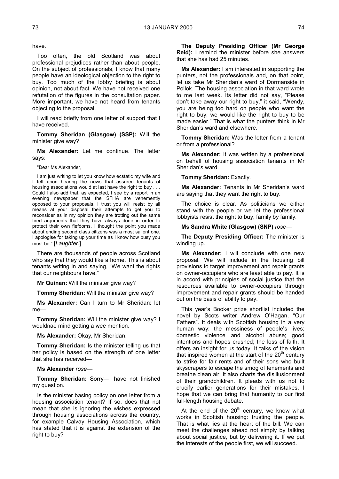have.

Too often, the old Scotland was about professional prejudices rather than about people. On the subject of professionals, I know that many people have an ideological objection to the right to buy. Too much of the lobby briefing is about opinion, not about fact. We have not received one refutation of the figures in the consultation paper. More important, we have not heard from tenants objecting to the proposal.

I will read briefly from one letter of support that I have received.

**Tommy Sheridan (Glasgow) (SSP):** Will the minister give way?

**Ms Alexander:** Let me continue. The letter says:

"Dear Ms Alexander,

I am just writing to let you know how ecstatic my wife and I felt upon hearing the news that assured tenants of housing associations would at last have the right to buy . . . Could I also add that, as expected, I see by a report in an evening newspaper that the SFHA are vehemently opposed to your proposals. I trust you will resist by all means at your disposal their attempts to get you to reconsider as in my opinion they are trotting out the same tired arguments that they have always done in order to protect their own fiefdoms. I thought the point you made about ending second class citizens was a most salient one. I apologise for taking up your time as I know how busy you must be." [*Laughter.*]

There are thousands of people across Scotland who say that they would like a home. This is about tenants writing in and saying, "We want the rights that our neighbours have."

**Mr Quinan:** Will the minister give way?

**Tommy Sheridan:** Will the minister give way?

**Ms Alexander:** Can I turn to Mr Sheridan: let me—

**Tommy Sheridan:** Will the minister give way? I wouldnae mind getting a wee mention.

**Ms Alexander:** Okay, Mr Sheridan.

**Tommy Sheridan:** Is the minister telling us that her policy is based on the strength of one letter that she has received—

#### **Ms Alexander** *rose—*

**Tommy Sheridan:** Sorry—I have not finished my question.

Is the minister basing policy on one letter from a housing association tenant? If so, does that not mean that she is ignoring the wishes expressed through housing associations across the country, for example Calvay Housing Association, which has stated that it is against the extension of the right to buy?

**The Deputy Presiding Officer (Mr George Reid):** I remind the minister before she answers that she has had 25 minutes.

**Ms Alexander:** I am interested in supporting the punters, not the professionals and, on that point, let us take Mr Sheridan's ward of Dormanside in Pollok. The housing association in that ward wrote to me last week. Its letter did not say, "Please don't take away our right to buy," it said, "Wendy, you are being too hard on people who want the right to buy; we would like the right to buy to be made easier." That is what the punters think in Mr Sheridan's ward and elsewhere.

**Tommy Sheridan:** Was the letter from a tenant or from a professional?

**Ms Alexander:** It was written by a professional on behalf of housing association tenants in Mr Sheridan's ward.

**Tommy Sheridan: Exactly.** 

**Ms Alexander:** Tenants in Mr Sheridan's ward are saying that they want the right to buy.

The choice is clear. As politicians we either stand with the people or we let the professional lobbyists resist the right to buy, family by family.

**Ms Sandra White (Glasgow) (SNP)** *rose—*

**The Deputy Presiding Officer:** The minister is winding up.

**Ms Alexander:** I will conclude with one new proposal. We will include in the housing bill provisions to target improvement and repair grants on owner-occupiers who are least able to pay. It is in accord with principles of social justice that the resources available to owner-occupiers through improvement and repair grants should be handed out on the basis of ability to pay.

This year's Booker prize shortlist included the novel by Scots writer Andrew O'Hagan, "Our Fathers". It deals with Scottish housing in a very human way: the messiness of people's lives; domestic violence and alcohol abuse; good intentions and hopes crushed; the loss of faith. It offers an insight for us today. It talks of the vision that inspired women at the start of the  $20<sup>th</sup>$  century to strike for fair rents and of their sons who built skyscrapers to escape the smog of tenements and breathe clean air. It also charts the disillusionment of their grandchildren. It pleads with us not to crucify earlier generations for their mistakes. I hope that we can bring that humanity to our first full-length housing debate.

At the end of the  $20<sup>th</sup>$  century, we know what works in Scottish housing: trusting the people. That is what lies at the heart of the bill. We can meet the challenges ahead not simply by talking about social justice, but by delivering it. If we put the interests of the people first, we will succeed.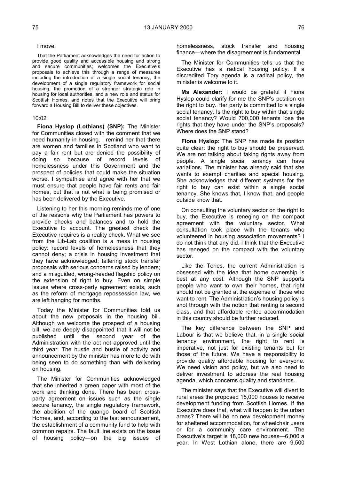I move,

That the Parliament acknowledges the need for action to provide good quality and accessible housing and strong and secure communities; welcomes the Executive's proposals to achieve this through a range of measures including the introduction of a single social tenancy, the development of a single regulatory framework for social housing, the promotion of a stronger strategic role in housing for local authorities, and a new role and status for Scottish Homes, and notes that the Executive will bring forward a Housing Bill to deliver these objectives.

#### 10:02

**Fiona Hyslop (Lothians) (SNP):** The Minister for Communities closed with the comment that we need humanity in housing. I remind her that there are women and families in Scotland who want to pay a fair rent but are denied the possibility of doing so because of record levels of homelessness under this Government and the prospect of policies that could make the situation worse. I sympathise and agree with her that we must ensure that people have fair rents and fair homes, but that is not what is being promised or has been delivered by the Executive.

Listening to her this morning reminds me of one of the reasons why the Parliament has powers to provide checks and balances and to hold the Executive to account. The greatest check the Executive requires is a reality check. What we see from the Lib-Lab coalition is a mess in housing policy: record levels of homelessness that they cannot deny; a crisis in housing investment that they have acknowledged; faltering stock transfer proposals with serious concerns raised by lenders; and a misguided, wrong-headed flagship policy on the extension of right to buy. Even on simple issues where cross-party agreement exists, such as the reform of mortgage repossession law, we are left hanging for months.

Today the Minister for Communities told us about the new proposals in the housing bill. Although we welcome the prospect of a housing bill, we are deeply disappointed that it will not be published until the second year of the Administration with the act not approved until the third year. The hustle and bustle of activity and announcement by the minister has more to do with being seen to do something than with delivering on housing.

The Minister for Communities acknowledged that she inherited a green paper with most of the work and thinking done. There has been crossparty agreement on issues such as the single secure tenancy, the single regulatory framework, the abolition of the quango board of Scottish Homes, and, according to the last announcement, the establishment of a community fund to help with common repairs. The fault line exists on the issue of housing policy—on the big issues of homelessness, stock transfer and housing finance—where the disagreement is fundamental.

The Minister for Communities tells us that the Executive has a radical housing policy. If a discredited Tory agenda is a radical policy, the minister is welcome to it.

**Ms Alexander:** I would be grateful if Fiona Hyslop could clarify for me the SNP's position on the right to buy. Her party is committed to a single social tenancy. Is the right to buy within that single social tenancy? Would 700,000 tenants lose the rights that they have under the SNP's proposals? Where does the SNP stand?

**Fiona Hyslop:** The SNP has made its position quite clear: the right to buy should be preserved. We are not talking about taking rights away from people. A single social tenancy can have variations. The minister has already said that she wants to exempt charities and special housing. She acknowledges that different systems for the right to buy can exist within a single social tenancy. She knows that, I know that, and people outside know that.

On consulting the voluntary sector on the right to buy, the Executive is reneging on the compact agreement with the voluntary sector. What consultation took place with the tenants who volunteered in housing association movements? I do not think that any did. I think that the Executive has reneged on the compact with the voluntary sector.

Like the Tories, the current Administration is obsessed with the idea that home ownership is best at any cost. Although the SNP supports people who want to own their homes, that right should not be granted at the expense of those who want to rent. The Administration's housing policy is shot through with the notion that renting is second class, and that affordable rented accommodation in this country should be further reduced.

The key difference between the SNP and Labour is that we believe that, in a single social tenancy environment, the right to rent is imperative, not just for existing tenants but for those of the future. We have a responsibility to provide quality affordable housing for everyone. We need vision and policy, but we also need to deliver investment to address the real housing agenda, which concerns quality and standards.

The minister says that the Executive will divert to rural areas the proposed 18,000 houses to receive development funding from Scottish Homes. If the Executive does that, what will happen to the urban areas? There will be no new development money for sheltered accommodation, for wheelchair users or for a community care environment. The Executive's target is 18,000 new houses—6,000 a year. In West Lothian alone, there are 9,500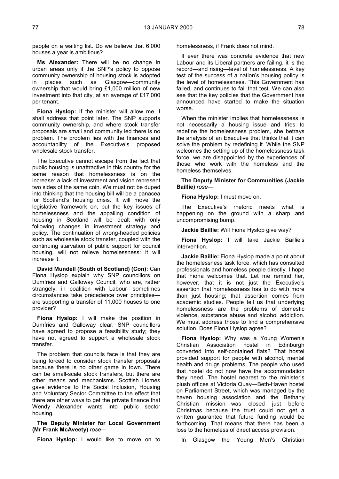people on a waiting list. Do we believe that 6,000 houses a year is ambitious?

**Ms Alexander:** There will be no change in urban areas only if the SNP's policy to oppose community ownership of housing stock is adopted in places such as Glasgow—community ownership that would bring £1,000 million of new investment into that city, at an average of £17,000 per tenant.

**Fiona Hyslop:** If the minister will allow me, I shall address that point later. The SNP supports community ownership, and where stock transfer proposals are small and community led there is no problem. The problem lies with the finances and accountability of the Executive's proposed wholesale stock transfer.

The Executive cannot escape from the fact that public housing is unattractive in this country for the same reason that homelessness is on the increase: a lack of investment and vision represent two sides of the same coin. We must not be duped into thinking that the housing bill will be a panacea for Scotland's housing crisis. It will move the legislative framework on, but the key issues of homelessness and the appalling condition of housing in Scotland will be dealt with only following changes in investment strategy and policy. The continuation of wrong-headed policies such as wholesale stock transfer, coupled with the continuing starvation of public support for council housing, will not relieve homelessness: it will increase it.

**David Mundell (South of Scotland) (Con):** Can Fiona Hyslop explain why SNP councillors on Dumfries and Galloway Council, who are, rather strangely, in coalition with Labour—sometimes circumstances take precedence over principles are supporting a transfer of 11,000 houses to one provider?

**Fiona Hyslop:** I will make the position in Dumfries and Galloway clear. SNP councillors have agreed to propose a feasibility study; they have not agreed to support a wholesale stock transfer.

The problem that councils face is that they are being forced to consider stock transfer proposals because there is no other game in town. There can be small-scale stock transfers, but there are other means and mechanisms. Scottish Homes gave evidence to the Social Inclusion, Housing and Voluntary Sector Committee to the effect that there are other ways to get the private finance that Wendy Alexander wants into public sector housing.

**The Deputy Minister for Local Government (Mr Frank McAveety)** *rose—*

**Fiona Hyslop:** I would like to move on to

homelessness, if Frank does not mind.

If ever there was concrete evidence that new Labour and its Liberal partners are failing, it is the record—and rising—level of homelessness. A key test of the success of a nation's housing policy is the level of homelessness. This Government has failed, and continues to fail that test. We can also see that the key policies that the Government has announced have started to make the situation worse.

When the minister implies that homelessness is not necessarily a housing issue and tries to redefine the homelessness problem, she betrays the analysis of an Executive that thinks that it can solve the problem by redefining it. While the SNP welcomes the setting up of the homelessness task force, we are disappointed by the experiences of those who work with the homeless and the homeless themselves.

**The Deputy Minister for Communities (Jackie Baillie)** *rose—*

**Fiona Hyslop:** I must move on.

The Executive's rhetoric meets what is happening on the ground with a sharp and uncompromising bump.

**Jackie Baillie:** Will Fiona Hyslop give way?

**Fiona Hyslop:** I will take Jackie Baillie's intervention.

**Jackie Baillie:** Fiona Hyslop made a point about the homelessness task force, which has consulted professionals and homeless people directly. I hope that Fiona welcomes that. Let me remind her, however, that it is not just the Executive's assertion that homelessness has to do with more than just housing; that assertion comes from academic studies. People tell us that underlying homelessness are the problems of domestic violence, substance abuse and alcohol addiction. We must address those to find a comprehensive solution. Does Fiona Hyslop agree?

**Fiona Hyslop:** Why was a Young Women's Christian Association hostel in Edinburgh converted into self-contained flats? That hostel provided support for people with alcohol, mental health and drugs problems. The people who used that hostel do not now have the accommodation they need. The hostel nearest to the minister's plush offices at Victoria Quay—Beth-Haven hostel on Parliament Street, which was managed by the haven housing association and the Bethany Christian mission—was closed iust before Christmas because the trust could not get a written guarantee that future funding would be forthcoming. That means that there has been a loss to the homeless of direct access provision.

In Glasgow the Young Men's Christian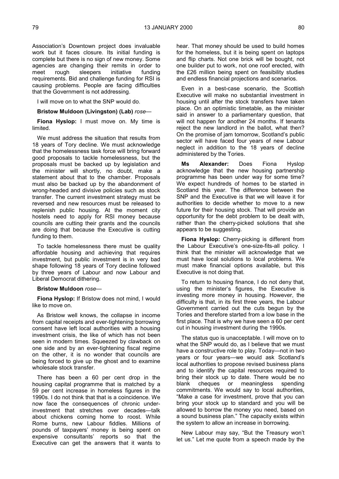Association's Downtown project does invaluable work but it faces closure. Its initial funding is complete but there is no sign of new money. Some agencies are changing their remits in order to meet rough sleepers initiative funding requirements. Bid and challenge funding for RSI is causing problems. People are facing difficulties that the Government is not addressing.

I will move on to what the SNP would do.

#### **Bristow Muldoon (Livingston) (Lab)** *rose—*

**Fiona Hyslop:** I must move on. My time is limited.

We must address the situation that results from 18 years of Tory decline. We must acknowledge that the homelessness task force will bring forward good proposals to tackle homelessness, but the proposals must be backed up by legislation and the minister will shortly, no doubt, make a statement about that to the chamber. Proposals must also be backed up by the abandonment of wrong-headed and divisive policies such as stock transfer. The current investment strategy must be reversed and new resources must be released to replenish public housing. At the moment city hostels need to apply for RSI money because councils are cutting their grants and the councils are doing that because the Executive is cutting funding to them.

To tackle homelessness there must be quality affordable housing and achieving that requires investment, but public investment is in very bad shape following 18 years of Tory decline followed by three years of Labour and now Labour and Liberal Democrat dithering.

#### **Bristow Muldoon** *rose—*

**Fiona Hyslop:** If Bristow does not mind, I would like to move on.

As Bristow well knows, the collapse in income from capital receipts and ever-tightening borrowing consent have left local authorities with a housing investment crisis, the like of which has not been seen in modern times. Squeezed by clawback on one side and by an ever-tightening fiscal regime on the other, it is no wonder that councils are being forced to give up the ghost and to examine wholesale stock transfer.

There has been a 60 per cent drop in the housing capital programme that is matched by a 59 per cent increase in homeless figures in the 1990s. I do not think that that is a coincidence. We now face the consequences of chronic underinvestment that stretches over decades—talk about chickens coming home to roost. While Rome burns, new Labour fiddles. Millions of pounds of taxpayers' money is being spent on expensive consultants' reports so that the Executive can get the answers that it wants to

hear. That money should be used to build homes for the homeless, but it is being spent on laptops and flip charts. Not one brick will be bought, not one builder put to work, not one roof erected, with the £26 million being spent on feasibility studies and endless financial projections and scenarios.

Even in a best-case scenario, the Scottish Executive will make no substantial investment in housing until after the stock transfers have taken place. On an optimistic timetable, as the minister said in answer to a parliamentary question, that will not happen for another 24 months. If tenants reject the new landlord in the ballot, what then? On the promise of jam tomorrow, Scotland's public sector will have faced four years of new Labour neglect in addition to the 18 years of decline administered by the Tories.

**Ms Alexander:** Does Fiona Hyslop acknowledge that the new housing partnership programme has been under way for some time? We expect hundreds of homes to be started in Scotland this year. The difference between the SNP and the Executive is that we will leave it for authorities to decide whether to move to a new future for their housing stock. That will provide an opportunity for the debt problem to be dealt with, rather than the cherry-picked solutions that she appears to be suggesting.

**Fiona Hyslop:** Cherry-picking is different from the Labour Executive's one-size-fits-all policy. I think that the minister will acknowledge that we must have local solutions to local problems. We must make financial options available, but this Executive is not doing that.

To return to housing finance, I do not deny that, using the minister's figures, the Executive is investing more money in housing. However, the difficulty is that, in its first three years, the Labour Government carried out the cuts begun by the Tories and therefore started from a low base in the first place. That is why we have seen a 60 per cent cut in housing investment during the 1990s.

The status quo is unacceptable. I will move on to what the SNP would do, as I believe that we must have a constructive role to play. Today—not in two years or four years—we would ask Scotland's local authorities to propose revised business plans and to identify the capital resources required to bring their stock up to date. There would be no blank cheques or meaningless spending commitments. We would say to local authorities, "Make a case for investment, prove that you can bring your stock up to standard and you will be allowed to borrow the money you need, based on a sound business plan." The capacity exists within the system to allow an increase in borrowing.

New Labour may say, "But the Treasury won't let us." Let me quote from a speech made by the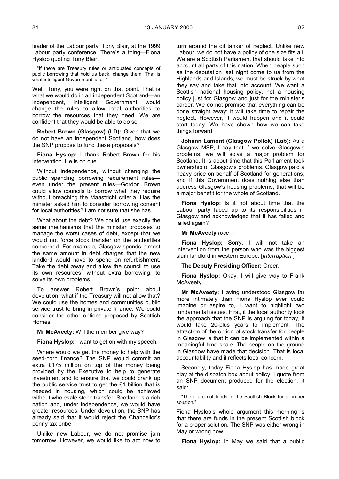leader of the Labour party, Tony Blair, at the 1999 Labour party conference. There's a thing—Fiona Hyslop quoting Tony Blair.

"If there are Treasury rules or antiquated concepts of public borrowing that hold us back, change them. That is what intelligent Government is for."

Well, Tony, you were right on that point. That is what we would do in an independent Scotland—an independent, intelligent Government would change the rules to allow local authorities to borrow the resources that they need. We are confident that they would be able to do so.

**Robert Brown (Glasgow) (LD):** Given that we do not have an independent Scotland, how does the SNP propose to fund these proposals?

**Fiona Hyslop:** I thank Robert Brown for his intervention. He is on cue.

Without independence, without changing the public spending borrowing requirement rules even under the present rules—Gordon Brown could allow councils to borrow what they require without breaching the Maastricht criteria. Has the minister asked him to consider borrowing consent for local authorities? I am not sure that she has.

What about the debt? We could use exactly the same mechanisms that the minister proposes to manage the worst cases of debt, except that we would not force stock transfer on the authorities concerned. For example, Glasgow spends almost the same amount in debt charges that the new landlord would have to spend on refurbishment. Take the debt away and allow the council to use its own resources, without extra borrowing, to solve its own problems.

To answer Robert Brown's point about devolution, what if the Treasury will not allow that? We could use the homes and communities public service trust to bring in private finance. We could consider the other options proposed by Scottish Homes.

**Mr McAveety:** Will the member give way?

**Fiona Hyslop:** I want to get on with my speech.

Where would we get the money to help with the seed-corn finance? The SNP would commit an extra £175 million on top of the money being provided by the Executive to help to generate investment and to ensure that we could crank up the public service trust to get the £1 billion that is needed in housing, which could be achieved without wholesale stock transfer. Scotland is a rich nation and, under independence, we would have greater resources. Under devolution, the SNP has already said that it would reject the Chancellor's penny tax bribe.

Unlike new Labour, we do not promise jam tomorrow. However, we would like to act now to turn around the oil tanker of neglect. Unlike new Labour, we do not have a policy of one size fits all. We are a Scottish Parliament that should take into account all parts of this nation. When people such as the deputation last night come to us from the Highlands and Islands, we must be struck by what they say and take that into account. We want a Scottish national housing policy, not a housing policy just for Glasgow and just for the minister's career. We do not promise that everything can be done straight away; it will take time to repair the neglect. However, it would happen and it could start today. We have shown how we can take things forward.

**Johann Lamont (Glasgow Pollok) (Lab):** As a Glasgow MSP, I say that if we solve Glasgow's problems, we will solve a major problem for Scotland. It is about time that this Parliament took ownership of Glasgow's problems. Glasgow paid a heavy price on behalf of Scotland for generations, and if this Government does nothing else than address Glasgow's housing problems, that will be a major benefit for the whole of Scotland.

**Fiona Hyslop:** Is it not about time that the Labour party faced up to its responsibilities in Glasgow and acknowledged that it has failed and failed again?

#### **Mr McAveety** *rose—*

**Fiona Hyslop:** Sorry, I will not take an intervention from the person who was the biggest slum landlord in western Europe. [*Interruption.*]

**The Deputy Presiding Officer:** Order.

**Fiona Hyslop:** Okay, I will give way to Frank McAveety.

**Mr McAveety:** Having understood Glasgow far more intimately than Fiona Hyslop ever could imagine or aspire to, I want to highlight two fundamental issues. First, if the local authority took the approach that the SNP is arguing for today, it would take 20-plus years to implement. The attraction of the option of stock transfer for people in Glasgow is that it can be implemented within a meaningful time scale. The people on the ground in Glasgow have made that decision. That is local accountability and it reflects local concern.

Secondly, today Fiona Hyslop has made great play at the dispatch box about policy. I quote from an SNP document produced for the election. It said:

"There are not funds in the Scottish Block for a proper solution."

Fiona Hyslop's whole argument this morning is that there are funds in the present Scottish block for a proper solution. The SNP was either wrong in May or wrong now.

**Fiona Hyslop:** In May we said that a public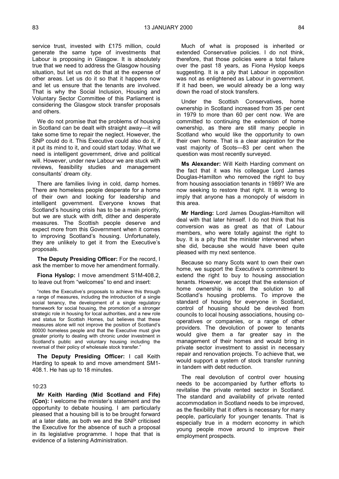service trust, invested with £175 million, could generate the same type of investments that Labour is proposing in Glasgow. It is absolutely true that we need to address the Glasgow housing situation, but let us not do that at the expense of other areas. Let us do it so that it happens now and let us ensure that the tenants are involved. That is why the Social Inclusion, Housing and Voluntary Sector Committee of this Parliament is considering the Glasgow stock transfer proposals and others.

We do not promise that the problems of housing in Scotland can be dealt with straight away—it will take some time to repair the neglect. However, the SNP could do it. This Executive could also do it, if it put its mind to it, and could start today. What we need is intelligent government, drive and political will. However, under new Labour we are stuck with reviews, feasibility studies and management consultants' dream city.

There are families living in cold, damp homes. There are homeless people desperate for a home of their own and looking for leadership and intelligent government. Everyone knows that Scotland's housing crisis has to be a main priority, but we are stuck with drift, dither and desperate measures. The Scottish people deserve and expect more from this Government when it comes to improving Scotland's housing. Unfortunately, they are unlikely to get it from the Executive's proposals.

**The Deputy Presiding Officer:** For the record, I ask the member to move her amendment formally.

**Fiona Hyslop:** I move amendment S1M-408.2, to leave out from "welcomes" to end and insert:

"notes the Executive's proposals to achieve this through a range of measures, including the introduction of a single social tenancy, the development of a single regulatory framework for social housing, the promotion of a stronger strategic role in housing for local authorities, and a new role and status for Scottish Homes, but believes that these measures alone will not improve the position of Scotland's 80000 homeless people and that the Executive must give greater priority to dealing with chronic under investment in Scotland's public and voluntary housing including the reversal of their policy of wholesale stock transfer."

**The Deputy Presiding Officer:** I call Keith Harding to speak to and move amendment SM1- 408.1. He has up to 18 minutes.

#### 10:23

**Mr Keith Harding (Mid Scotland and Fife) (Con):** I welcome the minister's statement and the opportunity to debate housing. I am particularly pleased that a housing bill is to be brought forward at a later date, as both we and the SNP criticised the Executive for the absence of such a proposal in its legislative programme. I hope that that is evidence of a listening Administration.

Much of what is proposed is inherited or extended Conservative policies. I do not think, therefore, that those policies were a total failure over the past 18 years, as Fiona Hyslop keeps suggesting. It is a pity that Labour in opposition was not as enlightened as Labour in government. If it had been, we would already be a long way down the road of stock transfers.

Under the Scottish Conservatives, home ownership in Scotland increased from 35 per cent in 1979 to more than 60 per cent now. We are committed to continuing the extension of home ownership, as there are still many people in Scotland who would like the opportunity to own their own home. That is a clear aspiration for the vast majority of Scots—83 per cent when the question was most recently surveyed.

**Ms Alexander:** Will Keith Harding comment on the fact that it was his colleague Lord James Douglas-Hamilton who removed the right to buy from housing association tenants in 1989? We are now seeking to restore that right. It is wrong to imply that anyone has a monopoly of wisdom in this area.

**Mr Harding:** Lord James Douglas-Hamilton will deal with that later himself. I do not think that his conversion was as great as that of Labour members, who were totally against the right to buy. It is a pity that the minister intervened when she did, because she would have been quite pleased with my next sentence.

Because so many Scots want to own their own home, we support the Executive's commitment to extend the right to buy to housing association tenants. However, we accept that the extension of home ownership is not the solution to all Scotland's housing problems. To improve the standard of housing for everyone in Scotland, control of housing should be devolved from councils to local housing associations, housing cooperatives or companies, or a range of other providers. The devolution of power to tenants would give them a far greater say in the management of their homes and would bring in private sector investment to assist in necessary repair and renovation projects. To achieve that, we would support a system of stock transfer running in tandem with debt reduction.

The real devolution of control over housing needs to be accompanied by further efforts to revitalise the private rented sector in Scotland. The standard and availability of private rented accommodation in Scotland needs to be improved, as the flexibility that it offers is necessary for many people, particularly for younger tenants. That is especially true in a modern economy in which young people move around to improve their employment prospects.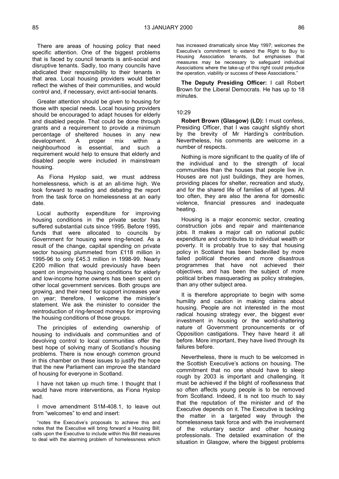There are areas of housing policy that need specific attention. One of the biggest problems that is faced by council tenants is anti-social and disruptive tenants. Sadly, too many councils have abdicated their responsibility to their tenants in that area. Local housing providers would better reflect the wishes of their communities, and would control and, if necessary, evict anti-social tenants.

Greater attention should be given to housing for those with special needs. Local housing providers should be encouraged to adapt houses for elderly and disabled people. That could be done through grants and a requirement to provide a minimum percentage of sheltered houses in any new<br>development. A proper mix within a development. A proper mix within a neighbourhood is essential, and such a requirement would help to ensure that elderly and disabled people were included in mainstream housing.

As Fiona Hyslop said, we must address homelessness, which is at an all-time high. We look forward to reading and debating the report from the task force on homelessness at an early date.

Local authority expenditure for improving housing conditions in the private sector has suffered substantial cuts since 1995. Before 1995, funds that were allocated to councils by Government for housing were ring-fenced. As a result of the change, capital spending on private sector housing plummeted from £118 million in 1995-96 to only £45.3 million in 1998-99. Nearly £200 million that would previously have been spent on improving housing conditions for elderly and low-income home owners has been spent on other local government services. Both groups are growing, and their need for support increases year on year; therefore, I welcome the minister's statement. We ask the minister to consider the reintroduction of ring-fenced moneys for improving the housing conditions of those groups.

The principles of extending ownership of housing to individuals and communities and of devolving control to local communities offer the best hope of solving many of Scotland's housing problems. There is now enough common ground in this chamber on these issues to justify the hope that the new Parliament can improve the standard of housing for everyone in Scotland.

I have not taken up much time. I thought that I would have more interventions, as Fiona Hyslop had.

I move amendment S1M-408.1, to leave out from "welcomes" to end and insert:

has increased dramatically since May 1997; welcomes the Executive's commitment to extend the Right to Buy to Housing Association tenants, but emphasises that measures may be necessary to safeguard individual Associations where the take-up of this right could prejudice the operation, viability or success of these Associations."

**The Deputy Presiding Officer:** I call Robert Brown for the Liberal Democrats. He has up to 18 minutes.

#### 10:29

**Robert Brown (Glasgow) (LD):** I must confess, Presiding Officer, that I was caught slightly short by the brevity of Mr Harding's contribution. Nevertheless, his comments are welcome in a number of respects.

Nothing is more significant to the quality of life of the individual and to the strength of local communities than the houses that people live in. Houses are not just buildings, they are homes, providing places for shelter, recreation and study, and for the shared life of families of all types. All too often, they are also the arena for domestic violence, financial pressures and inadequate heating.

Housing is a major economic sector, creating construction jobs and repair and maintenance jobs. It makes a major call on national public expenditure and contributes to individual wealth or poverty. It is probably true to say that housing policy in Scotland has been bedevilled by more failed political theories and more disastrous programmes that have not achieved their objectives, and has been the subject of more political bribes masquerading as policy strategies, than any other subject area.

It is therefore appropriate to begin with some humility and caution in making claims about housing. People are not interested in the most radical housing strategy ever, the biggest ever investment in housing or the world-shattering nature of Government pronouncements or of Opposition castigations. They have heard it all before. More important, they have lived through its failures before.

Nevertheless, there is much to be welcomed in the Scottish Executive's actions on housing. The commitment that no one should have to sleep rough by 2003 is important and challenging. It must be achieved if the blight of rooflessness that so often affects young people is to be removed from Scotland. Indeed, it is not too much to say that the reputation of the minister and of the Executive depends on it. The Executive is tackling the matter in a targeted way through the homelessness task force and with the involvement of the voluntary sector and other housing professionals. The detailed examination of the situation in Glasgow, where the biggest problems

<sup>&</sup>quot;notes the Executive's proposals to achieve this and notes that the Executive will bring forward a Housing Bill; calls upon the Executive to include within this Bill measures to deal with the alarming problem of homelessness which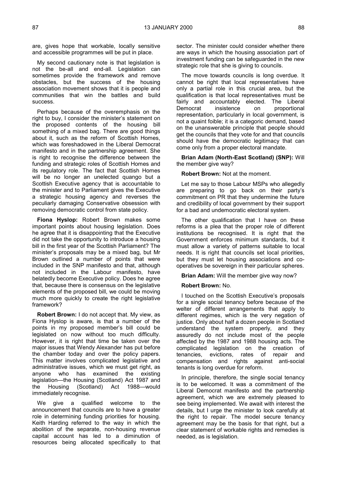are, gives hope that workable, locally sensitive and accessible programmes will be put in place.

My second cautionary note is that legislation is not the be-all and end-all. Legislation can sometimes provide the framework and remove obstacles, but the success of the housing association movement shows that it is people and communities that win the battles and build success.

Perhaps because of the overemphasis on the right to buy, I consider the minister's statement on the proposed contents of the housing bill something of a mixed bag. There are good things about it, such as the reform of Scottish Homes, which was foreshadowed in the Liberal Democrat manifesto and in the partnership agreement. She is right to recognise the difference between the funding and strategic roles of Scottish Homes and its regulatory role. The fact that Scottish Homes will be no longer an unelected quango but a Scottish Executive agency that is accountable to the minister and to Parliament gives the Executive a strategic housing agency and reverses the peculiarly damaging Conservative obsession with removing democratic control from state policy.

**Fiona Hyslop:** Robert Brown makes some important points about housing legislation. Does he agree that it is disappointing that the Executive did not take the opportunity to introduce a housing bill in the first year of the Scottish Parliament? The minister's proposals may be a mixed bag, but Mr Brown outlined a number of points that were included in the SNP manifesto and that, although not included in the Labour manifesto, have belatedly become Executive policy. Does he agree that, because there is consensus on the legislative elements of the proposed bill, we could be moving much more quickly to create the right legislative framework?

**Robert Brown:** I do not accept that. My view, as Fiona Hyslop is aware, is that a number of the points in my proposed member's bill could be legislated on now without too much difficulty. However, it is right that time be taken over the major issues that Wendy Alexander has put before the chamber today and over the policy papers. This matter involves complicated legislative and administrative issues, which we must get right, as anyone who has examined the existing legislation—the Housing (Scotland) Act 1987 and the Housing (Scotland) Act 1988—would immediately recognise.

We give a qualified welcome to the announcement that councils are to have a greater role in determining funding priorities for housing. Keith Harding referred to the way in which the abolition of the separate, non-housing revenue capital account has led to a diminution of resources being allocated specifically to that sector. The minister could consider whether there are ways in which the housing association part of investment funding can be safeguarded in the new strategic role that she is giving to councils.

The move towards councils is long overdue. It cannot be right that local representatives have only a partial role in this crucial area, but the qualification is that local representatives must be fairly and accountably elected. The Liberal Democrat insistence on proportional representation, particularly in local government, is not a quaint foible; it is a categoric demand, based on the unanswerable principle that people should get the councils that they vote for and that councils should have the democratic legitimacy that can come only from a proper electoral mandate.

**Brian Adam (North-East Scotland) (SNP):** Will the member give way?

#### **Robert Brown:** Not at the moment.

Let me say to those Labour MSPs who allegedly are preparing to go back on their party's commitment on PR that they undermine the future and credibility of local government by their support for a bad and undemocratic electoral system.

The other qualification that I have on these reforms is a plea that the proper role of different institutions be recognised. It is right that the Government enforces minimum standards, but it must allow a variety of patterns suitable to local needs. It is right that councils set local priorities, but they must let housing associations and cooperatives be sovereign in their particular spheres.

**Brian Adam:** Will the member give way now?

#### **Robert Brown:** No.

I touched on the Scottish Executive's proposals for a single social tenancy before because of the welter of different arrangements that apply to different regimes, which is the very negation of justice. Only about half a dozen people in Scotland understand the system properly, and they assuredly do not include most of the people affected by the 1987 and 1988 housing acts. The complicated legislation on the creation of tenancies, evictions, rates of repair and compensation and rights against anti-social tenants is long overdue for reform.

In principle, therefore, the single social tenancy is to be welcomed. It was a commitment of the Liberal Democrat manifesto and the partnership agreement, which we are extremely pleased to see being implemented. We await with interest the details, but I urge the minister to look carefully at the right to repair. The model secure tenancy agreement may be the basis for that right, but a clear statement of workable rights and remedies is needed, as is legislation.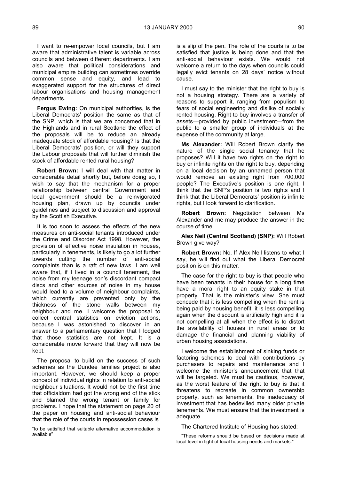I want to re-empower local councils, but I am aware that administrative talent is variable across councils and between different departments. I am also aware that political considerations and municipal empire building can sometimes override common sense and equity, and lead to exaggerated support for the structures of direct labour organisations and housing management departments.

**Fergus Ewing:** On municipal authorities, is the Liberal Democrats' position the same as that of the SNP, which is that we are concerned that in the Highlands and in rural Scotland the effect of the proposals will be to reduce an already inadequate stock of affordable housing? Is that the Liberal Democrats' position, or will they support the Labour proposals that will further diminish the stock of affordable rented rural housing?

**Robert Brown:** I will deal with that matter in considerable detail shortly but, before doing so, I wish to say that the mechanism for a proper relationship between central Government and local government should be a reinvigorated housing plan, drawn up by councils under guidelines and subject to discussion and approval by the Scottish Executive.

It is too soon to assess the effects of the new measures on anti-social tenants introduced under the Crime and Disorder Act 1998. However, the provision of effective noise insulation in houses, particularly in tenements, is likely to go a lot further towards cutting the number of anti-social complaints than is a raft of new laws. I am well aware that, if I lived in a council tenement, the noise from my teenage son's discordant compact discs and other sources of noise in my house would lead to a volume of neighbour complaints, which currently are prevented only by the thickness of the stone walls between my neighbour and me. I welcome the proposal to collect central statistics on eviction actions, because I was astonished to discover in an answer to a parliamentary question that I lodged that those statistics are not kept. It is a considerable move forward that they will now be kept.

The proposal to build on the success of such schemes as the Dundee families project is also important. However, we should keep a proper concept of individual rights in relation to anti-social neighbour situations. It would not be the first time that officialdom had got the wrong end of the stick and blamed the wrong tenant or family for problems. I hope that the statement on page 20 of the paper on housing and anti-social behaviour that the role of the courts in repossession cases is

"to be satisfied that suitable alternative accommodation is available"

is a slip of the pen. The role of the courts is to be satisfied that justice is being done and that the anti-social behaviour exists. We would not welcome a return to the days when councils could legally evict tenants on 28 days' notice without cause.

I must say to the minister that the right to buy is not a housing strategy. There are a variety of reasons to support it, ranging from populism to fears of social engineering and dislike of socially rented housing. Right to buy involves a transfer of assets—provided by public investment—from the public to a smaller group of individuals at the expense of the community at large.

**Ms Alexander:** Will Robert Brown clarify the nature of the single social tenancy that he proposes? Will it have two rights on the right to buy or infinite rights on the right to buy, depending on a local decision by an unnamed person that would remove an existing right from 700,000 people? The Executive's position is one right, I think that the SNP's position is two rights and I think that the Liberal Democrats' position is infinite rights, but I look forward to clarification.

**Robert Brown:** Negotiation between Ms Alexander and me may produce the answer in the course of time.

**Alex Neil (Central Scotland) (SNP):** Will Robert Brown give way?

**Robert Brown:** No. If Alex Neil listens to what I say, he will find out what the Liberal Democrat position is on this matter.

The case for the right to buy is that people who have been tenants in their house for a long time have a moral right to an equity stake in that property. That is the minister's view. She must concede that it is less compelling when the rent is being paid by housing benefit, it is less compelling again when the discount is artificially high and it is not compelling at all when the effect is to distort the availability of houses in rural areas or to damage the financial and planning viability of urban housing associations.

I welcome the establishment of sinking funds or factoring schemes to deal with contributions by purchasers to repairs and maintenance and I welcome the minister's announcement that that will be targeted. We must be cautious, however, as the worst feature of the right to buy is that it threatens to recreate in common ownership property, such as tenements, the inadequacy of investment that has bedevilled many older private tenements. We must ensure that the investment is adequate.

The Chartered Institute of Housing has stated:

"These reforms should be based on decisions made at local level in light of local housing needs and markets."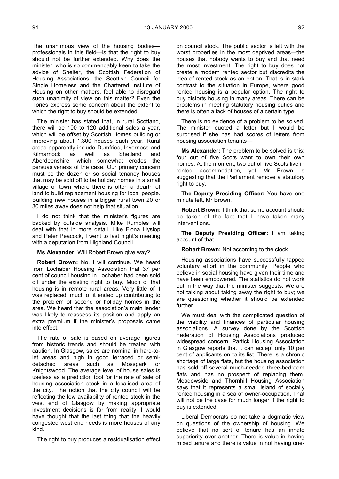The unanimous view of the housing bodies professionals in this field—is that the right to buy should not be further extended. Why does the minister, who is so commendably keen to take the advice of Shelter, the Scottish Federation of Housing Associations, the Scottish Council for Single Homeless and the Chartered Institute of Housing on other matters, feel able to disregard such unanimity of view on this matter? Even the Tories express some concern about the extent to which the right to buy should be extended.

The minister has stated that, in rural Scotland, there will be 100 to 120 additional sales a year, which will be offset by Scottish Homes building or improving about 1,300 houses each year. Rural areas apparently include Dumfries, Inverness and Kilmarnock as well as Shetland and Aberdeenshire, which somewhat erodes the persuasiveness of the case. Our primary concern must be the dozen or so social tenancy houses that may be sold off to be holiday homes in a small village or town where there is often a dearth of land to build replacement housing for local people. Building new houses in a bigger rural town 20 or 30 miles away does not help that situation.

I do not think that the minister's figures are backed by outside analysis. Mike Rumbles will deal with that in more detail. Like Fiona Hyslop and Peter Peacock, I went to last night's meeting with a deputation from Highland Council.

#### **Ms Alexander:** Will Robert Brown give way?

**Robert Brown:** No, I will continue. We heard from Lochaber Housing Association that 37 per cent of council housing in Lochaber had been sold off under the existing right to buy. Much of that housing is in remote rural areas. Very little of it was replaced; much of it ended up contributing to the problem of second or holiday homes in the area. We heard that the association's main lender was likely to reassess its position and apply an extra premium if the minister's proposals came into effect.

The rate of sale is based on average figures from historic trends and should be treated with caution. In Glasgow, sales are nominal in hard-tolet areas and high in good terraced or semidetached areas such as Mosspark or Knightswood. The average level of house sales is useless as a prediction tool for the rate of sale of housing association stock in a localised area of the city. The notion that the city council will be reflecting the low availability of rented stock in the west end of Glasgow by making appropriate investment decisions is far from reality; I would have thought that the last thing that the heavily congested west end needs is more houses of any kind.

The right to buy produces a residualisation effect

on council stock. The public sector is left with the worst properties in the most deprived areas—the houses that nobody wants to buy and that need the most investment. The right to buy does not create a modern rented sector but discredits the idea of rented stock as an option. That is in stark contrast to the situation in Europe, where good rented housing is a popular option. The right to buy distorts housing in many areas. There can be problems in meeting statutory housing duties and there is often a lack of houses of a certain type.

There is no evidence of a problem to be solved. The minister quoted a letter but I would be surprised if she has had scores of letters from housing association tenants—

**Ms Alexander:** The problem to be solved is this: four out of five Scots want to own their own homes. At the moment, two out of five Scots live in rented accommodation, yet Mr Brown is suggesting that the Parliament remove a statutory right to buy.

**The Deputy Presiding Officer:** You have one minute left, Mr Brown.

**Robert Brown:** I think that some account should be taken of the fact that I have taken many interventions.

**The Deputy Presiding Officer:** I am taking account of that.

#### **Robert Brown:** Not according to the clock.

Housing associations have successfully tapped voluntary effort in the community. People who believe in social housing have given their time and have been empowered. The statistics do not work out in the way that the minister suggests. We are not talking about taking away the right to buy; we are questioning whether it should be extended further.

We must deal with the complicated question of the viability and finances of particular housing associations. A survey done by the Scottish Federation of Housing Associations produced widespread concern. Partick Housing Association in Glasgow reports that it can accept only 10 per cent of applicants on to its list. There is a chronic shortage of large flats, but the housing association has sold off several much-needed three-bedroom flats and has no prospect of replacing them. Meadowside and Thornhill Housing Association says that it represents a small island of socially rented housing in a sea of owner-occupation. That will not be the case for much longer if the right to buy is extended.

Liberal Democrats do not take a dogmatic view on questions of the ownership of housing. We believe that no sort of tenure has an innate superiority over another. There is value in having mixed tenure and there is value in not having one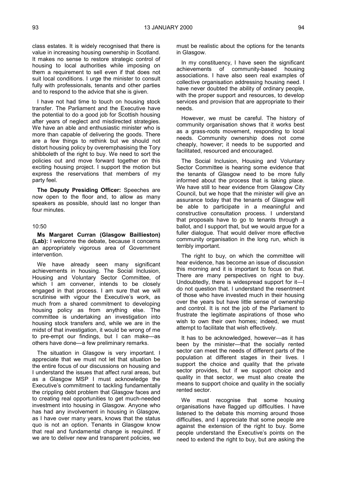class estates. It is widely recognised that there is value in increasing housing ownership in Scotland. It makes no sense to restore strategic control of housing to local authorities while imposing on them a requirement to sell even if that does not suit local conditions. I urge the minister to consult fully with professionals, tenants and other parties and to respond to the advice that she is given.

I have not had time to touch on housing stock transfer. The Parliament and the Executive have the potential to do a good job for Scottish housing after years of neglect and misdirected strategies. We have an able and enthusiastic minister who is more than capable of delivering the goods. There are a few things to rethink but we should not distort housing policy by overemphasising the Tory shibboleth of the right to buy. We need to sort the policies out and move forward together on this exciting housing project. I support the motion but express the reservations that members of my party feel.

**The Deputy Presiding Officer:** Speeches are now open to the floor and, to allow as many speakers as possible, should last no longer than four minutes.

#### 10:50

**Ms Margaret Curran (Glasgow Baillieston) (Lab):** I welcome the debate, because it concerns an appropriately vigorous area of Government intervention.

We have already seen many significant achievements in housing. The Social Inclusion, Housing and Voluntary Sector Committee, of which I am convener, intends to be closely engaged in that process. I am sure that we will scrutinise with vigour the Executive's work, as much from a shared commitment to developing housing policy as from anything else. The committee is undertaking an investigation into housing stock transfers and, while we are in the midst of that investigation, it would be wrong of me to pre-empt our findings, but I can make—as others have done—a few preliminary remarks.

The situation in Glasgow is very important. I appreciate that we must not let that situation be the entire focus of our discussions on housing and I understand the issues that affect rural areas, but as a Glasgow MSP I must acknowledge the Executive's commitment to tackling fundamentally the crippling debt problem that Glasgow faces and to creating real opportunities to get much-needed investment into housing in Glasgow. Anyone who has had any involvement in housing in Glasgow, as I have over many years, knows that the status quo is not an option. Tenants in Glasgow know that real and fundamental change is required. If we are to deliver new and transparent policies, we

must be realistic about the options for the tenants in Glasgow.

In my constituency, I have seen the significant achievements of community-based housing associations. I have also seen real examples of collective organisation addressing housing need. I have never doubted the ability of ordinary people, with the proper support and resources, to develop services and provision that are appropriate to their needs.

However, we must be careful. The history of community organisation shows that it works best as a grass-roots movement, responding to local needs. Community ownership does not come cheaply, however; it needs to be supported and facilitated, resourced and encouraged.

The Social Inclusion, Housing and Voluntary Sector Committee is hearing some evidence that the tenants of Glasgow need to be more fully informed about the process that is taking place. We have still to hear evidence from Glasgow City Council, but we hope that the minister will give an assurance today that the tenants of Glasgow will be able to participate in a meaningful and constructive consultation process. I understand that proposals have to go to tenants through a ballot, and I support that, but we would argue for a fuller dialogue. That would deliver more effective community organisation in the long run, which is terribly important.

The right to buy, on which the committee will hear evidence, has become an issue of discussion this morning and it is important to focus on that. There are many perspectives on right to buy. Undoubtedly, there is widespread support for it—I do not question that. I understand the resentment of those who have invested much in their housing over the years but have little sense of ownership and control. It is not the job of the Parliament to frustrate the legitimate aspirations of those who wish to own their own homes; indeed, we must attempt to facilitate that wish effectively.

It has to be acknowledged, however—as it has been by the minister—that the socially rented sector can meet the needs of different parts of the population at different stages in their lives. I support the choice and quality that the private sector provides, but if we support choice and quality in that sector, we must also create the means to support choice and quality in the socially rented sector.

We must recognise that some housing organisations have flagged up difficulties. I have listened to the debate this morning around those difficulties, and I appreciate that some people are against the extension of the right to buy. Some people understand the Executive's points on the need to extend the right to buy, but are asking the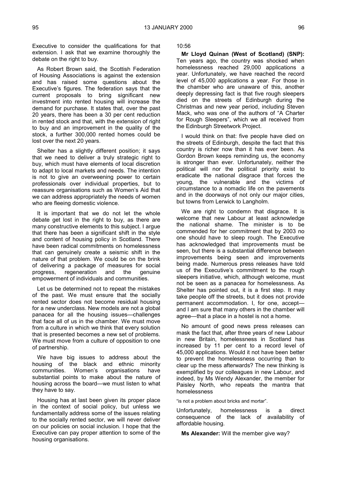Executive to consider the qualifications for that extension. I ask that we examine thoroughly the debate on the right to buy.

As Robert Brown said, the Scottish Federation of Housing Associations is against the extension and has raised some questions about the Executive's figures. The federation says that the current proposals to bring significant new investment into rented housing will increase the demand for purchase. It states that, over the past 20 years, there has been a 30 per cent reduction in rented stock and that, with the extension of right to buy and an improvement in the quality of the stock, a further 300,000 rented homes could be lost over the next 20 years.

Shelter has a slightly different position; it says that we need to deliver a truly strategic right to buy, which must have elements of local discretion to adapt to local markets and needs. The intention is not to give an overweening power to certain professionals over individual properties, but to reassure organisations such as Women's Aid that we can address appropriately the needs of women who are fleeing domestic violence.

It is important that we do not let the whole debate get lost in the right to buy, as there are many constructive elements to this subject. I argue that there has been a significant shift in the style and content of housing policy in Scotland. There have been radical commitments on homelessness that can genuinely create a seismic shift in the nature of that problem. We could be on the brink of delivering a package of measures for social progress, regeneration and the genuine empowerment of individuals and communities.

Let us be determined not to repeat the mistakes of the past. We must ensure that the socially rented sector does not become residual housing for a new underclass. New models are not a global panacea for all the housing issues—challenges that face all of us in the chamber. We must move from a culture in which we think that every solution that is presented becomes a new set of problems. We must move from a culture of opposition to one of partnership.

We have big issues to address about the housing of the black and ethnic minority communities. Women's organisations have substantial points to make about the nature of housing across the board—we must listen to what they have to say.

Housing has at last been given its proper place in the context of social policy, but unless we fundamentally address some of the issues relating to the socially rented sector, we will never deliver on our policies on social inclusion. I hope that the Executive can pay proper attention to some of the housing organisations.

10:56

**Mr Lloyd Quinan (West of Scotland) (SNP):** Ten years ago, the country was shocked when homelessness reached 29,000 applications a year. Unfortunately, we have reached the record level of 45,000 applications a year. For those in the chamber who are unaware of this, another deeply depressing fact is that five rough sleepers died on the streets of Edinburgh during the Christmas and new year period, including Steven Mack, who was one of the authors of "A Charter for Rough Sleepers", which we all received from the Edinburgh Streetwork Project.

I would think on that: five people have died on the streets of Edinburgh, despite the fact that this country is richer now than it has ever been. As Gordon Brown keeps reminding us, the economy is stronger than ever. Unfortunately, neither the political will nor the political priority exist to eradicate the national disgrace that forces the young, the vulnerable and the victims of circumstance to a nomadic life on the pavements and in the doorways of not only our major cities, but towns from Lerwick to Langholm.

We are right to condemn that disgrace. It is welcome that new Labour at least acknowledge the national shame. The minister is to be commended for her commitment that by 2003 no one should have to sleep rough. The Executive has acknowledged that improvements must be seen, but there is a substantial difference between improvements being seen and improvements being made. Numerous press releases have told us of the Executive's commitment to the rough sleepers initiative, which, although welcome, must not be seen as a panacea for homelessness. As Shelter has pointed out, it is a first step. It may take people off the streets, but it does not provide permanent accommodation. I, for one, accept and I am sure that many others in the chamber will agree—that a place in a hostel is not a home.

No amount of good news press releases can mask the fact that, after three years of new Labour in new Britain, homelessness in Scotland has increased by 11 per cent to a record level of 45,000 applications. Would it not have been better to prevent the homelessness occurring than to clear up the mess afterwards? The new thinking is exemplified by our colleagues in new Labour, and indeed, by Ms Wendy Alexander, the member for Paisley North, who repeats the mantra that homelessness

"is not a problem about bricks and mortar".

Unfortunately, homelessness is a direct consequence of the lack of availability of affordable housing.

**Ms Alexander:** Will the member give way?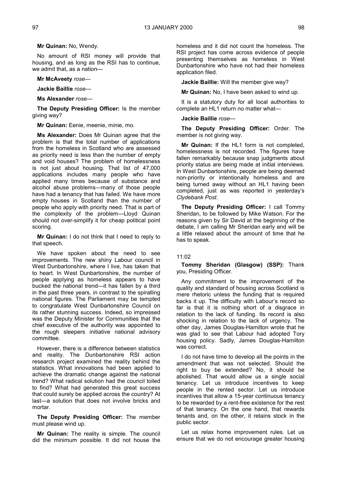**Mr Quinan:** No, Wendy.

No amount of RSI money will provide that housing, and as long as the RSI has to continue, we admit that, as a nation—

#### **Mr McAveety** *rose—*

**Jackie Baillie** *rose—*

**Ms Alexander** *rose—*

**The Deputy Presiding Officer:** Is the member giving way?

**Mr Quinan:** Eenie, meenie, minie, mo.

**Ms Alexander:** Does Mr Quinan agree that the problem is that the total number of applications from the homeless in Scotland who are assessed as priority need is less than the number of empty and void houses? The problem of homelessness is not just about housing. That list of 47,000 applications includes many people who have applied many times because of substance and alcohol abuse problems—many of those people have had a tenancy that has failed. We have more empty houses in Scotland than the number of people who apply with priority need. That is part of the complexity of the problem—Lloyd Quinan should not over-simplify it for cheap political point scoring.

**Mr Quinan:** I do not think that I need to reply to that speech.

We have spoken about the need to see improvements. The new shiny Labour council in West Dunbartonshire, where I live, has taken that to heart. In West Dunbartonshire, the number of people applying as homeless appears to have bucked the national trend—it has fallen by a third in the past three years, in contrast to the spiralling national figures. The Parliament may be tempted to congratulate West Dunbartonshire Council on its rather stunning success. Indeed, so impressed was the Deputy Minister for Communities that the chief executive of the authority was appointed to the rough sleepers initiative national advisory committee.

However, there is a difference between statistics and reality. The Dunbartonshire RSI action research project examined the reality behind the statistics. What innovations had been applied to achieve the dramatic change against the national trend? What radical solution had the council toiled to find? What had generated this great success that could surely be applied across the country? At last—a solution that does not involve bricks and mortar.

**The Deputy Presiding Officer:** The member must please wind up.

**Mr Quinan:** The reality is simple. The council did the minimum possible. It did not house the

homeless and it did not count the homeless. The RSI project has come across evidence of people presenting themselves as homeless in West Dunbartonshire who have not had their homeless application filed.

**Jackie Baillie:** Will the member give way?

**Mr Quinan:** No, I have been asked to wind up.

It is a statutory duty for all local authorities to complete an HL1 return no matter what—

#### **Jackie Baillie** *rose—*

**The Deputy Presiding Officer:** Order. The member is not giving way.

**Mr Quinan:** If the HL1 form is not completed, homelessness is not recorded. The figures have fallen remarkably because snap judgments about priority status are being made at initial interviews. In West Dunbartonshire, people are being deemed non-priority or intentionally homeless and are being turned away without an HL1 having been completed, just as was reported in yesterday's *Clydebank Post*.

**The Deputy Presiding Officer:** I call Tommy Sheridan, to be followed by Mike Watson. For the reasons given by Sir David at the beginning of the debate, I am calling Mr Sheridan early and will be a little relaxed about the amount of time that he has to speak.

#### 11:02

**Tommy Sheridan (Glasgow) (SSP):** Thank you, Presiding Officer.

Any commitment to the improvement of the quality and standard of housing across Scotland is mere rhetoric unless the funding that is required backs it up. The difficulty with Labour's record so far is that it is nothing short of a disgrace in relation to the lack of funding. Its record is also shocking in relation to the lack of urgency. The other day, James Douglas-Hamilton wrote that he was glad to see that Labour had adopted Tory housing policy. Sadly, James Douglas-Hamilton was correct.

I do not have time to develop all the points in the amendment that was not selected. Should the right to buy be extended? No, it should be abolished. That would allow us a single social tenancy. Let us introduce incentives to keep people in the rented sector. Let us introduce incentives that allow a 15-year continuous tenancy to be rewarded by a rent-free existence for the rest of that tenancy. On the one hand, that rewards tenants and, on the other, it retains stock in the public sector.

Let us relax home improvement rules. Let us ensure that we do not encourage greater housing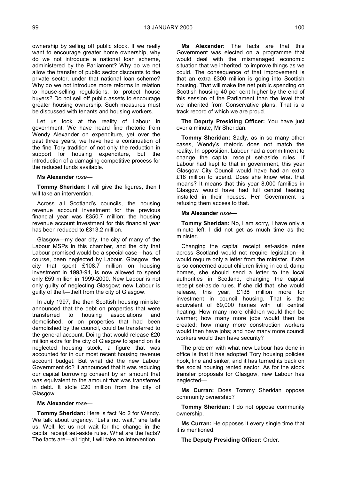ownership by selling off public stock. If we really want to encourage greater home ownership, why do we not introduce a national loan scheme, administered by the Parliament? Why do we not allow the transfer of public sector discounts to the private sector, under that national loan scheme? Why do we not introduce more reforms in relation to house-selling regulations, to protect house buyers? Do not sell off public assets to encourage greater housing ownership. Such measures must be discussed with tenants and housing workers.

Let us look at the reality of Labour in government. We have heard fine rhetoric from Wendy Alexander on expenditure, yet over the past three years, we have had a continuation of the fine Tory tradition of not only the reduction in support for housing expenditure, but the introduction of a damaging competitive process for the reduced funds available.

#### **Ms Alexander** *rose—*

**Tommy Sheridan:** I will give the figures, then I will take an intervention.

Across all Scotland's councils, the housing revenue account investment for the previous financial year was £350.7 million; the housing revenue account investment for this financial year has been reduced to £313.2 million.

Glasgow—my dear city, the city of many of the Labour MSPs in this chamber, and the city that Labour promised would be a special case—has, of course, been neglected by Labour. Glasgow, the city that spent £108.7 million on housing investment in 1993-94, is now allowed to spend only £59 million in 1999-2000. New Labour is not only guilty of neglecting Glasgow; new Labour is guilty of theft—theft from the city of Glasgow.

In July 1997, the then Scottish housing minister announced that the debt on properties that were transferred to housing associations and demolished, or on properties that had been demolished by the council, could be transferred to the general account. Doing that would release £20 million extra for the city of Glasgow to spend on its neglected housing stock, a figure that was accounted for in our most recent housing revenue account budget. But what did the new Labour Government do? It announced that it was reducing our capital borrowing consent by an amount that was equivalent to the amount that was transferred in debt. It stole £20 million from the city of Glasgow.

#### **Ms Alexander** *rose—*

**Tommy Sheridan:** Here is fact No 2 for Wendy. We talk about urgency. "Let's not wait," she tells us. Well, let us not wait for the change in the capital receipt set-aside rules. What are the facts? The facts are—all right, I will take an intervention.

**Ms Alexander:** The facts are that this Government was elected on a programme that would deal with the mismanaged economic situation that we inherited, to improve things as we could. The consequence of that improvement is that an extra £300 million is going into Scottish housing. That will make the net public spending on Scottish housing 40 per cent higher by the end of this session of the Parliament than the level that we inherited from Conservative plans. That is a track record of which we are proud.

**The Deputy Presiding Officer:** You have just over a minute, Mr Sheridan.

**Tommy Sheridan:** Sadly, as in so many other cases, Wendy's rhetoric does not match the reality. In opposition, Labour had a commitment to change the capital receipt set-aside rules. If Labour had kept to that in government, this year Glasgow City Council would have had an extra £18 million to spend. Does she know what that means? It means that this year 8,000 families in Glasgow would have had full central heating installed in their houses. Her Government is refusing them access to that.

#### **Ms Alexander** *rose—*

**Tommy Sheridan:** No, I am sorry, I have only a minute left. I did not get as much time as the minister.

Changing the capital receipt set-aside rules across Scotland would not require legislation—it would require only a letter from the minister. If she is so concerned about children living in cold, damp homes, she should send a letter to the local authorities in Scotland, changing the capital receipt set-aside rules. If she did that, she would release, this year, £138 million more for investment in council housing. That is the equivalent of 69,000 homes with full central heating. How many more children would then be warmer; how many more jobs would then be created; how many more construction workers would then have jobs; and how many more council workers would then have security?

The problem with what new Labour has done in office is that it has adopted Tory housing policies hook, line and sinker, and it has turned its back on the social housing rented sector. As for the stock transfer proposals for Glasgow, new Labour has neglected—

**Ms Curran:** Does Tommy Sheridan oppose community ownership?

**Tommy Sheridan:** I do not oppose community ownership.

**Ms Curran:** He opposes it every single time that it is mentioned.

**The Deputy Presiding Officer:** Order.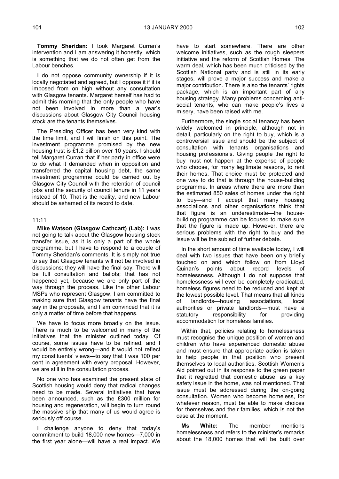**Tommy Sheridan:** I took Margaret Curran's intervention and I am answering it honestly, which is something that we do not often get from the Labour benches.

I do not oppose community ownership if it is locally negotiated and agreed, but I oppose it if it is imposed from on high without any consultation with Glasgow tenants. Margaret herself has had to admit this morning that the only people who have not been involved in more than a year's discussions about Glasgow City Council housing stock are the tenants themselves.

The Presiding Officer has been very kind with the time limit, and I will finish on this point. The investment programme promised by the new housing trust is £1.2 billion over 10 years. I should tell Margaret Curran that if her party in office were to do what it demanded when in opposition and transferred the capital housing debt, the same investment programme could be carried out by Glasgow City Council with the retention of council jobs and the security of council tenure in 11 years instead of 10. That is the reality, and new Labour should be ashamed of its record to date.

#### 11:11

**Mike Watson (Glasgow Cathcart) (Lab):** I was not going to talk about the Glasgow housing stock transfer issue, as it is only a part of the whole programme, but I have to respond to a couple of Tommy Sheridan's comments. It is simply not true to say that Glasgow tenants will not be involved in discussions; they will have the final say. There will be full consultation and ballots; that has not happened yet, because we are only part of the way through the process. Like the other Labour MSPs who represent Glasgow, I am committed to making sure that Glasgow tenants have the final say in the proposals, and I am convinced that it is only a matter of time before that happens.

We have to focus more broadly on the issue. There is much to be welcomed in many of the initiatives that the minister outlined today. Of course, some issues have to be refined, and I would be entirely wrong—and it would not reflect my constituents' views—to say that I was 100 per cent in agreement with every proposal. However, we are still in the consultation process.

No one who has examined the present state of Scottish housing would deny that radical changes need to be made. Several initiatives that have been announced, such as the £300 million for housing and regeneration, will begin to turn round the massive ship that many of us would agree is seriously off course.

I challenge anyone to deny that today's commitment to build 18,000 new homes—7,000 in the first year alone—will have a real impact. We

have to start somewhere. There are other welcome initiatives, such as the rough sleepers initiative and the reform of Scottish Homes. The warm deal, which has been much criticised by the Scottish National party and is still in its early stages, will prove a major success and make a major contribution. There is also the tenants' rights package, which is an important part of any housing strategy. Many problems concerning antisocial tenants, who can make people's lives a misery, have been raised with me.

Furthermore, the single social tenancy has been widely welcomed in principle, although not in detail, particularly on the right to buy, which is a controversial issue and should be the subject of consultation with tenants organisations and housing professionals. Giving people the right to buy must not happen at the expense of people who choose, for many legitimate reasons, to rent their homes. That choice must be protected and one way to do that is through the house-building programme. In areas where there are more than the estimated 850 sales of homes under the right to buy—and I accept that many housing associations and other organisations think that that figure is an underestimate—the housebuilding programme can be focused to make sure that the figure is made up. However, there are serious problems with the right to buy and the issue will be the subject of further debate.

In the short amount of time available today, I will deal with two issues that have been only briefly touched on and which follow on from Lloyd Quinan's points about record levels of homelessness. Although I do not suppose that homelessness will ever be completely eradicated, homeless figures need to be reduced and kept at the lowest possible level. That means that all kinds of landlords—housing associations, local authorities or private landlords—must have a statutory responsibility for providing accommodation for homeless families.

Within that, policies relating to homelessness must recognise the unique position of women and children who have experienced domestic abuse and must ensure that appropriate action is taken to help people in that position who present themselves to local authorities. Scottish Women's Aid pointed out in its response to the green paper that it regretted that domestic abuse, as a key safety issue in the home, was not mentioned. That issue must be addressed during the on-going consultation. Women who become homeless, for whatever reason, must be able to make choices for themselves and their families, which is not the case at the moment.

**Ms White:** The member mentions homelessness and refers to the minister's remarks about the 18,000 homes that will be built over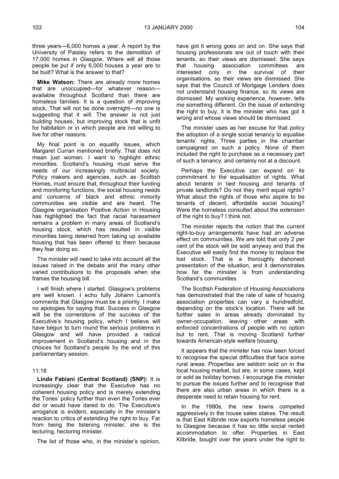three years—6,000 homes a year. A report by the University of Paisley refers to the demolition of 17,000 homes in Glasgow. Where will all those people be put if only 6,000 houses a year are to be built? What is the answer to that?

**Mike Watson:** There are already more homes that are unoccupied—for whatever reason available throughout Scotland than there are homeless families. It is a question of improving stock. That will not be done overnight—no one is suggesting that it will. The answer is not just building houses, but improving stock that is unfit for habitation or in which people are not willing to live for other reasons.

My final point is on equality issues, which Margaret Curran mentioned briefly. That does not mean just women. I want to highlight ethnic minorities. Scotland's housing must serve the needs of our increasingly multiracial society. Policy makers and agencies, such as Scottish Homes, must ensure that, throughout their funding and monitoring functions, the social housing needs and concerns of black and ethnic minority communities are visible and are heard. The Glasgow organisation Positive Action in Housing has highlighted the fact that racial harassment remains a problem in many areas of Scotland's housing stock, which has resulted in visible minorities being deterred from taking up available housing that has been offered to them because they fear doing so.

The minister will need to take into account all the issues raised in the debate and the many other varied contributions to the proposals when she frames the housing bill.

I will finish where I started. Glasgow's problems are well known. I echo fully Johann Lamont's comments that Glasgow must be a priority. I make no apologies for saying that. Success in Glasgow will be the cornerstone of the success of the Executive's housing policy, which I believe will have begun to turn round the serious problems in Glasgow and will have provided a radical improvement in Scotland's housing and in the choices for Scotland's people by the end of this parliamentary session.

#### 11:18

**Linda Fabiani (Central Scotland) (SNP):** It is increasingly clear that the Executive has no coherent housing policy and is merely extending the Tories' policy further than even the Tories ever did or would have dared to do. The Executive's arrogance is evident, especially in the minister's reaction to critics of extending the right to buy. Far from being the listening minister, she is the lecturing, hectoring minister.

The list of those who, in the minister's opinion,

have got it wrong goes on and on. She says that housing professionals are out of touch with their tenants, so their views are dismissed. She says that housing association committees are interested only in the survival of their organisations, so their views are dismissed. She says that the Council of Mortgage Lenders does not understand housing finance, so its views are dismissed. My working experience, however, tells me something different. On the issue of extending the right to buy, it is the minister who has got it wrong and whose views should be dismissed.

The minister uses as her excuse for that policy the adoption of a single social tenancy to equalise tenants' rights. Three parties in the chamber campaigned on such a policy. None of them included the right to purchase as a necessary part of such a tenancy, and certainly not at a discount.

Perhaps the Executive can expand on its commitment to the equalisation of rights. What about tenants in tied housing and tenants of private landlords? Do not they merit equal rights? What about the rights of those who aspire to be tenants of decent, affordable social housing? Were the homeless consulted about the extension of the right to buy? I think not.

The minister rejects the notion that the current right-to-buy arrangements have had an adverse effect on communities. We are told that only 2 per cent of the stock will be sold anyway and that the Executive will easily find the money to replace the lost stock. That is a thoroughly dishonest presentation of the situation, and it demonstrates how far the minister is from understanding Scotland's communities.

The Scottish Federation of Housing Associations has demonstrated that the rate of sale of housing association properties can vary a hundredfold, depending on the stock's location. There will be further sales in areas already dominated by owner-occupation, leaving other areas with enforced concentrations of people with no option but to rent. That is moving Scotland further towards American-style welfare housing.

It appears that the minister has now been forced to recognise the special difficulties that face some rural areas. Properties are seldom sold on in the local housing market, but are, in some cases, kept or sold as holiday homes. I encourage the minister to pursue the issues further and to recognise that there are also urban areas in which there is a desperate need to retain housing for rent.

In the 1980s, the new towns competed aggressively in the house sales stakes. The result is that East Kilbride now exports homeless people to Glasgow because it has so little social rented accommodation to offer. Properties in East Kilbride, bought over the years under the right to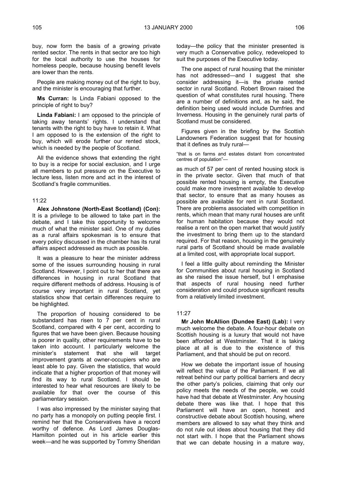buy, now form the basis of a growing private rented sector. The rents in that sector are too high for the local authority to use the houses for homeless people, because housing benefit levels are lower than the rents.

People are making money out of the right to buy, and the minister is encouraging that further.

**Ms Curran:** Is Linda Fabiani opposed to the principle of right to buy?

**Linda Fabiani:** I am opposed to the principle of taking away tenants' rights. I understand that tenants with the right to buy have to retain it. What I am opposed to is the extension of the right to buy, which will erode further our rented stock, which is needed by the people of Scotland.

All the evidence shows that extending the right to buy is a recipe for social exclusion, and I urge all members to put pressure on the Executive to lecture less, listen more and act in the interest of Scotland's fragile communities.

#### 11:22

**Alex Johnstone (North-East Scotland) (Con):** It is a privilege to be allowed to take part in the debate, and I take this opportunity to welcome much of what the minister said. One of my duties as a rural affairs spokesman is to ensure that every policy discussed in the chamber has its rural affairs aspect addressed as much as possible.

It was a pleasure to hear the minister address some of the issues surrounding housing in rural Scotland. However, I point out to her that there are differences in housing in rural Scotland that require different methods of address. Housing is of course very important in rural Scotland, yet statistics show that certain differences require to be highlighted.

The proportion of housing considered to be substandard has risen to 7 per cent in rural Scotland, compared with 4 per cent, according to figures that we have been given. Because housing is poorer in quality, other requirements have to be taken into account. I particularly welcome the minister's statement that she will target improvement grants at owner-occupiers who are least able to pay. Given the statistics, that would indicate that a higher proportion of that money will find its way to rural Scotland. I should be interested to hear what resources are likely to be available for that over the course of this parliamentary session.

I was also impressed by the minister saying that no party has a monopoly on putting people first. I remind her that the Conservatives have a record worthy of defence. As Lord James Douglas-Hamilton pointed out in his article earlier this week—and he was supported by Tommy Sheridan

today—the policy that the minister presented is very much a Conservative policy, redeveloped to suit the purposes of the Executive today.

The one aspect of rural housing that the minister has not addressed—and I suggest that she consider addressing it—is the private rented sector in rural Scotland. Robert Brown raised the question of what constitutes rural housing. There are a number of definitions and, as he said, the definition being used would include Dumfries and Inverness. Housing in the genuinely rural parts of Scotland must be considered.

Figures given in the briefing by the Scottish Landowners Federation suggest that for housing that it defines as truly rural—

"that is on farms and estates distant from concentrated centres of population"—

as much of 57 per cent of rented housing stock is in the private sector. Given that much of that possible rented housing is empty, the Executive could make more investment available to develop that sector, to ensure that as many houses as possible are available for rent in rural Scotland. There are problems associated with competition in rents, which mean that many rural houses are unfit for human habitation because they would not realise a rent on the open market that would justify the investment to bring them up to the standard required. For that reason, housing in the genuinely rural parts of Scotland should be made available at a limited cost, with appropriate local support.

I feel a little guilty about reminding the Minister for Communities about rural housing in Scotland as she raised the issue herself, but I emphasise that aspects of rural housing need further consideration and could produce significant results from a relatively limited investment.

#### 11:27

**Mr John McAllion (Dundee East) (Lab):** I very much welcome the debate. A four-hour debate on Scottish housing is a luxury that would not have been afforded at Westminster. That it is taking place at all is due to the existence of this Parliament, and that should be put on record.

How we debate the important issue of housing will reflect the value of the Parliament. If we all retreat behind our party political barriers and decry the other party's policies, claiming that only our policy meets the needs of the people, we could have had that debate at Westminster. Any housing debate there was like that. I hope that this Parliament will have an open, honest and constructive debate about Scottish housing, where members are allowed to say what they think and do not rule out ideas about housing that they did not start with. I hope that the Parliament shows that we can debate housing in a mature way,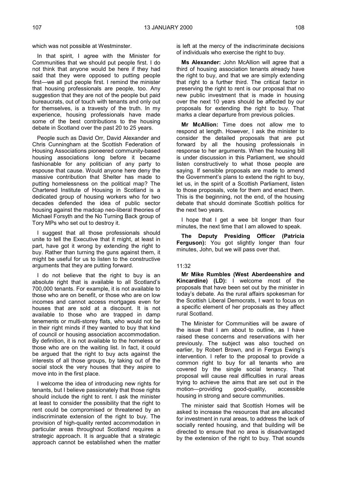In that spirit, I agree with the Minister for Communities that we should put people first. I do not think that anyone would be here if they had said that they were opposed to putting people first—we all put people first. I remind the minister that housing professionals are people, too. Any suggestion that they are not of the people but paid bureaucrats, out of touch with tenants and only out for themselves, is a travesty of the truth. In my experience, housing professionals have made some of the best contributions to the housing debate in Scotland over the past 20 to 25 years.

People such as David Orr, David Alexander and Chris Cunningham at the Scottish Federation of Housing Associations pioneered community-based housing associations long before it became fashionable for any politician of any party to espouse that cause. Would anyone here deny the massive contribution that Shelter has made to putting homelessness on the political map? The Chartered Institute of Housing in Scotland is a dedicated group of housing workers who for two decades defended the idea of public sector housing against the madcap neo-liberal theories of Michael Forsyth and the No Turning Back group of Tory MPs who set out to destroy it.

I suggest that all those professionals should unite to tell the Executive that it might, at least in part, have got it wrong by extending the right to buy. Rather than turning the guns against them, it might be useful for us to listen to the constructive arguments that they are putting forward.

I do not believe that the right to buy is an absolute right that is available to all Scotland's 700,000 tenants. For example, it is not available to those who are on benefit, or those who are on low incomes and cannot access mortgages even for houses that are sold at a discount. It is not available to those who are trapped in damp tenements or multi-storey flats, who would not be in their right minds if they wanted to buy that kind of council or housing association accommodation. By definition, it is not available to the homeless or those who are on the waiting list. In fact, it could be argued that the right to buy acts against the interests of all those groups, by taking out of the social stock the very houses that they aspire to move into in the first place.

I welcome the idea of introducing new rights for tenants, but I believe passionately that those rights should include the right to rent. I ask the minister at least to consider the possibility that the right to rent could be compromised or threatened by an indiscriminate extension of the right to buy. The provision of high-quality rented accommodation in particular areas throughout Scotland requires a strategic approach. It is arguable that a strategic approach cannot be established when the matter

is left at the mercy of the indiscriminate decisions of individuals who exercise the right to buy.

**Ms Alexander:** John McAllion will agree that a third of housing association tenants already have the right to buy, and that we are simply extending that right to a further third. The critical factor in preserving the right to rent is our proposal that no new public investment that is made in housing over the next 10 years should be affected by our proposals for extending the right to buy. That marks a clear departure from previous policies.

**Mr McAllion:** Time does not allow me to respond at length. However, I ask the minister to consider the detailed proposals that are put forward by all the housing professionals in response to her arguments. When the housing bill is under discussion in this Parliament, we should listen constructively to what those people are saying. If sensible proposals are made to amend the Government's plans to extend the right to buy, let us, in the spirit of a Scottish Parliament, listen to those proposals, vote for them and enact them. This is the beginning, not the end, of the housing debate that should dominate Scottish politics for the next two years.

I hope that I get a wee bit longer than four minutes, the next time that I am allowed to speak.

**The Deputy Presiding Officer (Patricia Ferguson):** You got slightly longer than four minutes, John, but we will pass over that.

#### 11:32

**Mr Mike Rumbles (West Aberdeenshire and Kincardine) (LD):** I welcome most of the proposals that have been set out by the minister in today's debate. As the rural affairs spokesman for the Scottish Liberal Democrats, I want to focus on a specific element of her proposals as they affect rural Scotland.

The Minister for Communities will be aware of the issue that I am about to outline, as I have raised these concerns and reservations with her previously. The subject was also touched on earlier, by Robert Brown, and in Fergus Ewing's intervention. I refer to the proposal to provide a common right to buy for all tenants who are covered by the single social tenancy. That proposal will cause real difficulties in rural areas trying to achieve the aims that are set out in the motion—providing good-quality, accessible housing in strong and secure communities.

The minister said that Scottish Homes will be asked to increase the resources that are allocated for investment in rural areas, to address the lack of socially rented housing, and that building will be directed to ensure that no area is disadvantaged by the extension of the right to buy. That sounds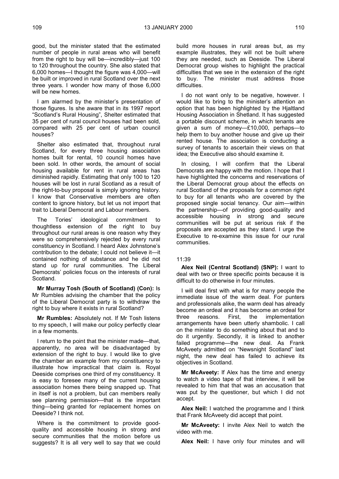good, but the minister stated that the estimated number of people in rural areas who will benefit from the right to buy will be—incredibly—just 100 to 120 throughout the country. She also stated that 6,000 homes—I thought the figure was 4,000—will be built or improved in rural Scotland over the next three years. I wonder how many of those 6,000 will be new homes.

I am alarmed by the minister's presentation of those figures. Is she aware that in its 1997 report "Scotland's Rural Housing", Shelter estimated that 35 per cent of rural council houses had been sold, compared with 25 per cent of urban council houses?

Shelter also estimated that, throughout rural Scotland, for every three housing association homes built for rental, 10 council homes have been sold. In other words, the amount of social housing available for rent in rural areas has diminished rapidly. Estimating that only 100 to 120 houses will be lost in rural Scotland as a result of the right-to-buy proposal is simply ignoring history. I know that Conservative members are often content to ignore history, but let us not import that trait to Liberal Democrat and Labour members.

The Tories' ideological commitment to thoughtless extension of the right to buy throughout our rural areas is one reason why they were so comprehensively rejected by every rural constituency in Scotland. I heard Alex Johnstone's contribution to the debate; I could not believe it—it contained nothing of substance and he did not stand up for rural communities. The Liberal Democrats' policies focus on the interests of rural Scotland.

**Mr Murray Tosh (South of Scotland) (Con):** Is Mr Rumbles advising the chamber that the policy of the Liberal Democrat party is to withdraw the right to buy where it exists in rural Scotland?

**Mr Rumbles:** Absolutely not. If Mr Tosh listens to my speech, I will make our policy perfectly clear in a few moments.

I return to the point that the minister made—that, apparently, no area will be disadvantaged by extension of the right to buy. I would like to give the chamber an example from my constituency to illustrate how impractical that claim is. Royal Deeside comprises one third of my constituency. It is easy to foresee many of the current housing association homes there being snapped up. That in itself is not a problem, but can members really see planning permission—that is the important thing—being granted for replacement homes on Deeside? I think not.

Where is the commitment to provide goodquality and accessible housing in strong and secure communities that the motion before us suggests? It is all very well to say that we could build more houses in rural areas but, as my example illustrates, they will not be built where they are needed, such as Deeside. The Liberal Democrat group wishes to highlight the practical difficulties that we see in the extension of the right to buy. The minister must address those difficulties.

I do not want only to be negative, however. I would like to bring to the minister's attention an option that has been highlighted by the Hjaltland Housing Association in Shetland. It has suggested a portable discount scheme, in which tenants are given a sum of money—£10,000, perhaps—to help them to buy another house and give up their rented house. The association is conducting a survey of tenants to ascertain their views on that idea; the Executive also should examine it.

In closing, I will confirm that the Liberal Democrats are happy with the motion. I hope that I have highlighted the concerns and reservations of the Liberal Democrat group about the effects on rural Scotland of the proposals for a common right to buy for all tenants who are covered by the proposed single social tenancy. Our aim—within the partnership—of providing good-quality and accessible housing in strong and secure communities will be put at serious risk if the proposals are accepted as they stand. I urge the Executive to re-examine this issue for our rural communities.

#### 11:39

**Alex Neil (Central Scotland) (SNP):** I want to deal with two or three specific points because it is difficult to do otherwise in four minutes.

I will deal first with what is for many people the immediate issue of the warm deal. For punters and professionals alike, the warm deal has already become an ordeal and it has become an ordeal for<br>three reasons. First, the implementation three reasons. First, the implementation arrangements have been utterly shambolic. I call on the minister to do something about that and to do it urgently. Secondly, it is linked to another failed programme—the new deal. As Frank McAveety admitted on "Newsnight Scotland" last night, the new deal has failed to achieve its objectives in Scotland.

**Mr McAveety:** If Alex has the time and energy to watch a video tape of that interview, it will be revealed to him that that was an accusation that was put by the questioner, but which I did not accept.

**Alex Neil:** I watched the programme and I think that Frank McAveety did accept that point.

**Mr McAveety:** I invite Alex Neil to watch the video with me.

**Alex Neil:** I have only four minutes and will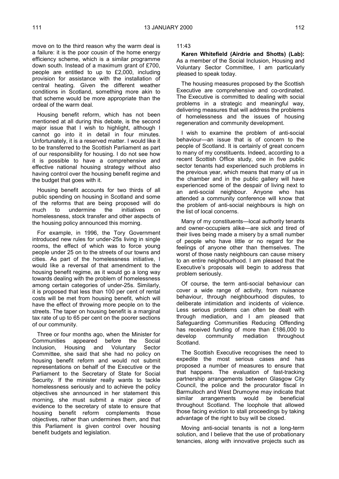move on to the third reason why the warm deal is a failure: it is the poor cousin of the home energy efficiency scheme, which is a similar programme down south. Instead of a maximum grant of £700, people are entitled to up to £2,000, including provision for assistance with the installation of central heating. Given the different weather conditions in Scotland, something more akin to that scheme would be more appropriate than the ordeal of the warm deal.

Housing benefit reform, which has not been mentioned at all during this debate, is the second major issue that I wish to highlight, although I cannot go into it in detail in four minutes. Unfortunately, it is a reserved matter. I would like it to be transferred to the Scottish Parliament as part of our responsibility for housing. I do not see how it is possible to have a comprehensive and effective national housing strategy without also having control over the housing benefit regime and the budget that goes with it.

Housing benefit accounts for two thirds of all public spending on housing in Scotland and some of the reforms that are being proposed will do much to undermine the initiatives on homelessness, stock transfer and other aspects of the housing policy announced this morning.

For example, in 1996, the Tory Government introduced new rules for under-25s living in single rooms, the effect of which was to force young people under 25 on to the streets of our towns and cities. As part of the homelessness initiative, I would like a reversal of that amendment to the housing benefit regime, as it would go a long way towards dealing with the problem of homelessness among certain categories of under-25s. Similarly, it is proposed that less than 100 per cent of rental costs will be met from housing benefit, which will have the effect of throwing more people on to the streets. The taper on housing benefit is a marginal tax rate of up to 65 per cent on the poorer sections of our community.

Three or four months ago, when the Minister for Communities appeared before the Social Inclusion, Housing and Voluntary Sector Committee, she said that she had no policy on housing benefit reform and would not submit representations on behalf of the Executive or the Parliament to the Secretary of State for Social Security. If the minister really wants to tackle homelessness seriously and to achieve the policy objectives she announced in her statement this morning, she must submit a major piece of evidence to the secretary of state to ensure that housing benefit reform complements those objectives, rather than undermines them, and that this Parliament is given control over housing benefit budgets and legislation.

11:43

**Karen Whitefield (Airdrie and Shotts) (Lab):** As a member of the Social Inclusion, Housing and Voluntary Sector Committee, I am particularly pleased to speak today.

The housing measures proposed by the Scottish Executive are comprehensive and co-ordinated. The Executive is committed to dealing with social problems in a strategic and meaningful way, delivering measures that will address the problems of homelessness and the issues of housing regeneration and community development.

I wish to examine the problem of anti-social behaviour—an issue that is of concern to the people of Scotland. It is certainly of great concern to many of my constituents. Indeed, according to a recent Scottish Office study, one in five public sector tenants had experienced such problems in the previous year, which means that many of us in the chamber and in the public gallery will have experienced some of the despair of living next to an anti-social neighbour. Anyone who has attended a community conference will know that the problem of anti-social neighbours is high on the list of local concerns.

Many of my constituents—local authority tenants and owner-occupiers alike—are sick and tired of their lives being made a misery by a small number of people who have little or no regard for the feelings of anyone other than themselves. The worst of those nasty neighbours can cause misery to an entire neighbourhood. I am pleased that the Executive's proposals will begin to address that problem seriously.

Of course, the term anti-social behaviour can cover a wide range of activity, from nuisance behaviour, through neighbourhood disputes, to deliberate intimidation and incidents of violence. Less serious problems can often be dealt with through mediation, and I am pleased that Safeguarding Communities Reducing Offending has received funding of more than £186,000 to develop community mediation throughout Scotland.

The Scottish Executive recognises the need to expedite the most serious cases and has proposed a number of measures to ensure that that happens. The evaluation of fast-tracking partnership arrangements between Glasgow City Council, the police and the procurator fiscal in Barmulloch and West Drumoyne may indicate that similar arrangements would be beneficial throughout Scotland. The loophole that allowed those facing eviction to stall proceedings by taking advantage of the right to buy will be closed.

Moving anti-social tenants is not a long-term solution, and I believe that the use of probationary tenancies, along with innovative projects such as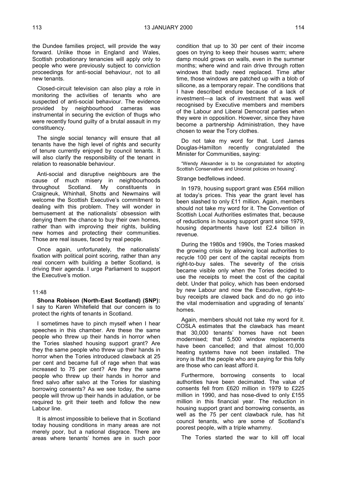the Dundee families project, will provide the way forward. Unlike those in England and Wales, Scottish probationary tenancies will apply only to people who were previously subject to conviction proceedings for anti-social behaviour, not to all new tenants.

Closed-circuit television can also play a role in monitoring the activities of tenants who are suspected of anti-social behaviour. The evidence provided by neighbourhood cameras was instrumental in securing the eviction of thugs who were recently found guilty of a brutal assault in my constituency.

The single social tenancy will ensure that all tenants have the high level of rights and security of tenure currently enjoyed by council tenants. It will also clarify the responsibility of the tenant in relation to reasonable behaviour.

Anti-social and disruptive neighbours are the cause of much misery in neighbourhoods throughout Scotland. My constituents in Craigneuk, Whinhall, Shotts and Newmains will welcome the Scottish Executive's commitment to dealing with this problem. They will wonder in bemusement at the nationalists' obsession with denying them the chance to buy their own homes, rather than with improving their rights, building new homes and protecting their communities. Those are real issues, faced by real people.

Once again, unfortunately, the nationalists' fixation with political point scoring, rather than any real concern with building a better Scotland, is driving their agenda. I urge Parliament to support the Executive's motion.

#### 11:48

**Shona Robison (North-East Scotland) (SNP):** I say to Karen Whitefield that our concern is to protect the rights of tenants in Scotland.

I sometimes have to pinch myself when I hear speeches in this chamber. Are these the same people who threw up their hands in horror when the Tories slashed housing support grant? Are they the same people who threw up their hands in horror when the Tories introduced clawback at 25 per cent and became full of rage when that was increased to 75 per cent? Are they the same people who threw up their hands in horror and fired salvo after salvo at the Tories for slashing borrowing consents? As we see today, the same people will throw up their hands in adulation, or be required to grit their teeth and follow the new Labour line.

It is almost impossible to believe that in Scotland today housing conditions in many areas are not merely poor, but a national disgrace. There are areas where tenants' homes are in such poor

condition that up to 30 per cent of their income goes on trying to keep their houses warm; where damp mould grows on walls, even in the summer months; where wind and rain drive through rotten windows that badly need replaced. Time after time, those windows are patched up with a blob of silicone, as a temporary repair. The conditions that I have described endure because of a lack of investment—a lack of investment that was well recognised by Executive members and members of the Labour and Liberal Democrat parties when they were in opposition. However, since they have become a partnership Administration, they have chosen to wear the Tory clothes.

Do not take my word for that. Lord James Douglas-Hamilton recently congratulated the Minister for Communities, saying:

"Wendy Alexander is to be congratulated for adopting Scottish Conservative and Unionist policies on housing".

#### Strange bedfellows indeed.

In 1979, housing support grant was £564 million at today's prices. This year the grant level has been slashed to only £11 million. Again, members should not take my word for it. The Convention of Scottish Local Authorities estimates that, because of reductions in housing support grant since 1979, housing departments have lost £2.4 billion in revenue.

During the 1980s and 1990s, the Tories masked the growing crisis by allowing local authorities to recycle 100 per cent of the capital receipts from right-to-buy sales. The severity of the crisis became visible only when the Tories decided to use the receipts to meet the cost of the capital debt. Under that policy, which has been endorsed by new Labour and now the Executive, right-tobuy receipts are clawed back and do no go into the vital modernisation and upgrading of tenants' homes.

Again, members should not take my word for it. COSLA estimates that the clawback has meant that 30,000 tenants' homes have not been modernised; that 5,500 window replacements have been cancelled; and that almost 10,000 heating systems have not been installed. The irony is that the people who are paying for this folly are those who can least afford it.

Furthermore, borrowing consents to local authorities have been decimated. The value of consents fell from £620 million in 1979 to £225 million in 1990, and has nose-dived to only £155 million in this financial year. The reduction in housing support grant and borrowing consents, as well as the 75 per cent clawback rule, has hit council tenants, who are some of Scotland's poorest people, with a triple whammy.

The Tories started the war to kill off local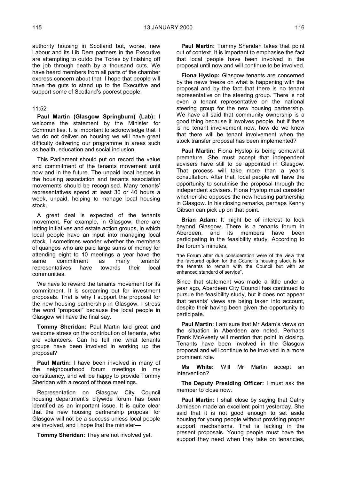authority housing in Scotland but, worse, new Labour and its Lib Dem partners in the Executive are attempting to outdo the Tories by finishing off the job through death by a thousand cuts. We have heard members from all parts of the chamber express concern about that. I hope that people will have the guts to stand up to the Executive and support some of Scotland's poorest people.

#### 11:52

**Paul Martin (Glasgow Springburn) (Lab):** I welcome the statement by the Minister for Communities. It is important to acknowledge that if we do not deliver on housing we will have great difficulty delivering our programme in areas such as health, education and social inclusion.

This Parliament should put on record the value and commitment of the tenants movement until now and in the future. The unpaid local heroes in the housing association and tenants association movements should be recognised. Many tenants' representatives spend at least 30 or 40 hours a week, unpaid, helping to manage local housing stock.

A great deal is expected of the tenants movement. For example, in Glasgow, there are letting initiatives and estate action groups, in which local people have an input into managing local stock. I sometimes wonder whether the members of quangos who are paid large sums of money for attending eight to 10 meetings a year have the same commitment as many tenants' representatives have towards their local communities.

We have to reward the tenants movement for its commitment. It is screaming out for investment proposals. That is why I support the proposal for the new housing partnership in Glasgow. I stress the word "proposal" because the local people in Glasgow will have the final say.

**Tommy Sheridan:** Paul Martin laid great and welcome stress on the contribution of tenants, who are volunteers. Can he tell me what tenants groups have been involved in working up the proposal?

**Paul Martin:** I have been involved in many of the neighbourhood forum meetings in my constituency, and will be happy to provide Tommy Sheridan with a record of those meetings.

Representation on Glasgow City Council housing department's citywide forum has been identified as an important issue. It is quite clear that the new housing partnership proposal for Glasgow will not be a success unless local people are involved, and I hope that the minister—

**Tommy Sheridan:** They are not involved yet.

**Paul Martin:** Tommy Sheridan takes that point out of context. It is important to emphasise the fact that local people have been involved in the proposal until now and will continue to be involved.

**Fiona Hyslop:** Glasgow tenants are concerned by the news freeze on what is happening with the proposal and by the fact that there is no tenant representative on the steering group. There is not even a tenant representative on the national steering group for the new housing partnership. We have all said that community ownership is a good thing because it involves people, but if there is no tenant involvement now, how do we know that there will be tenant involvement when the stock transfer proposal has been implemented?

**Paul Martin:** Fiona Hyslop is being somewhat premature. She must accept that independent advisers have still to be appointed in Glasgow. That process will take more than a year's consultation. After that, local people will have the opportunity to scrutinise the proposal through the independent advisers. Fiona Hyslop must consider whether she opposes the new housing partnership in Glasgow. In his closing remarks, perhaps Kenny Gibson can pick up on that point.

**Brian Adam:** It might be of interest to look beyond Glasgow. There is a tenants forum in Aberdeen, and its members have been participating in the feasibility study. According to the forum's minutes,

"the Forum after due consideration were of the view that the favoured option for the Council's housing stock is for the tenants to remain with the Council but with an enhanced standard of service".

Since that statement was made a little under a year ago, Aberdeen City Council has continued to pursue the feasibility study, but it does not appear that tenants' views are being taken into account, despite their having been given the opportunity to participate.

**Paul Martin:** I am sure that Mr Adam's views on the situation in Aberdeen are noted. Perhaps Frank McAveety will mention that point in closing. Tenants have been involved in the Glasgow proposal and will continue to be involved in a more prominent role.

**Ms White:** Will Mr Martin accept an intervention?

**The Deputy Presiding Officer:** I must ask the member to close now.

**Paul Martin:** I shall close by saying that Cathy Jamieson made an excellent point yesterday. She said that it is not good enough to set aside housing for young people without providing proper support mechanisms. That is lacking in the present proposals. Young people must have the support they need when they take on tenancies,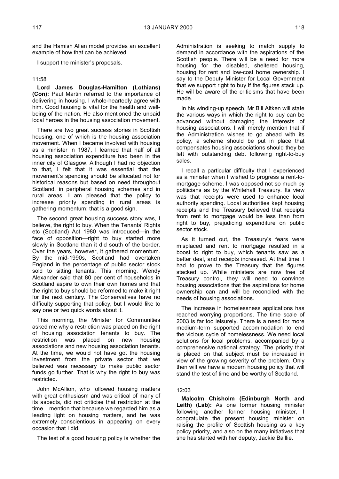and the Hamish Allan model provides an excellent example of how that can be achieved.

I support the minister's proposals.

#### 11:58

**Lord James Douglas-Hamilton (Lothians) (Con):** Paul Martin referred to the importance of delivering in housing. I whole-heartedly agree with him. Good housing is vital for the health and wellbeing of the nation. He also mentioned the unpaid local heroes in the housing association movement.

There are two great success stories in Scottish housing, one of which is the housing association movement. When I became involved with housing as a minister in 1987, I learned that half of all housing association expenditure had been in the inner city of Glasgow. Although I had no objection to that, I felt that it was essential that the movement's spending should be allocated not for historical reasons but based on need throughout Scotland, in peripheral housing schemes and in rural areas. I am pleased that the policy to increase priority spending in rural areas is gathering momentum; that is a good sign.

The second great housing success story was, I believe, the right to buy. When the Tenants' Rights etc (Scotland) Act 1980 was introduced—in the face of opposition—right to buy started more slowly in Scotland than it did south of the border. Over the years, however, it gathered momentum. By the mid-1990s, Scotland had overtaken England in the percentage of public sector stock sold to sitting tenants. This morning, Wendy Alexander said that 80 per cent of households in Scotland aspire to own their own homes and that the right to buy should be reformed to make it right for the next century. The Conservatives have no difficulty supporting that policy, but I would like to say one or two quick words about it.

This morning, the Minister for Communities asked me why a restriction was placed on the right of housing association tenants to buy. The restriction was placed on new housing associations and new housing association tenants. At the time, we would not have got the housing investment from the private sector that we believed was necessary to make public sector funds go further. That is why the right to buy was restricted.

John McAllion, who followed housing matters with great enthusiasm and was critical of many of its aspects, did not criticise that restriction at the time. I mention that because we regarded him as a leading light on housing matters, and he was extremely conscientious in appearing on every occasion that I did.

The test of a good housing policy is whether the

Administration is seeking to match supply to demand in accordance with the aspirations of the Scottish people. There will be a need for more housing for the disabled, sheltered housing, housing for rent and low-cost home ownership. I say to the Deputy Minister for Local Government that we support right to buy if the figures stack up. He will be aware of the criticisms that have been made.

In his winding-up speech, Mr Bill Aitken will state the various ways in which the right to buy can be advanced without damaging the interests of housing associations. I will merely mention that if the Administration wishes to go ahead with its policy, a scheme should be put in place that compensates housing associations should they be left with outstanding debt following right-to-buy sales.

I recall a particular difficulty that I experienced as a minister when I wished to progress a rent-tomortgage scheme. I was opposed not so much by politicians as by the Whitehall Treasury. Its view was that receipts were used to enhance local authority spending. Local authorities kept housing receipts and the Treasury believed that receipts from rent to mortgage would be less than from right to buy, prejudicing expenditure on public sector stock.

As it turned out, the Treasury's fears were misplaced and rent to mortgage resulted in a boost to right to buy, which tenants saw as a better deal, and receipts increased. At that time, I had to prove to the Treasury that the figures stacked up. While ministers are now free of Treasury control, they will need to convince housing associations that the aspirations for home ownership can and will be reconciled with the needs of housing associations.

The increase in homelessness applications has reached worrying proportions. The time scale of 2003 is far too leisurely. There is a need for more medium-term supported accommodation to end the vicious cycle of homelessness. We need local solutions for local problems, accompanied by a comprehensive national strategy. The priority that is placed on that subject must be increased in view of the growing severity of the problem. Only then will we have a modern housing policy that will stand the test of time and be worthy of Scotland.

#### 12:03

**Malcolm Chisholm (Edinburgh North and Leith) (Lab):** As one former housing minister following another former housing minister, I congratulate the present housing minister on raising the profile of Scottish housing as a key policy priority, and also on the many initiatives that she has started with her deputy, Jackie Baillie.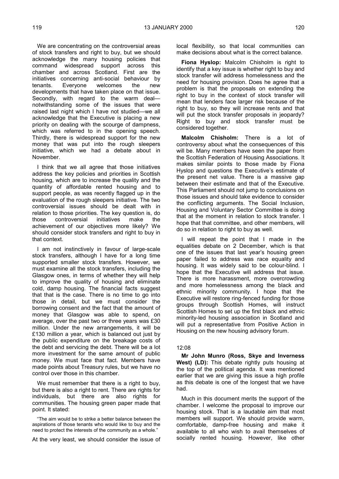We are concentrating on the controversial areas of stock transfers and right to buy, but we should acknowledge the many housing policies that command widespread support across this chamber and across Scotland. First are the initiatives concerning anti-social behaviour by tenants. Everyone welcomes the new developments that have taken place on that issue. Secondly, with regard to the warm deal notwithstanding some of the issues that were raised last night which I have not studied—we all acknowledge that the Executive is placing a new priority on dealing with the scourge of dampness, which was referred to in the opening speech. Thirdly, there is widespread support for the new money that was put into the rough sleepers initiative, which we had a debate about in November.

I think that we all agree that those initiatives address the key policies and priorities in Scottish housing, which are to increase the quality and the quantity of affordable rented housing and to support people, as was recently flagged up in the evaluation of the rough sleepers initiative. The two controversial issues should be dealt with in relation to those priorities. The key question is, do those controversial initiatives make the achievement of our objectives more likely? We should consider stock transfers and right to buy in that context.

I am not instinctively in favour of large-scale stock transfers, although I have for a long time supported smaller stock transfers. However, we must examine all the stock transfers, including the Glasgow ones, in terms of whether they will help to improve the quality of housing and eliminate cold, damp housing. The financial facts suggest that that is the case. There is no time to go into those in detail, but we must consider the borrowing consent and the fact that the amount of money that Glasgow was able to spend, on average, over the past two or three years was £30 million. Under the new arrangements, it will be £130 million a year, which is balanced out just by the public expenditure on the breakage costs of the debt and servicing the debt. There will be a lot more investment for the same amount of public money. We must face that fact. Members have made points about Treasury rules, but we have no control over those in this chamber.

We must remember that there is a right to buy, but there is also a right to rent. There are rights for individuals, but there are also rights for communities. The housing green paper made that point. It stated:

"The aim would be to strike a better balance between the aspirations of those tenants who would like to buy and the need to protect the interests of the community as a whole."

At the very least, we should consider the issue of

local flexibility, so that local communities can make decisions about what is the correct balance.

**Fiona Hyslop:** Malcolm Chisholm is right to identify that a key issue is whether right to buy and stock transfer will address homelessness and the need for housing provision. Does he agree that a problem is that the proposals on extending the right to buy in the context of stock transfer will mean that lenders face larger risk because of the right to buy, so they will increase rents and that will put the stock transfer proposals in jeopardy? Right to buy and stock transfer must be considered together.

**Malcolm Chisholm:** There is a lot of controversy about what the consequences of this will be. Many members have seen the paper from the Scottish Federation of Housing Associations. It makes similar points to those made by Fiona Hyslop and questions the Executive's estimate of the present net value. There is a massive gap between their estimate and that of the Executive. This Parliament should not jump to conclusions on those issues and should take evidence to consider the conflicting arguments. The Social Inclusion, Housing and Voluntary Sector Committee is doing that at the moment in relation to stock transfer. I hope that that committee, and other members, will do so in relation to right to buy as well.

I will repeat the point that I made in the equalities debate on 2 December, which is that one of the issues that last year's housing green paper failed to address was race equality and housing. It was widely said to be colour-blind. I hope that the Executive will address that issue. There is more harassment, more overcrowding and more homelessness among the black and ethnic minority community. I hope that the Executive will restore ring-fenced funding for those groups through Scottish Homes, will instruct Scottish Homes to set up the first black and ethnic minority-led housing association in Scotland and will put a representative from Positive Action in Housing on the new housing advisory forum.

#### 12:08

**Mr John Munro (Ross, Skye and Inverness West) (LD):** This debate rightly puts housing at the top of the political agenda. It was mentioned earlier that we are giving this issue a high profile as this debate is one of the longest that we have had.

Much in this document merits the support of the chamber. I welcome the proposal to improve our housing stock. That is a laudable aim that most members will support. We should provide warm, comfortable, damp-free housing and make it available to all who wish to avail themselves of socially rented housing. However, like other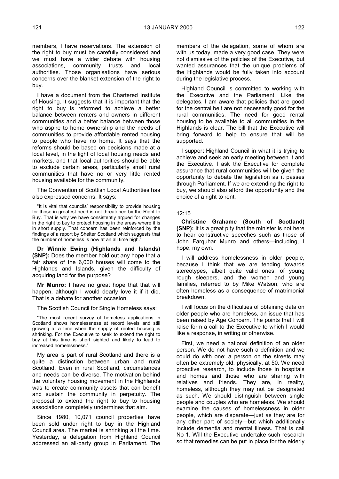members, I have reservations. The extension of the right to buy must be carefully considered and we must have a wider debate with housing associations, community trusts and local authorities. Those organisations have serious concerns over the blanket extension of the right to buy.

I have a document from the Chartered Institute of Housing. It suggests that it is important that the right to buy is reformed to achieve a better balance between renters and owners in different communities and a better balance between those who aspire to home ownership and the needs of communities to provide affordable rented housing to people who have no home. It says that the reforms should be based on decisions made at a local level, in the light of local housing needs and markets, and that local authorities should be able to exclude certain areas, particularly small rural communities that have no or very little rented housing available for the community.

The Convention of Scottish Local Authorities has also expressed concerns. It says:

"It is vital that councils' responsibility to provide housing for those in greatest need is not threatened by the Right to Buy. That is why we have consistently argued for changes in the right to buy to protect housing in the areas where it is in short supply. That concern has been reinforced by the findings of a report by Shelter Scotland which suggests that the number of homeless is now at an all time high.'

**Dr Winnie Ewing (Highlands and Islands) (SNP):** Does the member hold out any hope that a fair share of the 6,000 houses will come to the Highlands and Islands, given the difficulty of acquiring land for the purpose?

**Mr Munro:** I have no great hope that that will happen, although I would dearly love it if it did. That is a debate for another occasion.

The Scottish Council for Single Homeless says:

"The most recent survey of homeless applications in Scotland shows homelessness at record levels and still growing at a time when the supply of rented housing is shrinking. For the Executive to seek to extend the right to buy at this time is short sighted and likely to lead to increased homelessness."

My area is part of rural Scotland and there is a quite a distinction between urban and rural Scotland. Even in rural Scotland, circumstances and needs can be diverse. The motivation behind the voluntary housing movement in the Highlands was to create community assets that can benefit and sustain the community in perpetuity. The proposal to extend the right to buy to housing associations completely undermines that aim.

Since 1980, 10,071 council properties have been sold under right to buy in the Highland Council area. The market is shrinking all the time. Yesterday, a delegation from Highland Council addressed an all-party group in Parliament. The

members of the delegation, some of whom are with us today, made a very good case. They were not dismissive of the policies of the Executive, but wanted assurances that the unique problems of the Highlands would be fully taken into account during the legislative process.

Highland Council is committed to working with the Executive and the Parliament. Like the delegates, I am aware that policies that are good for the central belt are not necessarily good for the rural communities. The need for good rental housing to be available to all communities in the Highlands is clear. The bill that the Executive will bring forward to help to ensure that will be supported.

I support Highland Council in what it is trying to achieve and seek an early meeting between it and the Executive. I ask the Executive for complete assurance that rural communities will be given the opportunity to debate the legislation as it passes through Parliament. If we are extending the right to buy, we should also afford the opportunity and the choice of a right to rent.

#### 12:15

**Christine Grahame (South of Scotland) (SNP):** It is a great pity that the minister is not here to hear constructive speeches such as those of John Farquhar Munro and others—including, I hope, my own.

I will address homelessness in older people, because I think that we are tending towards stereotypes, albeit quite valid ones, of young rough sleepers, and the women and young families, referred to by Mike Watson, who are often homeless as a consequence of matrimonial breakdown.

I will focus on the difficulties of obtaining data on older people who are homeless, an issue that has been raised by Age Concern. The points that I will raise form a call to the Executive to which I would like a response, in writing or otherwise.

First, we need a national definition of an older person. We do not have such a definition and we could do with one; a person on the streets may often be extremely old, physically, at 50. We need proactive research, to include those in hospitals and homes and those who are sharing with relatives and friends. They are, in reality, homeless, although they may not be designated as such. We should distinguish between single people and couples who are homeless. We should examine the causes of homelessness in older people, which are disparate—just as they are for any other part of society—but which additionally include dementia and mental illness. That is call No 1. Will the Executive undertake such research so that remedies can be put in place for the elderly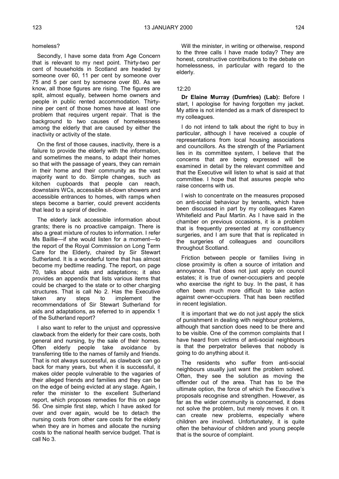#### homeless?

Secondly, I have some data from Age Concern that is relevant to my next point. Thirty-two per cent of households in Scotland are headed by someone over 60, 11 per cent by someone over 75 and 5 per cent by someone over 80. As we know, all those figures are rising. The figures are split, almost equally, between home owners and people in public rented accommodation. Thirtynine per cent of those homes have at least one problem that requires urgent repair. That is the background to two causes of homelessness among the elderly that are caused by either the inactivity or activity of the state.

On the first of those causes, inactivity, there is a failure to provide the elderly with the information, and sometimes the means, to adapt their homes so that with the passage of years, they can remain in their home and their community as the vast majority want to do. Simple changes, such as kitchen cupboards that people can reach, downstairs WCs, accessible sit-down showers and accessible entrances to homes, with ramps when steps become a barrier, could prevent accidents that lead to a spiral of decline.

The elderly lack accessible information about grants; there is no proactive campaign. There is also a great mixture of routes to information. I refer Ms Baillie—if she would listen for a moment—to the report of the Royal Commission on Long Term Care for the Elderly, chaired by Sir Stewart Sutherland. It is a wonderful tome that has almost become my bedtime reading. The report, on page 70, talks about aids and adaptations; it also provides an appendix that lists various items that could be charged to the state or to other charging structures. That is call No 2. Has the Executive taken any steps to implement the recommendations of Sir Stewart Sutherland for aids and adaptations, as referred to in appendix 1 of the Sutherland report?

I also want to refer to the unjust and oppressive clawback from the elderly for their care costs, both general and nursing, by the sale of their homes. Often elderly people take avoidance by transferring title to the names of family and friends. That is not always successful, as clawback can go back for many years, but when it is successful, it makes older people vulnerable to the vagaries of their alleged friends and families and they can be on the edge of being evicted at any stage. Again, I refer the minister to the excellent Sutherland report, which proposes remedies for this on page 56. One simple first step, which I have asked for over and over again, would be to detach the nursing costs from other care costs for the elderly when they are in homes and allocate the nursing costs to the national health service budget. That is call No 3.

#### 12:20

**Dr Elaine Murray (Dumfries) (Lab):** Before I start, I apologise for having forgotten my jacket. My attire is not intended as a mark of disrespect to my colleagues.

I do not intend to talk about the right to buy in particular, although I have received a couple of representations from local housing associations and councillors. As the strength of the Parliament lies in its committee system, I believe that the concerns that are being expressed will be examined in detail by the relevant committee and that the Executive will listen to what is said at that committee. I hope that that assures people who raise concerns with us.

I wish to concentrate on the measures proposed on anti-social behaviour by tenants, which have been discussed in part by my colleagues Karen Whitefield and Paul Martin. As I have said in the chamber on previous occasions, it is a problem that is frequently presented at my constituency surgeries, and I am sure that that is replicated in the surgeries of colleagues and councillors throughout Scotland.

Friction between people or families living in close proximity is often a source of irritation and annoyance. That does not just apply on council estates; it is true of owner-occupiers and people who exercise the right to buy. In the past, it has often been much more difficult to take action against owner-occupiers. That has been rectified in recent legislation.

It is important that we do not just apply the stick of punishment in dealing with neighbour problems, although that sanction does need to be there and to be visible. One of the common complaints that I have heard from victims of anti-social neighbours is that the perpetrator believes that nobody is going to do anything about it.

The residents who suffer from anti-social neighbours usually just want the problem solved. Often, they see the solution as moving the offender out of the area. That has to be the ultimate option, the force of which the Executive's proposals recognise and strengthen. However, as far as the wider community is concerned, it does not solve the problem, but merely moves it on. It can create new problems, especially where children are involved. Unfortunately, it is quite often the behaviour of children and young people that is the source of complaint.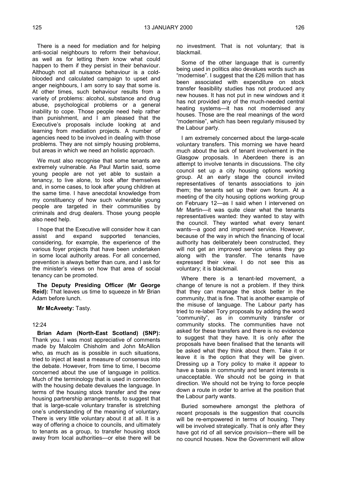There is a need for mediation and for helping anti-social neighbours to reform their behaviour, as well as for letting them know what could happen to them if they persist in their behaviour. Although not all nuisance behaviour is a coldblooded and calculated campaign to upset and anger neighbours, I am sorry to say that some is. At other times, such behaviour results from a variety of problems: alcohol, substance and drug abuse, psychological problems or a general inability to cope. Those people need help rather than punishment, and I am pleased that the Executive's proposals include looking at and learning from mediation projects. A number of agencies need to be involved in dealing with those problems. They are not simply housing problems, but areas in which we need an holistic approach.

We must also recognise that some tenants are extremely vulnerable. As Paul Martin said, some young people are not yet able to sustain a tenancy, to live alone, to look after themselves and, in some cases, to look after young children at the same time. I have anecdotal knowledge from my constituency of how such vulnerable young people are targeted in their communities by criminals and drug dealers. Those young people also need help.

I hope that the Executive will consider how it can assist and expand supported tenancies, considering, for example, the experience of the various foyer projects that have been undertaken in some local authority areas. For all concerned, prevention is always better than cure, and I ask for the minister's views on how that area of social tenancy can be promoted.

**The Deputy Presiding Officer (Mr George Reid):** That leaves us time to squeeze in Mr Brian Adam before lunch.

**Mr McAveety:** Tasty.

#### 12:24

**Brian Adam (North-East Scotland) (SNP):** Thank you. I was most appreciative of comments made by Malcolm Chisholm and John McAllion who, as much as is possible in such situations. tried to inject at least a measure of consensus into the debate. However, from time to time, I become concerned about the use of language in politics. Much of the terminology that is used in connection with the housing debate devalues the language. In terms of the housing stock transfer and the new housing partnership arrangements, to suggest that that is large-scale voluntary transfer is stretching one's understanding of the meaning of voluntary. There is very little voluntary about it at all. It is a way of offering a choice to councils, and ultimately to tenants as a group, to transfer housing stock away from local authorities—or else there will be

no investment. That is not voluntary; that is blackmail.

Some of the other language that is currently being used in politics also devalues words such as "modernise". I suggest that the £26 million that has been associated with expenditure on stock transfer feasibility studies has not produced any new houses. It has not put in new windows and it has not provided any of the much-needed central heating systems—it has not modernised any houses. Those are the real meanings of the word "modernise", which has been regularly misused by the Labour party.

I am extremely concerned about the large-scale voluntary transfers. This morning we have heard much about the lack of tenant involvement in the Glasgow proposals. In Aberdeen there is an attempt to involve tenants in discussions. The city council set up a city housing options working group. At an early stage the council invited representatives of tenants associations to join them; the tenants set up their own forum. At a meeting of the city housing options working group on February 12—as I said when I intervened on Mr Martin—it was quite clear what the tenants representatives wanted: they wanted to stay with the council. They wanted what every tenant wants—a good and improved service. However, because of the way in which the financing of local authority has deliberately been constructed, they will not get an improved service unless they go along with the transfer. The tenants have expressed their view. I do not see this as voluntary; it is blackmail.

Where there is a tenant-led movement, a change of tenure is not a problem. If they think that they can manage the stock better in the community, that is fine. That is another example of the misuse of language. The Labour party has tried to re-label Tory proposals by adding the word "community", as in community transfer or community stocks. The communities have not asked for these transfers and there is no evidence to suggest that they have. It is only after the proposals have been finalised that the tenants will be asked what they think about them. Take it or leave it is the option that they will be given. Dressing up a Tory policy to make it appear to have a basis in community and tenant interests is unacceptable. We should not be going in that direction. We should not be trying to force people down a route in order to arrive at the position that the Labour party wants.

Buried somewhere amongst the plethora of recent proposals is the suggestion that councils will be re-empowered in terms of housing. They will be involved strategically. That is only after they have got rid of all service provision—there will be no council houses. Now the Government will allow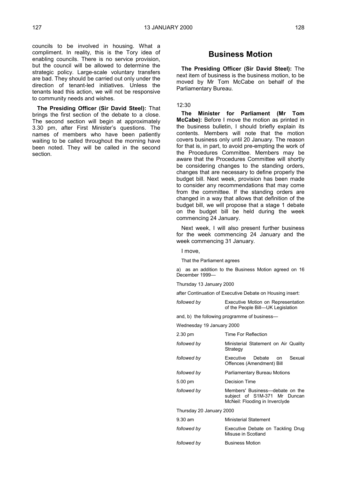councils to be involved in housing. What a compliment. In reality, this is the Tory idea of enabling councils. There is no service provision, but the council will be allowed to determine the strategic policy. Large-scale voluntary transfers are bad. They should be carried out only under the direction of tenant-led initiatives. Unless the tenants lead this action, we will not be responsive to community needs and wishes.

**The Presiding Officer (Sir David Steel):** That brings the first section of the debate to a close. The second section will begin at approximately 3.30 pm, after First Minister's questions. The names of members who have been patiently waiting to be called throughout the morning have been noted. They will be called in the second section.

## **Business Motion**

**The Presiding Officer (Sir David Steel):** The next item of business is the business motion, to be moved by Mr Tom McCabe on behalf of the Parliamentary Bureau.

#### 12:30

**The Minister for Parliament (Mr Tom McCabe):** Before I move the motion as printed in the business bulletin, I should briefly explain its contents. Members will note that the motion covers business only until 20 January. The reason for that is, in part, to avoid pre-empting the work of the Procedures Committee. Members may be aware that the Procedures Committee will shortly be considering changes to the standing orders, changes that are necessary to define properly the budget bill. Next week, provision has been made to consider any recommendations that may come from the committee. If the standing orders are changed in a way that allows that definition of the budget bill, we will propose that a stage 1 debate on the budget bill be held during the week commencing 24 January.

Next week, I will also present further business for the week commencing 24 January and the week commencing 31 January.

I move,

That the Parliament agrees

a) as an addition to the Business Motion agreed on 16 December 1999—

Thursday 13 January 2000

after Continuation of Executive Debate on Housing insert:

| followed by | Executive Motion on Representation |
|-------------|------------------------------------|
|             | of the People Bill—UK Legislation  |

and, b) the following programme of business—

Wednesday 19 January 2000

| 2.30 pm                  | Time For Reflection                                                                               |  |
|--------------------------|---------------------------------------------------------------------------------------------------|--|
| followed by              | Ministerial Statement on Air Quality<br>Strategy                                                  |  |
| followed by              | Sexual<br>Executive Debate<br>n on<br>Offences (Amendment) Bill                                   |  |
| followed by              | Parliamentary Bureau Motions                                                                      |  |
| $5.00 \text{ pm}$        | Decision Time                                                                                     |  |
| followed by              | Members' Business—debate on the<br>subject of S1M-371 Mr Duncan<br>McNeil: Flooding in Inverclyde |  |
| Thursday 20 January 2000 |                                                                                                   |  |
| $9.30$ am                | <b>Ministerial Statement</b>                                                                      |  |
| followed by              | Executive Debate on Tackling Drug<br>Misuse in Scotland                                           |  |
| followed by              | <b>Business Motion</b>                                                                            |  |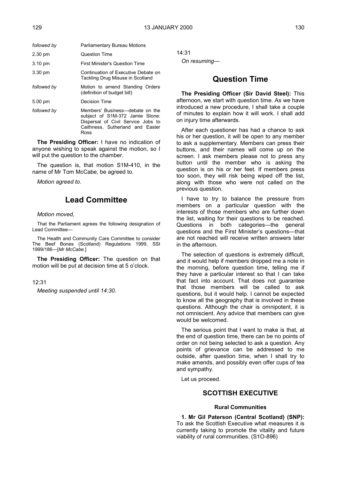| followed by       | Parliamentary Bureau Motions                                                                                                                         |
|-------------------|------------------------------------------------------------------------------------------------------------------------------------------------------|
| $2.30 \text{ pm}$ | <b>Question Time</b>                                                                                                                                 |
| $3.10 \text{ pm}$ | First Minister's Question Time                                                                                                                       |
| $3.30 \text{ pm}$ | Continuation of Executive Debate on<br>Tackling Drug Misuse in Scotland                                                                              |
| followed by       | Motion to amend Standing Orders<br>(definition of budget bill)                                                                                       |
| 5.00 pm           | Decision Time                                                                                                                                        |
| followed by       | Members' Business—debate on the<br>subject of S1M-372 Jamie Stone:<br>Dispersal of Civil Service Jobs to<br>Caithness. Sutherland and Easter<br>Ross |

**The Presiding Officer:** I have no indication of anyone wishing to speak against the motion, so I will put the question to the chamber.

The question is, that motion S1M-410, in the name of Mr Tom McCabe, be agreed to.

*Motion agreed to.*

# **Lead Committee**

## *Motion moved,*

That the Parliament agrees the following designation of Lead Committee—

The Health and Community Care Committee to consider The Beef Bones (Scotland) Regulations 1999, SSI 1999/186—[*Mr McCabe.*]

**The Presiding Officer:** The question on that motion will be put at decision time at 5 o'clock.

## 12:31

*Meeting suspended until 14:30.*

14:31

*On resuming—*

# **Question Time**

**The Presiding Officer (Sir David Steel):** This afternoon, we start with question time. As we have introduced a new procedure, I shall take a couple of minutes to explain how it will work. I shall add on injury time afterwards.

After each questioner has had a chance to ask his or her question, it will be open to any member to ask a supplementary. Members can press their buttons, and their names will come up on the screen. I ask members please not to press any button until the member who is asking the question is on his or her feet. If members press too soon, they will risk being wiped off the list, along with those who were not called on the previous question.

I have to try to balance the pressure from members on a particular question with the interests of those members who are further down the list, waiting for their questions to be reached. Questions in both categories—the general questions and the First Minister's questions—that are not reached will receive written answers later in the afternoon.

The selection of questions is extremely difficult, and it would help if members dropped me a note in the morning, before question time, telling me if they have a particular interest so that I can take that fact into account. That does not guarantee that those members will be called to ask questions, but it would help. I cannot be expected to know all the geography that is involved in these questions. Although the chair is omnipotent, it is not omniscient. Any advice that members can give would be welcomed.

The serious point that I want to make is that, at the end of question time, there can be no points of order on not being selected to ask a question. Any points of grievance can be addressed to me outside, after question time, when I shall try to make amends, and possibly even offer cups of tea and sympathy.

Let us proceed.

## **SCOTTISH EXECUTIVE**

## **Rural Communities**

**1. Mr Gil Paterson (Central Scotland) (SNP):** To ask the Scottish Executive what measures it is currently taking to promote the vitality and future viability of rural communities. (S1O-896)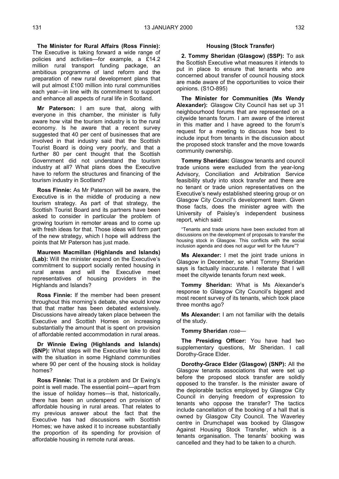**The Minister for Rural Affairs (Ross Finnie):** The Executive is taking forward a wide range of policies and activities—for example, a £14.2 million rural transport funding package, an ambitious programme of land reform and the preparation of new rural development plans that will put almost £100 million into rural communities each year—in line with its commitment to support and enhance all aspects of rural life in Scotland.

**Mr Paterson:** I am sure that, along with everyone in this chamber, the minister is fully aware how vital the tourism industry is to the rural economy. Is he aware that a recent survey suggested that 40 per cent of businesses that are involved in that industry said that the Scottish Tourist Board is doing very poorly, and that a further 80 per cent thought that the Scottish Government did not understand the tourism industry at all? What plans does the Executive have to reform the structures and financing of the tourism industry in Scotland?

**Ross Finnie:** As Mr Paterson will be aware, the Executive is in the middle of producing a new tourism strategy. As part of that strategy, the Scottish Tourist Board and its partners have been asked to consider in particular the problem of growing tourism in remoter areas and to come up with fresh ideas for that. Those ideas will form part of the new strategy, which I hope will address the points that Mr Paterson has just made.

**Maureen Macmillan (Highlands and Islands) (Lab):** Will the minister expand on the Executive's commitment to support socially rented housing in rural areas and will the Executive meet representatives of housing providers in the Highlands and Islands?

**Ross Finnie:** If the member had been present throughout this morning's debate, she would know that that matter has been debated extensively. Discussions have already taken place between the Executive and Scottish Homes on increasing substantially the amount that is spent on provision of affordable rented accommodation in rural areas.

**Dr Winnie Ewing (Highlands and Islands) (SNP):** What steps will the Executive take to deal with the situation in some Highland communities where 90 per cent of the housing stock is holiday homes?

**Ross Finnie:** That is a problem and Dr Ewing's point is well made. The essential point—apart from the issue of holiday homes—is that, historically, there has been an underspend on provision of affordable housing in rural areas. That relates to my previous answer about the fact that the Executive has had discussions with Scottish Homes; we have asked it to increase substantially the proportion of its spending for provision of affordable housing in remote rural areas.

### **Housing (Stock Transfer)**

**2. Tommy Sheridan (Glasgow) (SSP):** To ask the Scottish Executive what measures it intends to put in place to ensure that tenants who are concerned about transfer of council housing stock are made aware of the opportunities to voice their opinions. (S1O-895)

**The Minister for Communities (Ms Wendy Alexander):** Glasgow City Council has set up 31 neighbourhood forums that are represented on a citywide tenants forum. I am aware of the interest in this matter and I have agreed to the forum's request for a meeting to discuss how best to include input from tenants in the discussion about the proposed stock transfer and the move towards community ownership.

**Tommy Sheridan:** Glasgow tenants and council trade unions were excluded from the year-long Advisory, Conciliation and Arbitration Service feasibility study into stock transfer and there are no tenant or trade union representatives on the Executive's newly established steering group or on Glasgow City Council's development team. Given those facts, does the minister agree with the University of Paisley's independent business report, which said:

"Tenants and trade unions have been excluded from all discussions on the development of proposals to transfer the housing stock in Glasgow. This conflicts with the social inclusion agenda and does not augur well for the future"?

**Ms Alexander:** I met the joint trade unions in Glasgow in December, so what Tommy Sheridan says is factually inaccurate. I reiterate that I will meet the citywide tenants forum next week.

**Tommy Sheridan:** What is Ms Alexander's response to Glasgow City Council's biggest and most recent survey of its tenants, which took place three months ago?

**Ms Alexander:** I am not familiar with the details of the study.

**Tommy Sheridan** *rose—*

**The Presiding Officer:** You have had two supplementary questions, Mr Sheridan. I call Dorothy-Grace Elder.

**Dorothy-Grace Elder (Glasgow) (SNP):** All the Glasgow tenants associations that were set up before the proposed stock transfer are solidly opposed to the transfer. Is the minister aware of the deplorable tactics employed by Glasgow City Council in denying freedom of expression to tenants who oppose the transfer? The tactics include cancellation of the booking of a hall that is owned by Glasgow City Council. The Waverley centre in Drumchapel was booked by Glasgow Against Housing Stock Transfer, which is a tenants organisation. The tenants' booking was cancelled and they had to be taken to a church.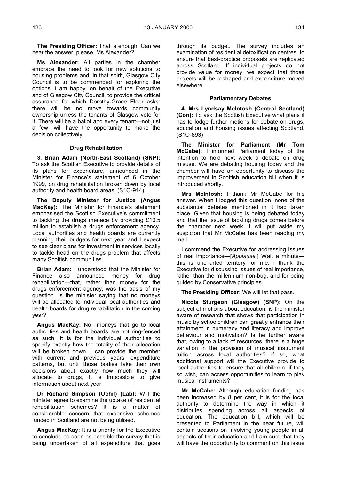**The Presiding Officer:** That is enough. Can we hear the answer, please, Ms Alexander?

**Ms Alexander:** All parties in the chamber embrace the need to look for new solutions to housing problems and, in that spirit, Glasgow City Council is to be commended for exploring the options. I am happy, on behalf of the Executive and of Glasgow City Council, to provide the critical assurance for which Dorothy-Grace Elder asks: there will be no move towards community ownership unless the tenants of Glasgow vote for it. There will be a ballot and every tenant—not just a few—will have the opportunity to make the decision collectively.

## **Drug Rehabilitation**

**3. Brian Adam (North-East Scotland) (SNP):** To ask the Scottish Executive to provide details of its plans for expenditure, announced in the Minister for Finance's statement of 6 October 1999, on drug rehabilitation broken down by local authority and health board areas. (S1O-914)

**The Deputy Minister for Justice (Angus MacKay):** The Minister for Finance's statement emphasised the Scottish Executive's commitment to tackling the drugs menace by providing £10.5 million to establish a drugs enforcement agency. Local authorities and health boards are currently planning their budgets for next year and I expect to see clear plans for investment in services locally to tackle head on the drugs problem that affects many Scottish communities.

**Brian Adam:** I understood that the Minister for Finance also announced money for drug rehabilitation—that, rather than money for the drugs enforcement agency, was the basis of my question. Is the minister saying that no moneys will be allocated to individual local authorities and health boards for drug rehabilitation in the coming year?

**Angus MacKay:** No—moneys that go to local authorities and health boards are not ring-fenced as such. It is for the individual authorities to specify exactly how the totality of their allocation will be broken down. I can provide the member with current and previous years' expenditure patterns, but until those bodies take their own decisions about exactly how much they will allocate to drugs, it is impossible to give information about next year.

**Dr Richard Simpson (Ochil) (Lab):** Will the minister agree to examine the uptake of residential rehabilitation schemes? It is a matter of considerable concern that expensive schemes funded in Scotland are not being utilised.

**Angus MacKay:** It is a priority for the Executive to conclude as soon as possible the survey that is being undertaken of all expenditure that goes

through its budget. The survey includes an examination of residential detoxification centres, to ensure that best-practice proposals are replicated across Scotland. If individual projects do not provide value for money, we expect that those projects will be reshaped and expenditure moved elsewhere.

### **Parliamentary Debates**

**4. Mrs Lyndsay McIntosh (Central Scotland) (Con):** To ask the Scottish Executive what plans it has to lodge further motions for debate on drugs, education and housing issues affecting Scotland. (S1O-893)

**The Minister for Parliament (Mr Tom McCabe):** I informed Parliament today of the intention to hold next week a debate on drug misuse. We are debating housing today and the chamber will have an opportunity to discuss the improvement in Scottish education bill when it is introduced shortly.

**Mrs McIntosh:** I thank Mr McCabe for his answer. When I lodged this question, none of the substantial debates mentioned in it had taken place. Given that housing is being debated today and that the issue of tackling drugs comes before the chamber next week, I will put aside my suspicion that Mr McCabe has been reading my mail.

I commend the Executive for addressing issues of real importance—[*Applause.*] Wait a minute this is uncharted territory for me. I thank the Executive for discussing issues of real importance, rather than the millennium non-bug, and for being guided by Conservative principles.

**The Presiding Officer:** We will let that pass.

**Nicola Sturgeon (Glasgow) (SNP):** On the subject of motions about education, is the minister aware of research that shows that participation in music by schoolchildren can greatly enhance their attainment in numeracy and literacy and improve behaviour and motivation? Is he further aware that, owing to a lack of resources, there is a huge variation in the provision of musical instrument tuition across local authorities? If so, what additional support will the Executive provide to local authorities to ensure that all children, if they so wish, can access opportunities to learn to play musical instruments?

**Mr McCabe:** Although education funding has been increased by 8 per cent, it is for the local authority to determine the way in which it distributes spending across all aspects of education. The education bill, which will be presented to Parliament in the near future, will contain sections on involving young people in all aspects of their education and I am sure that they will have the opportunity to comment on this issue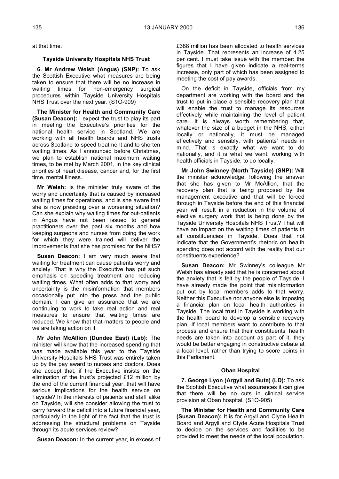at that time.

## **Tayside University Hospitals NHS Trust**

**6. Mr Andrew Welsh (Angus) (SNP):** To ask the Scottish Executive what measures are being taken to ensure that there will be no increase in waiting times for non-emergency surgical procedures within Tayside University Hospitals NHS Trust over the next year. (S1O-909)

**The Minister for Health and Community Care (Susan Deacon):** I expect the trust to play its part in meeting the Executive's priorities for the national health service in Scotland. We are working with all health boards and NHS trusts across Scotland to speed treatment and to shorten waiting times. As I announced before Christmas, we plan to establish national maximum waiting times, to be met by March 2001, in the key clinical priorities of heart disease, cancer and, for the first time, mental illness.

**Mr Welsh:** Is the minister truly aware of the worry and uncertainty that is caused by increased waiting times for operations, and is she aware that she is now presiding over a worsening situation? Can she explain why waiting times for out-patients in Angus have not been issued to general practitioners over the past six months and how keeping surgeons and nurses from doing the work for which they were trained will deliver the improvements that she has promised for the NHS?

**Susan Deacon:** I am very much aware that waiting for treatment can cause patients worry and anxiety. That is why the Executive has put such emphasis on speeding treatment and reducing waiting times. What often adds to that worry and uncertainty is the misinformation that members occasionally put into the press and the public domain. I can give an assurance that we are continuing to work to take real action and real measures to ensure that waiting times are reduced. We know that that matters to people and we are taking action on it.

**Mr John McAllion (Dundee East) (Lab):** The minister will know that the increased spending that was made available this year to the Tayside University Hospitals NHS Trust was entirely taken up by the pay award to nurses and doctors. Does she accept that, if the Executive insists on the elimination of the trust's projected £12 million by the end of the current financial year, that will have serious implications for the health service on Tayside? In the interests of patients and staff alike on Tayside, will she consider allowing the trust to carry forward the deficit into a future financial year, particularly in the light of the fact that the trust is addressing the structural problems on Tayside through its acute services review?

**Susan Deacon:** In the current year, in excess of

£388 million has been allocated to health services in Tayside. That represents an increase of 4.25 per cent. I must take issue with the member: the figures that I have given indicate a real-terms increase, only part of which has been assigned to meeting the cost of pay awards.

On the deficit in Tayside, officials from my department are working with the board and the trust to put in place a sensible recovery plan that will enable the trust to manage its resources effectively while maintaining the level of patient care. It is always worth remembering that, whatever the size of a budget in the NHS, either locally or nationally, it must be managed effectively and sensibly, with patients' needs in mind. That is exactly what we want to do nationally, and it is what we want, working with health officials in Tayside, to do locally.

**Mr John Swinney (North Tayside) (SNP):** Will the minister acknowledge, following the answer that she has given to Mr McAllion, that the recovery plan that is being proposed by the management executive and that will be forced through in Tayside before the end of this financial year will result in a reduction in the volume of elective surgery work that is being done by the Tayside University Hospitals NHS Trust? That will have an impact on the waiting times of patients in all constituencies in Tayside. Does that not indicate that the Government's rhetoric on health spending does not accord with the reality that our constituents experience?

**Susan Deacon:** Mr Swinney's colleague Mr Welsh has already said that he is concerned about the anxiety that is felt by the people of Tayside. I have already made the point that misinformation put out by local members adds to that worry. Neither this Executive nor anyone else is imposing a financial plan on local health authorities in Tayside. The local trust in Tayside is working with the health board to develop a sensible recovery plan. If local members want to contribute to that process and ensure that their constituents' health needs are taken into account as part of it, they would be better engaging in constructive debate at a local level, rather than trying to score points in this Parliament.

## **Oban Hospital**

**7. George Lyon (Argyll and Bute) (LD):** To ask the Scottish Executive what assurances it can give that there will be no cuts in clinical service provision at Oban hospital. (S1O-905)

**The Minister for Health and Community Care (Susan Deacon):** It is for Argyll and Clyde Health Board and Argyll and Clyde Acute Hospitals Trust to decide on the services and facilities to be provided to meet the needs of the local population.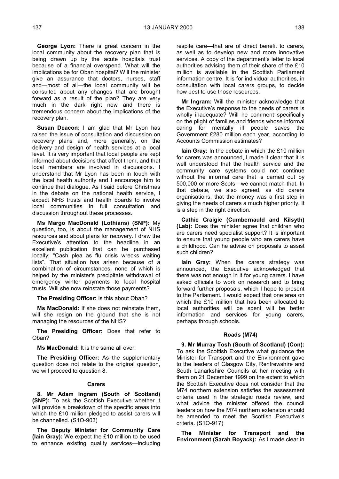**George Lyon:** There is great concern in the local community about the recovery plan that is being drawn up by the acute hospitals trust because of a financial overspend. What will the implications be for Oban hospital? Will the minister give an assurance that doctors, nurses, staff and—most of all—the local community will be consulted about any changes that are brought forward as a result of the plan? They are very much in the dark right now and there is tremendous concern about the implications of the recovery plan.

**Susan Deacon:** I am glad that Mr Lyon has raised the issue of consultation and discussion on recovery plans and, more generally, on the delivery and design of health services at a local level. It is very important that local people are kept informed about decisions that affect them, and that local members are involved in discussions. I understand that Mr Lyon has been in touch with the local health authority and I encourage him to continue that dialogue. As I said before Christmas in the debate on the national health service, I expect NHS trusts and health boards to involve local communities in full consultation and discussion throughout these processes.

**Ms Margo MacDonald (Lothians) (SNP):** My question, too, is about the management of NHS resources and about plans for recovery. I draw the Executive's attention to the headline in an excellent publication that can be purchased locally: "Cash plea as flu crisis wrecks waiting lists". That situation has arisen because of a combination of circumstances, none of which is helped by the minister's precipitate withdrawal of emergency winter payments to local hospital trusts. Will she now reinstate those payments?

**The Presiding Officer:** Is this about Oban?

**Ms MacDonald:** If she does not reinstate them, will she resign on the ground that she is not managing the resources of the NHS?

**The Presiding Officer:** Does that refer to Oban?

**Ms MacDonald:** It is the same all over.

**The Presiding Officer:** As the supplementary question does not relate to the original question, we will proceed to question 8.

#### **Carers**

**8. Mr Adam Ingram (South of Scotland) (SNP):** To ask the Scottish Executive whether it will provide a breakdown of the specific areas into which the £10 million pledged to assist carers will be channelled. (S1O-903)

**The Deputy Minister for Community Care (Iain Gray):** We expect the £10 million to be used to enhance existing quality services—including respite care—that are of direct benefit to carers, as well as to develop new and more innovative services. A copy of the department's letter to local authorities advising them of their share of the £10 million is available in the Scottish Parliament information centre. It is for individual authorities, in consultation with local carers groups, to decide how best to use those resources.

**Mr Ingram:** Will the minister acknowledge that the Executive's response to the needs of carers is wholly inadequate? Will he comment specifically on the plight of families and friends whose informal caring for mentally ill people saves the Government £280 million each year, according to Accounts Commission estimates?

**Iain Gray:** In the debate in which the £10 million for carers was announced, I made it clear that it is well understood that the health service and the community care systems could not continue without the informal care that is carried out by 500,000 or more Scots—we cannot match that. In that debate, we also agreed, as did carers organisations, that the money was a first step in giving the needs of carers a much higher priority. It is a step in the right direction.

**Cathie Craigie (Cumbernauld and Kilsyth) (Lab):** Does the minister agree that children who are carers need specialist support? It is important to ensure that young people who are carers have a childhood. Can he advise on proposals to assist such children?

**Iain Gray:** When the carers strategy was announced, the Executive acknowledged that there was not enough in it for young carers. I have asked officials to work on research and to bring forward further proposals, which I hope to present to the Parliament. I would expect that one area on which the £10 million that has been allocated to local authorities will be spent will be better information and services for young carers, perhaps through schools.

## **Roads (M74)**

**9. Mr Murray Tosh (South of Scotland) (Con):** To ask the Scottish Executive what guidance the Minister for Transport and the Environment gave to the leaders of Glasgow City, Renfrewshire and South Lanarkshire Councils at her meeting with them on 21 December 1999 on the extent to which the Scottish Executive does not consider that the M74 northern extension satisfies the assessment criteria used in the strategic roads review, and what advice the minister offered the council leaders on how the M74 northern extension should be amended to meet the Scottish Executive's criteria. (S1O-917)

**The Minister for Transport and the Environment (Sarah Boyack):** As I made clear in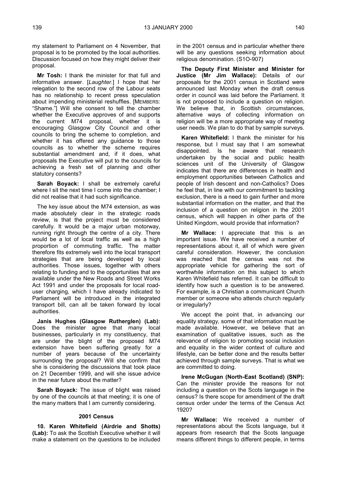my statement to Parliament on 4 November, that proposal is to be promoted by the local authorities. Discussion focused on how they might deliver their proposal.

**Mr Tosh:** I thank the minister for that full and informative answer. [*Laughter.*] I hope that her relegation to the second row of the Labour seats has no relationship to recent press speculation about impending ministerial reshuffles. [MEMBERS: "Shame."] Will she consent to tell the chamber whether the Executive approves of and supports the current M74 proposal, whether it is encouraging Glasgow City Council and other councils to bring the scheme to completion, and whether it has offered any guidance to those councils as to whether the scheme requires substantial amendment and, if it does, what proposals the Executive will put to the councils for achieving a fresh set of planning and other statutory consents?

**Sarah Boyack:** I shall be extremely careful where I sit the next time I come into the chamber; I did not realise that it had such significance.

The key issue about the M74 extension, as was made absolutely clear in the strategic roads review, is that the project must be considered carefully. It would be a major urban motorway, running right through the centre of a city. There would be a lot of local traffic as well as a high proportion of commuting traffic. The matter therefore fits extremely well into the local transport strategies that are being developed by local authorities. Those issues, together with others relating to funding and to the opportunities that are available under the New Roads and Street Works Act 1991 and under the proposals for local roaduser charging, which I have already indicated to Parliament will be introduced in the integrated transport bill, can all be taken forward by local authorities.

**Janis Hughes (Glasgow Rutherglen) (Lab):** Does the minister agree that many local businesses, particularly in my constituency, that are under the blight of the proposed M74 extension have been suffering greatly for a number of years because of the uncertainty surrounding the proposal? Will she confirm that she is considering the discussions that took place on 21 December 1999, and will she issue advice in the near future about the matter?

**Sarah Boyack:** The issue of blight was raised by one of the councils at that meeting; it is one of the many matters that I am currently considering.

### **2001 Census**

**10. Karen Whitefield (Airdrie and Shotts) (Lab):** To ask the Scottish Executive whether it will make a statement on the questions to be included in the 2001 census and in particular whether there will be any questions seeking information about religious denomination. (S1O-907)

**The Deputy First Minister and Minister for Justice (Mr Jim Wallace):** Details of our proposals for the 2001 census in Scotland were announced last Monday when the draft census order in council was laid before the Parliament. It is not proposed to include a question on religion. We believe that, in Scottish circumstances, alternative ways of collecting information on religion will be a more appropriate way of meeting user needs. We plan to do that by sample surveys.

**Karen Whitefield:** I thank the minister for his response, but I must say that I am somewhat disappointed. Is he aware that research undertaken by the social and public health sciences unit of the University of Glasgow indicates that there are differences in health and employment opportunities between Catholics and people of Irish descent and non-Catholics? Does he feel that, in line with our commitment to tackling exclusion, there is a need to gain further and more substantial information on the matter, and that the inclusion of a question on religion in the 2001 census, which will happen in other parts of the United Kingdom, would provide that information?

**Mr Wallace:** I appreciate that this is an important issue. We have received a number of representations about it, all of which were given careful consideration. However, the conclusion was reached that the census was not the appropriate vehicle for gathering the sort of worthwhile information on this subject to which Karen Whitefield has referred. It can be difficult to identify how such a question is to be answered. For example, is a Christian a communicant Church member or someone who attends church regularly or irregularly?

We accept the point that, in advancing our equality strategy, some of that information must be made available. However, we believe that an examination of qualitative issues, such as the relevance of religion to promoting social inclusion and equality in the wider context of culture and lifestyle, can be better done and the results better achieved through sample surveys. That is what we are committed to doing.

**Irene McGugan (North-East Scotland) (SNP):** Can the minister provide the reasons for not including a question on the Scots language in the census? Is there scope for amendment of the draft census order under the terms of the Census Act 1920?

**Mr Wallace:** We received a number of representations about the Scots language, but it appears from research that the Scots language means different things to different people, in terms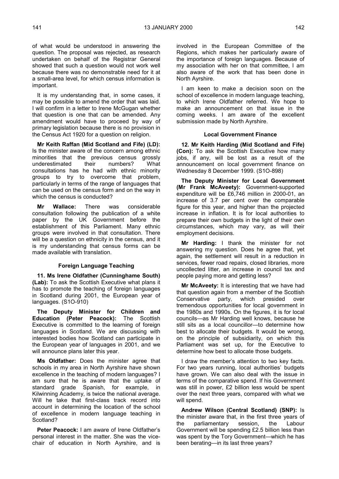of what would be understood in answering the question. The proposal was rejected, as research undertaken on behalf of the Registrar General showed that such a question would not work well because there was no demonstrable need for it at a small-area level, for which census information is important.

It is my understanding that, in some cases, it may be possible to amend the order that was laid. I will confirm in a letter to Irene McGugan whether that question is one that can be amended. Any amendment would have to proceed by way of primary legislation because there is no provision in the Census Act 1920 for a question on religion.

**Mr Keith Raffan (Mid Scotland and Fife) (LD):** Is the minister aware of the concern among ethnic minorities that the previous census grossly underestimated their numbers? What consultations has he had with ethnic minority groups to try to overcome that problem, particularly in terms of the range of languages that can be used on the census form and on the way in which the census is conducted?

**Mr Wallace:** There was considerable consultation following the publication of a white paper by the UK Government before the establishment of this Parliament. Many ethnic groups were involved in that consultation. There will be a question on ethnicity in the census, and it is my understanding that census forms can be made available with translation.

## **Foreign Language Teaching**

**11. Ms Irene Oldfather (Cunninghame South) (Lab):** To ask the Scottish Executive what plans it has to promote the teaching of foreign languages in Scotland during 2001, the European year of languages. (S1O-910)

**The Deputy Minister for Children and Education (Peter Peacock):** The Scottish Executive is committed to the learning of foreign languages in Scotland. We are discussing with interested bodies how Scotland can participate in the European year of languages in 2001, and we will announce plans later this year.

**Ms Oldfather:** Does the minister agree that schools in my area in North Ayrshire have shown excellence in the teaching of modern languages? I am sure that he is aware that the uptake of standard grade Spanish, for example, in Kilwinning Academy, is twice the national average. Will he take that first-class track record into account in determining the location of the school of excellence in modern language teaching in Scotland?

**Peter Peacock:** I am aware of Irene Oldfather's personal interest in the matter. She was the vicechair of education in North Ayrshire, and is

involved in the European Committee of the Regions, which makes her particularly aware of the importance of foreign languages. Because of my association with her on that committee, I am also aware of the work that has been done in North Ayrshire.

I am keen to make a decision soon on the school of excellence in modern language teaching, to which Irene Oldfather referred. We hope to make an announcement on that issue in the coming weeks. I am aware of the excellent submission made by North Ayrshire.

### **Local Government Finance**

**12. Mr Keith Harding (Mid Scotland and Fife) (Con):** To ask the Scottish Executive how many jobs, if any, will be lost as a result of the announcement on local government finance on Wednesday 8 December 1999. (S1O-898)

**The Deputy Minister for Local Government (Mr Frank McAveety):** Government-supported expenditure will be £6,746 million in 2000-01, an increase of 3.7 per cent over the comparable figure for this year, and higher than the projected increase in inflation. It is for local authorities to prepare their own budgets in the light of their own circumstances, which may vary, as will their employment decisions.

**Mr Harding:** I thank the minister for not answering my question. Does he agree that, yet again, the settlement will result in a reduction in services, fewer road repairs, closed libraries, more uncollected litter, an increase in council tax and people paying more and getting less?

**Mr McAveety:** It is interesting that we have had that question again from a member of the Scottish Conservative party, which presided over tremendous opportunities for local government in the 1980s and 1990s. On the figures, it is for local councils—as Mr Harding well knows, because he still sits as a local councillor—to determine how best to allocate their budgets. It would be wrong, on the principle of subsidiarity, on which this Parliament was set up, for the Executive to determine how best to allocate those budgets.

I draw the member's attention to two key facts. For two years running, local authorities' budgets have grown. We can also deal with the issue in terms of the comparative spend. If his Government was still in power, £2 billion less would be spent over the next three years, compared with what we will spend.

**Andrew Wilson (Central Scotland) (SNP):** Is the minister aware that, in the first three years of the parliamentary session, the Labour Government will be spending £2.5 billion less than was spent by the Tory Government—which he has been berating—in its last three years?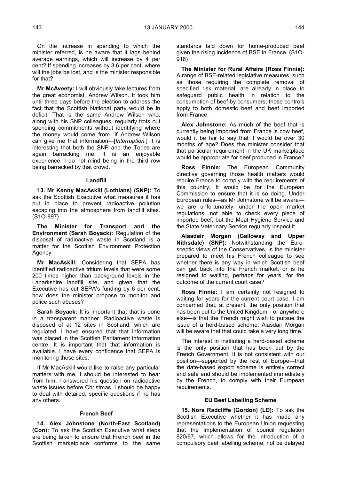On the increase in spending to which the minister referred, is he aware that it lags behind average earnings, which will increase by 4 per cent? If spending increases by 3.6 per cent, where will the jobs be lost, and is the minister responsible for that?

**Mr McAveety:** I will obviously take lectures from the great economist, Andrew Wilson. It took him until three days before the election to address the fact that the Scottish National party would be in deficit. That is the same Andrew Wilson who, along with his SNP colleagues, regularly trots out spending commitments without identifying where the money would come from. If Andrew Wilson can give me that information—[*Interruption.*] It is interesting that both the SNP and the Tories are again barracking me. It is an enjoyable experience. I do not mind being in the third row being barracked by that crowd.

## **Landfill**

**13. Mr Kenny MacAskill (Lothians) (SNP):** To ask the Scottish Executive what measures it has put in place to prevent radioactive pollution escaping into the atmosphere from landfill sites. (S1O-897)

**The Minister for Transport and the Environment (Sarah Boyack):** Regulation of the disposal of radioactive waste in Scotland is a matter for the Scottish Environment Protection Agency.

**Mr MacAskill:** Considering that SEPA has identified radioactive tritium levels that were some 200 times higher than background levels in the Lanarkshire landfill site, and given that the Executive has cut SEPA's funding by 6 per cent, how does the minister propose to monitor and police such abuses?

Sarah Boyack: It is important that that is done in a transparent manner. Radioactive waste is disposed of at 12 sites in Scotland, which are regulated. I have ensured that that information was placed in the Scottish Parliament information centre. It is important that that information is available. I have every confidence that SEPA is monitoring those sites.

If Mr MacAskill would like to raise any particular matters with me, I should be interested to hear from him. I answered his question on radioactive waste issues before Christmas. I should be happy to deal with detailed, specific questions if he has any others.

## **French Beef**

**14. Alex Johnstone (North-East Scotland) (Con):** To ask the Scottish Executive what steps are being taken to ensure that French beef in the Scottish marketplace conforms to the same

standards laid down for home-produced beef given the rising incidence of BSE in France. (S1O-916)

**The Minister for Rural Affairs (Ross Finnie):** A range of BSE-related legislative measures, such as those requiring the complete removal of specified risk material, are already in place to safeguard public health in relation to the consumption of beef by consumers; those controls apply to both domestic beef and beef imported from France.

**Alex Johnstone:** As much of the beef that is currently being imported from France is cow beef, would it be fair to say that it would be over 30 months of age? Does the minister consider that that particular requirement in the UK marketplace would be appropriate for beef produced in France?

**Ross Finnie:** The European Community directive governing those health matters would require France to comply with the requirements of this country. It would be for the European Commission to ensure that it is so doing. Under European rules—as Mr Johnstone will be aware we are unfortunately, under the open market regulations, not able to check every piece of imported beef, but the Meat Hygiene Service and the State Veterinary Service regularly inspect it.

**Alasdair Morgan (Galloway and Upper Nithsdale) (SNP):** Notwithstanding the Eurosceptic views of the Conservatives, is the minister prepared to meet his French colleague to see whether there is any way in which Scottish beef can get back into the French market, or is he resigned to waiting, perhaps for years, for the outcome of the current court case?

**Ross Finnie:** I am certainly not resigned to waiting for years for the current court case. I am concerned that, at present, the only position that has been put to the United Kingdom—or anywhere else—is that the French might wish to pursue the issue of a herd-based scheme. Alasdair Morgan will be aware that that could take a very long time.

The interest in instituting a herd-based scheme is the only position that has been put by the French Government. It is not consistent with our position—supported by the rest of Europe—that the date-based export scheme is entirely correct and safe and should be implemented immediately by the French, to comply with their European requirements.

### **EU Beef Labelling Scheme**

**15. Nora Radcliffe (Gordon) (LD):** To ask the Scottish Executive whether it has made any representations to the European Union requesting that the implementation of council regulation 820/97, which allows for the introduction of a compulsory beef labelling scheme, not be delayed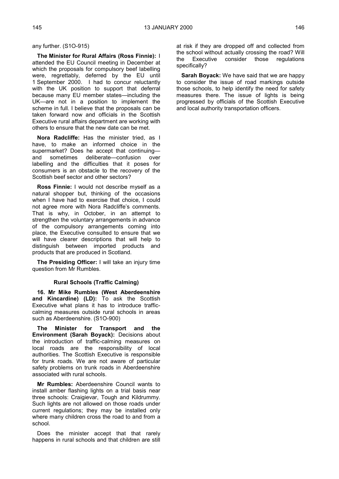any further. (S1O-915)

**The Minister for Rural Affairs (Ross Finnie):** I attended the EU Council meeting in December at which the proposals for compulsory beef labelling were, regrettably, deferred by the EU until 1 September 2000. I had to concur reluctantly with the UK position to support that deferral because many EU member states—including the UK—are not in a position to implement the scheme in full. I believe that the proposals can be taken forward now and officials in the Scottish Executive rural affairs department are working with others to ensure that the new date can be met.

**Nora Radcliffe:** Has the minister tried, as I have, to make an informed choice in the supermarket? Does he accept that continuing and sometimes deliberate—confusion over labelling and the difficulties that it poses for consumers is an obstacle to the recovery of the Scottish beef sector and other sectors?

**Ross Finnie:** I would not describe myself as a natural shopper but, thinking of the occasions when I have had to exercise that choice, I could not agree more with Nora Radcliffe's comments. That is why, in October, in an attempt to strengthen the voluntary arrangements in advance of the compulsory arrangements coming into place, the Executive consulted to ensure that we will have clearer descriptions that will help to distinguish between imported products and products that are produced in Scotland.

**The Presiding Officer:** I will take an injury time question from Mr Rumbles.

## **Rural Schools (Traffic Calming)**

**16. Mr Mike Rumbles (West Aberdeenshire and Kincardine) (LD):** To ask the Scottish Executive what plans it has to introduce trafficcalming measures outside rural schools in areas such as Aberdeenshire. (S1O-900)

**The Minister for Transport and the Environment (Sarah Boyack):** Decisions about the introduction of traffic-calming measures on local roads are the responsibility of local authorities. The Scottish Executive is responsible for trunk roads. We are not aware of particular safety problems on trunk roads in Aberdeenshire associated with rural schools.

**Mr Rumbles:** Aberdeenshire Council wants to install amber flashing lights on a trial basis near three schools: Craigievar, Tough and Kildrummy. Such lights are not allowed on those roads under current regulations; they may be installed only where many children cross the road to and from a school.

Does the minister accept that that rarely happens in rural schools and that children are still at risk if they are dropped off and collected from the school without actually crossing the road? Will the Executive consider those regulations specifically?

**Sarah Boyack:** We have said that we are happy to consider the issue of road markings outside those schools, to help identify the need for safety measures there. The issue of lights is being progressed by officials of the Scottish Executive and local authority transportation officers.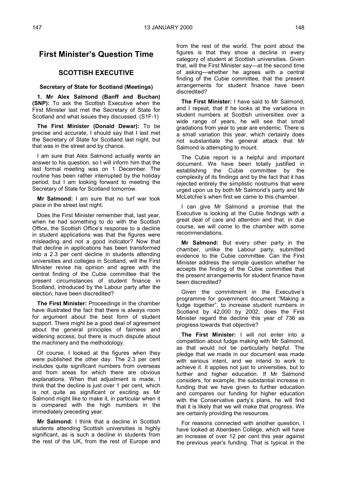# **First Minister's Question Time**

# **SCOTTISH EXECUTIVE**

## **Secretary of State for Scotland (Meetings)**

**1. Mr Alex Salmond (Banff and Buchan) (SNP):** To ask the Scottish Executive when the First Minister last met the Secretary of State for Scotland and what issues they discussed. (S1F-1)

**The First Minister (Donald Dewar):** To be precise and accurate, I should say that I last met the Secretary of State for Scotland last night, but that was in the street and by chance.

I am sure that Alex Salmond actually wants an answer to his question, so I will inform him that the last formal meeting was on 1 December. The routine has been rather interrupted by the holiday period, but I am looking forward to meeting the Secretary of State for Scotland tomorrow.

**Mr Salmond:** I am sure that no turf war took place in the street last night.

Does the First Minister remember that, last year, when he had something to do with the Scottish Office, the Scottish Office's response to a decline in student applications was that the figures were misleading and not a good indicator? Now that that decline in applications has been transformed into a 2.3 per cent decline in students attending universities and colleges in Scotland, will the First Minister revise his opinion and agree with the central finding of the Cubie committee that the present circumstances of student finance in Scotland, introduced by the Labour party after the election, have been discredited?

**The First Minister:** Proceedings in the chamber have illustrated the fact that there is always room for argument about the best form of student support. There might be a good deal of agreement about the general principles of fairness and widening access, but there is much dispute about the machinery and the methodology.

Of course, I looked at the figures when they were published the other day. The 2.3 per cent includes quite significant numbers from overseas and from areas for which there are obvious explanations. When that adjustment is made, I think that the decline is just over 1 per cent, which is not quite as significant or exciting as Mr Salmond might like to make it, in particular when it is compared with the high numbers in the immediately preceding year.

**Mr Salmond:** I think that a decline in Scottish students attending Scottish universities is highly significant, as is such a decline in students from the rest of the UK, from the rest of Europe and

from the rest of the world. The point about the figures is that they show a decline in every category of student at Scottish universities. Given that, will the First Minister say—at the second time of asking—whether he agrees with a central finding of the Cubie committee, that the present arrangements for student finance have been discredited?

**The First Minister:** I have said to Mr Salmond, and I repeat, that if he looks at the variations in student numbers at Scottish universities over a wide range of years, he will see that small gradations from year to year are endemic. There is a small variation this year, which certainly does not substantiate the general attack that Mr Salmond is attempting to mount.

The Cubie report is a helpful and important document. We have been totally justified in establishing the Cubie committee by the complexity of its findings and by the fact that it has rejected entirely the simplistic nostrums that were urged upon us by both Mr Salmond's party and Mr McLetchie's when first we came to this chamber.

I can give Mr Salmond a promise that the Executive is looking at the Cubie findings with a great deal of care and attention and that, in due course, we will come to the chamber with some recommendations.

**Mr Salmond:** But every other party in the chamber, unlike the Labour party, submitted evidence to the Cubie committee. Can the First Minister address the simple question whether he accepts the finding of the Cubie committee that the present arrangements for student finance have been discredited?

Given the commitment in the Executive's programme for government document "Making a fudge together", to increase student numbers in Scotland by 42,000 by 2002, does the First Minister regard the decline this year of 736 as progress towards that objective?

**The First Minister:** I will not enter into a competition about fudge making with Mr Salmond, as that would not be particularly helpful. The pledge that we made in our document was made with serious intent, and we intend to work to achieve it. It applies not just to universities, but to further and higher education. If Mr Salmond considers, for example, the substantial increase in funding that we have given to further education and compares our funding for higher education with the Conservative party's plans, he will find that it is likely that we will make that progress. We are certainly providing the resources.

For reasons connected with another question, I have looked at Aberdeen College, which will have an increase of over 12 per cent this year against the previous year's funding. That is typical in the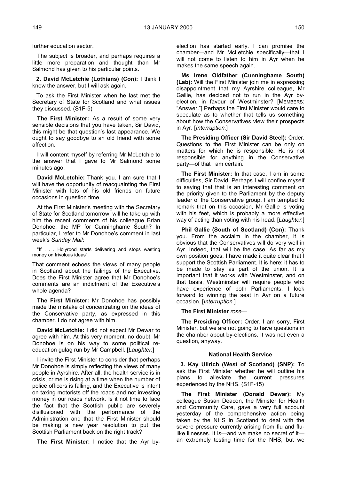further education sector.

The subject is broader, and perhaps requires a little more preparation and thought than Mr Salmond has given to his particular points.

**2. David McLetchie (Lothians) (Con):** I think I know the answer, but I will ask again.

To ask the First Minister when he last met the Secretary of State for Scotland and what issues they discussed. (S1F-5)

**The First Minister:** As a result of some very sensible decisions that you have taken, Sir David, this might be that question's last appearance. We ought to say goodbye to an old friend with some affection.

I will content myself by referring Mr McLetchie to the answer that I gave to Mr Salmond some minutes ago.

**David McLetchie:** Thank you. I am sure that I will have the opportunity of reacquainting the First Minister with lots of his old friends on future occasions in question time.

At the First Minister's meeting with the Secretary of State for Scotland tomorrow, will he take up with him the recent comments of his colleague Brian Donohoe, the MP for Cunninghame South? In particular, I refer to Mr Donohoe's comment in last week's *Sunday Mail*:

"If . . . Holyrood starts delivering and stops wasting money on frivolous ideas".

That comment echoes the views of many people in Scotland about the failings of the Executive. Does the First Minister agree that Mr Donohoe's comments are an indictment of the Executive's whole agenda?

**The First Minister:** Mr Donohoe has possibly made the mistake of concentrating on the ideas of the Conservative party, as expressed in this chamber. I do not agree with him.

**David McLetchie:** I did not expect Mr Dewar to agree with him. At this very moment, no doubt, Mr Donohoe is on his way to some political reeducation gulag run by Mr Campbell. [*Laughter.*]

I invite the First Minister to consider that perhaps Mr Donohoe is simply reflecting the views of many people in Ayrshire. After all, the health service is in crisis, crime is rising at a time when the number of police officers is falling, and the Executive is intent on taxing motorists off the roads and not investing money in our roads network. Is it not time to face the fact that the Scottish public are severely disillusioned with the performance of the Administration and that the First Minister should be making a new year resolution to put the Scottish Parliament back on the right track?

**The First Minister:** I notice that the Ayr by-

election has started early. I can promise the chamber—and Mr McLetchie specifically—that I will not come to listen to him in Ayr when he makes the same speech again.

**Ms Irene Oldfather (Cunninghame South) (Lab):** Will the First Minister join me in expressing disappointment that my Ayrshire colleague, Mr Gallie, has decided not to run in the Ayr byelection, in favour of Westminster? [MEMBERS: "Answer."] Perhaps the First Minister would care to speculate as to whether that tells us something about how the Conservatives view their prospects in Ayr. [*Interruption.*]

**The Presiding Officer (Sir David Steel):** Order. Questions to the First Minister can be only on matters for which he is responsible. He is not responsible for anything in the Conservative party—of that I am certain.

**The First Minister:** In that case, I am in some difficulties, Sir David. Perhaps I will confine myself to saying that that is an interesting comment on the priority given to the Parliament by the deputy leader of the Conservative group. I am tempted to remark that on this occasion, Mr Gallie is voting with his feet, which is probably a more effective way of acting than voting with his head. [*Laughter.*]

**Phil Gallie (South of Scotland) (Con):** Thank you. From the acclaim in the chamber, it is obvious that the Conservatives will do very well in Ayr. Indeed, that will be the case. As far as my own position goes, I have made it quite clear that I support the Scottish Parliament. It is here; it has to be made to stay as part of the union. It is important that it works with Westminster, and on that basis, Westminster will require people who have experience of both Parliaments. I look forward to winning the seat in Ayr on a future occasion. [*Interruption.*]

### **The First Minister** *rose—*

**The Presiding Officer:** Order. I am sorry, First Minister, but we are not going to have questions in the chamber about by-elections. It was not even a question, anyway.

#### **National Health Service**

**3. Kay Ullrich (West of Scotland) (SNP):** To ask the First Minister whether he will outline his plans to alleviate the current pressures experienced by the NHS. (S1F-15)

**The First Minister (Donald Dewar):** My colleague Susan Deacon, the Minister for Health and Community Care, gave a very full account yesterday of the comprehensive action being taken by the NHS in Scotland to deal with the severe pressure currently arising from flu and flulike illnesses. It is—and we make no secret of it an extremely testing time for the NHS, but we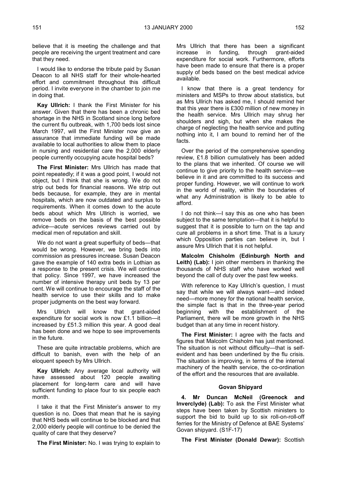believe that it is meeting the challenge and that people are receiving the urgent treatment and care that they need.

I would like to endorse the tribute paid by Susan Deacon to all NHS staff for their whole-hearted effort and commitment throughout this difficult period. I invite everyone in the chamber to join me in doing that.

**Kay Ullrich:** I thank the First Minister for his answer. Given that there has been a chronic bed shortage in the NHS in Scotland since long before the current flu outbreak, with 1,700 beds lost since March 1997, will the First Minister now give an assurance that immediate funding will be made available to local authorities to allow them to place in nursing and residential care the 2,000 elderly people currently occupying acute hospital beds?

**The First Minister:** Mrs Ullrich has made that point repeatedly; if it was a good point, I would not object, but I think that she is wrong. We do not strip out beds for financial reasons. We strip out beds because, for example, they are in mental hospitals, which are now outdated and surplus to requirements. When it comes down to the acute beds about which Mrs Ullrich is worried, we remove beds on the basis of the best possible advice—acute services reviews carried out by medical men of reputation and skill.

We do not want a great superfluity of beds—that would be wrong. However, we bring beds into commission as pressures increase. Susan Deacon gave the example of 140 extra beds in Lothian as a response to the present crisis. We will continue that policy. Since 1997, we have increased the number of intensive therapy unit beds by 13 per cent. We will continue to encourage the staff of the health service to use their skills and to make proper judgments on the best way forward.

Mrs Ullrich will know that grant-aided expenditure for social work is now £1.1 billion—it increased by £51.3 million this year. A good deal has been done and we hope to see improvements in the future.

These are quite intractable problems, which are difficult to banish, even with the help of an eloquent speech by Mrs Ullrich.

**Kay Ullrich:** Any average local authority will have assessed about 120 people awaiting placement for long-term care and will have sufficient funding to place four to six people each month.

I take it that the First Minister's answer to my question is no. Does that mean that he is saying that NHS beds will continue to be blocked and that 2,000 elderly people will continue to be denied the quality of care that they deserve?

**The First Minister:** No. I was trying to explain to

Mrs Ullrich that there has been a significant increase in funding, through grant-aided expenditure for social work. Furthermore, efforts have been made to ensure that there is a proper supply of beds based on the best medical advice available.

I know that there is a great tendency for ministers and MSPs to throw about statistics, but as Mrs Ullrich has asked me, I should remind her that this year there is £300 million of new money in the health service. Mrs Ullrich may shrug her shoulders and sigh, but when she makes the charge of neglecting the health service and putting nothing into it, I am bound to remind her of the facts.

Over the period of the comprehensive spending review, £1.8 billion cumulatively has been added to the plans that we inherited. Of course we will continue to give priority to the health service—we believe in it and are committed to its success and proper funding. However, we will continue to work in the world of reality, within the boundaries of what any Administration is likely to be able to afford.

I do not think—I say this as one who has been subject to the same temptation—that it is helpful to suggest that it is possible to turn on the tap and cure all problems in a short time. That is a luxury which Opposition parties can believe in, but I assure Mrs Ullrich that it is not helpful.

**Malcolm Chisholm (Edinburgh North and Leith) (Lab):** I join other members in thanking the thousands of NHS staff who have worked well beyond the call of duty over the past few weeks.

With reference to Kay Ullrich's question, I must say that while we will always want—and indeed need—more money for the national health service, the simple fact is that in the three-year period beginning with the establishment of the Parliament, there will be more growth in the NHS budget than at any time in recent history.

**The First Minister:** I agree with the facts and figures that Malcolm Chisholm has just mentioned. The situation is not without difficulty—that is selfevident and has been underlined by the flu crisis. The situation is improving, in terms of the internal machinery of the health service, the co-ordination of the effort and the resources that are available.

### **Govan Shipyard**

**4. Mr Duncan McNeil (Greenock and Inverclyde) (Lab):** To ask the First Minister what steps have been taken by Scottish ministers to support the bid to build up to six roll-on-roll-off ferries for the Ministry of Defence at BAE Systems' Govan shipyard. (S1F-17)

**The First Minister (Donald Dewar):** Scottish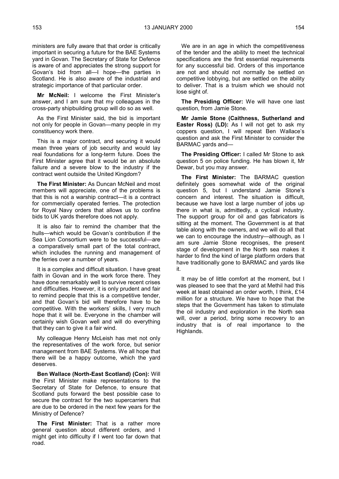ministers are fully aware that that order is critically important in securing a future for the BAE Systems yard in Govan. The Secretary of State for Defence is aware of and appreciates the strong support for Govan's bid from all—I hope—the parties in Scotland. He is also aware of the industrial and strategic importance of that particular order.

**Mr McNeil:** I welcome the First Minister's answer, and I am sure that my colleagues in the cross-party shipbuilding group will do so as well.

As the First Minister said, the bid is important not only for people in Govan—many people in my constituency work there.

This is a major contract, and securing it would mean three years of job security and would lay real foundations for a long-term future. Does the First Minister agree that it would be an absolute failure and a severe blow to the industry if the contract went outside the United Kingdom?

**The First Minister:** As Duncan McNeil and most members will appreciate, one of the problems is that this is not a warship contract—it is a contract for commercially operated ferries. The protection for Royal Navy orders that allows us to confine bids to UK yards therefore does not apply.

It is also fair to remind the chamber that the hulls—which would be Govan's contribution if the Sea Lion Consortium were to be successful—are a comparatively small part of the total contract, which includes the running and management of the ferries over a number of years.

It is a complex and difficult situation. I have great faith in Govan and in the work force there. They have done remarkably well to survive recent crises and difficulties. However, it is only prudent and fair to remind people that this is a competitive tender, and that Govan's bid will therefore have to be competitive. With the workers' skills, I very much hope that it will be. Everyone in the chamber will certainly wish Govan well and will do everything that they can to give it a fair wind.

My colleague Henry McLeish has met not only the representatives of the work force, but senior management from BAE Systems. We all hope that there will be a happy outcome, which the yard deserves.

**Ben Wallace (North-East Scotland) (Con):** Will the First Minister make representations to the Secretary of State for Defence, to ensure that Scotland puts forward the best possible case to secure the contract for the two supercarriers that are due to be ordered in the next few years for the Ministry of Defence?

**The First Minister:** That is a rather more general question about different orders, and I might get into difficulty if I went too far down that road.

We are in an age in which the competitiveness of the tender and the ability to meet the technical specifications are the first essential requirements for any successful bid. Orders of this importance are not and should not normally be settled on competitive lobbying, but are settled on the ability to deliver. That is a truism which we should not lose sight of.

**The Presiding Officer:** We will have one last question, from Jamie Stone.

**Mr Jamie Stone (Caithness, Sutherland and Easter Ross) (LD):** As I will not get to ask my coppers question, I will repeat Ben Wallace's question and ask the First Minister to consider the BARMAC yards and—

**The Presiding Officer:** I called Mr Stone to ask question 5 on police funding. He has blown it, Mr Dewar, but you may answer.

**The First Minister:** The BARMAC question definitely goes somewhat wide of the original question 5, but I understand Jamie Stone's concern and interest. The situation is difficult, because we have lost a large number of jobs up there in what is, admittedly, a cyclical industry. The support group for oil and gas fabricators is sitting at the moment. The Government is at that table along with the owners, and we will do all that we can to encourage the industry—although, as I am sure Jamie Stone recognises, the present stage of development in the North sea makes it harder to find the kind of large platform orders that have traditionally gone to BARMAC and yards like it.

It may be of little comfort at the moment, but I was pleased to see that the yard at Methil had this week at least obtained an order worth, I think, £14 million for a structure. We have to hope that the steps that the Government has taken to stimulate the oil industry and exploration in the North sea will, over a period, bring some recovery to an industry that is of real importance to the Highlands.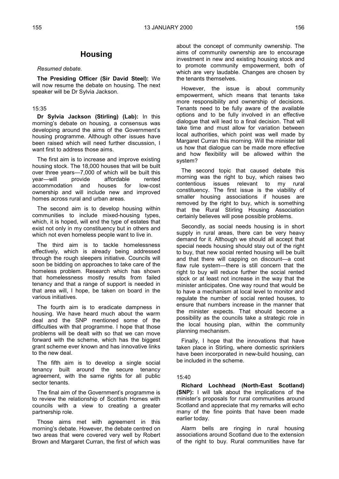# **Housing**

## *Resumed debate.*

**The Presiding Officer (Sir David Steel):** We will now resume the debate on housing. The next speaker will be Dr Sylvia Jackson.

## 15:35

**Dr Sylvia Jackson (Stirling) (Lab):** In this morning's debate on housing, a consensus was developing around the aims of the Government's housing programme. Although other issues have been raised which will need further discussion, I want first to address those aims.

The first aim is to increase and improve existing housing stock. The 18,000 houses that will be built over three years—7,000 of which will be built this<br>year—will provide affordable rented year—will provide affordable rented accommodation and houses for low-cost ownership and will include new and improved homes across rural and urban areas.

The second aim is to develop housing within communities to include mixed-housing types, which, it is hoped, will end the type of estates that exist not only in my constituency but in others and which not even homeless people want to live in.

The third aim is to tackle homelessness effectively, which is already being addressed through the rough sleepers initiative. Councils will soon be bidding on approaches to take care of the homeless problem. Research which has shown that homelessness mostly results from failed tenancy and that a range of support is needed in that area will, I hope, be taken on board in the various initiatives.

The fourth aim is to eradicate dampness in housing. We have heard much about the warm deal and the SNP mentioned some of the difficulties with that programme. I hope that those problems will be dealt with so that we can move forward with the scheme, which has the biggest grant scheme ever known and has innovative links to the new deal.

The fifth aim is to develop a single social tenancy built around the secure tenancy agreement, with the same rights for all public sector tenants.

The final aim of the Government's programme is to review the relationship of Scottish Homes with councils with a view to creating a greater partnership role.

Those aims met with agreement in this morning's debate. However, the debate centred on two areas that were covered very well by Robert Brown and Margaret Curran, the first of which was

about the concept of community ownership. The aims of community ownership are to encourage investment in new and existing housing stock and to promote community empowerment, both of which are very laudable. Changes are chosen by the tenants themselves.

However, the issue is about community empowerment, which means that tenants take more responsibility and ownership of decisions. Tenants need to be fully aware of the available options and to be fully involved in an effective dialogue that will lead to a final decision. That will take time and must allow for variation between local authorities, which point was well made by Margaret Curran this morning. Will the minister tell us how that dialogue can be made more effective and how flexibility will be allowed within the system?

The second topic that caused debate this morning was the right to buy, which raises two contentious issues relevant to my rural constituency. The first issue is the viability of smaller housing associations if houses are removed by the right to buy, which is something that the Rural Stirling Housing Association certainly believes will pose possible problems.

Secondly, as social needs housing is in short supply in rural areas, there can be very heavy demand for it. Although we should all accept that special needs housing should stay out of the right to buy, that new social rented housing will be built and that there will capping on discount—a cost flaw rule system—there is still concern that the right to buy will reduce further the social rented stock or at least not increase in the way that the minister anticipates. One way round that would be to have a mechanism at local level to monitor and regulate the number of social rented houses, to ensure that numbers increase in the manner that the minister expects. That should become a possibility as the councils take a strategic role in the local housing plan, within the community planning mechanism.

Finally, I hope that the innovations that have taken place in Stirling, where domestic sprinklers have been incorporated in new-build housing, can be included in the scheme.

### 15:40

**Richard Lochhead (North-East Scotland) (SNP):** I will talk about the implications of the minister's proposals for rural communities around Scotland and appreciate that my remarks will echo many of the fine points that have been made earlier today.

Alarm bells are ringing in rural housing associations around Scotland due to the extension of the right to buy. Rural communities have far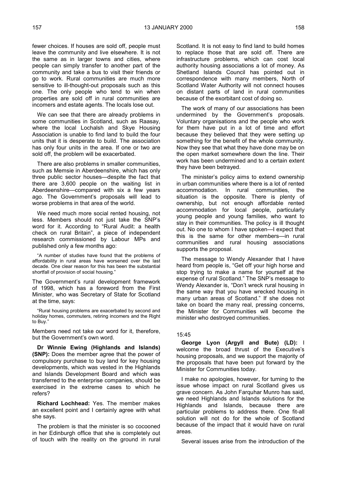fewer choices. If houses are sold off, people must leave the community and live elsewhere. It is not the same as in larger towns and cities, where people can simply transfer to another part of the community and take a bus to visit their friends or go to work. Rural communities are much more sensitive to ill-thought-out proposals such as this one. The only people who tend to win when properties are sold off in rural communities are incomers and estate agents. The locals lose out.

We can see that there are already problems in some communities in Scotland, such as Raasay, where the local Lochalsh and Skye Housing Association is unable to find land to build the four units that it is desperate to build. The association has only four units in the area. If one or two are sold off, the problem will be exacerbated.

There are also problems in smaller communities, such as Memsie in Aberdeenshire, which has only three public sector houses—despite the fact that there are 3,600 people on the waiting list in Aberdeenshire—compared with six a few years ago. The Government's proposals will lead to worse problems in that area of the world.

We need much more social rented housing, not less. Members should not just take the SNP's word for it. According to "Rural Audit: a health check on rural Britain", a piece of independent research commissioned by Labour MPs and published only a few months ago:

"A number of studies have found that the problems of affordability in rural areas have worsened over the last decade. One clear reason for this has been the substantial shortfall of provision of social housing."

The Government's rural development framework of 1998, which has a foreword from the First Minister, who was Secretary of State for Scotland at the time, says:

"Rural housing problems are exacerbated by second and holiday homes, commuters, retiring incomers and the Right to Buy."

Members need not take our word for it, therefore, but the Government's own word.

**Dr Winnie Ewing (Highlands and Islands) (SNP):** Does the member agree that the power of compulsory purchase to buy land for key housing developments, which was vested in the Highlands and Islands Development Board and which was transferred to the enterprise companies, should be exercised in the extreme cases to which he refers?

**Richard Lochhead:** Yes. The member makes an excellent point and I certainly agree with what she says.

The problem is that the minister is so cocooned in her Edinburgh office that she is completely out of touch with the reality on the ground in rural Scotland. It is not easy to find land to build homes to replace those that are sold off. There are infrastructure problems, which can cost local authority housing associations a lot of money. As Shetland Islands Council has pointed out in correspondence with many members, North of Scotland Water Authority will not connect houses on distant parts of land in rural communities because of the exorbitant cost of doing so.

The work of many of our associations has been undermined by the Government's proposals. Voluntary organisations and the people who work for them have put in a lot of time and effort because they believed that they were setting up something for the benefit of the whole community. Now they see that what they have done may be on the open market somewhere down the line. Their work has been undermined and to a certain extent they have been betrayed.

The minister's policy aims to extend ownership in urban communities where there is a lot of rented accommodation. In rural communities, the situation is the opposite. There is plenty of ownership, but not enough affordable rented accommodation for local people, particularly young people and young families, who want to stay in their communities. The policy is ill thought out. No one to whom I have spoken—I expect that this is the same for other members—in rural communities and rural housing associations supports the proposal.

The message to Wendy Alexander that I have heard from people is, "Get off your high horse and stop trying to make a name for yourself at the expense of rural Scotland." The SNP's message to Wendy Alexander is, "Don't wreck rural housing in the same way that you have wrecked housing in many urban areas of Scotland." If she does not take on board the many real, pressing concerns, the Minister for Communities will become the minister who destroyed communities.

### 15:45

**George Lyon (Argyll and Bute) (LD):** I welcome the broad thrust of the Executive's housing proposals, and we support the majority of the proposals that have been put forward by the Minister for Communities today.

I make no apologies, however, for turning to the issue whose impact on rural Scotland gives us grave concern. As John Farquhar Munro has said, we need Highlands and Islands solutions for the Highlands and Islands, because there are particular problems to address there. One fit-all solution will not do for the whole of Scotland because of the impact that it would have on rural areas.

Several issues arise from the introduction of the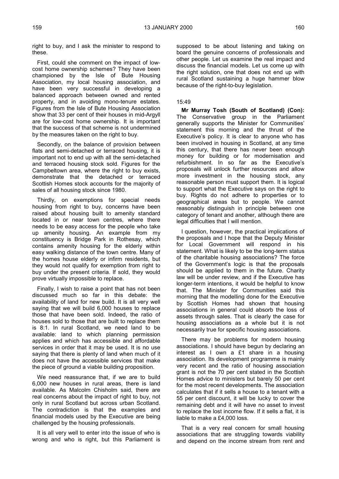right to buy, and I ask the minister to respond to these.

First, could she comment on the impact of lowcost home ownership schemes? They have been championed by the Isle of Bute Housing Association, my local housing association, and have been very successful in developing a balanced approach between owned and rented property, and in avoiding mono-tenure estates. Figures from the Isle of Bute Housing Association show that 33 per cent of their houses in mid-Argyll are for low-cost home ownership. It is important that the success of that scheme is not undermined by the measures taken on the right to buy.

Secondly, on the balance of provision between flats and semi-detached or terraced housing, it is important not to end up with all the semi-detached and terraced housing stock sold. Figures for the Campbeltown area, where the right to buy exists, demonstrate that the detached or terraced Scottish Homes stock accounts for the majority of sales of all housing stock since 1980.

Thirdly, on exemptions for special needs housing from right to buy, concerns have been raised about housing built to amenity standard located in or near town centres, where there needs to be easy access for the people who take up amenity housing. An example from my constituency is Bridge Park in Rothesay, which contains amenity housing for the elderly within easy walking distance of the town centre. Many of the homes house elderly or infirm residents, but they would not qualify for exemption from right to buy under the present criteria. If sold, they would prove virtually impossible to replace.

Finally, I wish to raise a point that has not been discussed much so far in this debate: the availability of land for new build. It is all very well saying that we will build 6,000 houses to replace those that have been sold. Indeed, the ratio of houses sold to those that are built to replace them is 8:1. In rural Scotland, we need land to be available: land to which planning permission applies and which has accessible and affordable services in order that it may be used. It is no use saying that there is plenty of land when much of it does not have the accessible services that make the piece of ground a viable building proposition.

We need reassurance that, if we are to build 6,000 new houses in rural areas, there is land available. As Malcolm Chisholm said, there are real concerns about the impact of right to buy, not only in rural Scotland but across urban Scotland. The contradiction is that the examples and financial models used by the Executive are being challenged by the housing professionals.

It is all very well to enter into the issue of who is wrong and who is right, but this Parliament is

supposed to be about listening and taking on board the genuine concerns of professionals and other people. Let us examine the real impact and discuss the financial models. Let us come up with the right solution, one that does not end up with rural Scotland sustaining a huge hammer blow because of the right-to-buy legislation.

## 15:49

**Mr Murray Tosh (South of Scotland) (Con):** The Conservative group in the Parliament generally supports the Minister for Communities' statement this morning and the thrust of the Executive's policy. It is clear to anyone who has been involved in housing in Scotland, at any time this century, that there has never been enough money for building or for modernisation and refurbishment. In so far as the Executive's proposals will unlock further resources and allow more investment in the housing stock, any reasonable person must support them. It is logical to support what the Executive says on the right to buy. Rights do not adhere to properties or to geographical areas but to people. We cannot reasonably distinguish in principle between one category of tenant and another, although there are legal difficulties that I will mention.

I question, however, the practical implications of the proposals and I hope that the Deputy Minister for Local Government will respond in his statement. What is likely to be the long-term status of the charitable housing associations? The force of the Government's logic is that the proposals should be applied to them in the future. Charity law will be under review, and if the Executive has longer-term intentions, it would be helpful to know that. The Minister for Communities said this morning that the modelling done for the Executive by Scottish Homes had shown that housing associations in general could absorb the loss of assets through sales. That is clearly the case for housing associations as a whole but it is not necessarily true for specific housing associations.

There may be problems for modern housing associations. I should have begun by declaring an interest as I own a £1 share in a housing association. Its development programme is mainly very recent and the ratio of housing association grant is not the 70 per cent stated in the Scottish Homes advice to ministers but barely 50 per cent for the most recent developments. The association calculates that if it sells a house to a tenant with a 55 per cent discount, it will be lucky to cover the remaining debt and it will have no asset to invest to replace the lost income flow. If it sells a flat, it is liable to make a £4,000 loss.

That is a very real concern for small housing associations that are struggling towards viability and depend on the income stream from rent and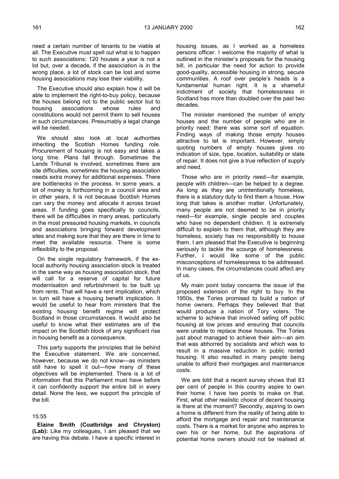need a certain number of tenants to be viable at all. The Executive must spell out what is to happen to such associations: 120 houses a year is not a lot but, over a decade, if the association is in the wrong place, a lot of stock can be lost and some housing associations may lose their viability.

The Executive should also explain how it will be able to implement the right-to-buy policy, because the houses belong not to the public sector but to housing associations whose rules and constitutions would not permit them to sell houses in such circumstances. Presumably a legal change will be needed.

We should also look at local authorities inheriting the Scottish Homes funding role. Procurement of housing is not easy and takes a long time. Plans fall through. Sometimes the Lands Tribunal is involved, sometimes there are site difficulties, sometimes the housing association needs extra money for additional expenses. There are bottlenecks in the process. In some years, a lot of money is forthcoming in a council area and in other years, it is not because Scottish Homes can vary the money and allocate it across broad areas. If funding goes specifically to councils, there will be difficulties in many areas, particularly in the most pressured housing markets, in councils and associations bringing forward development sites and making sure that they are there in time to meet the available resource. There is some inflexibility to the proposal.

On the single regulatory framework, if the exlocal authority housing association stock is treated in the same way as housing association stock, that will call for a reserve of capital for future modernisation and refurbishment to be built up from rents. That will have a rent implication, which in turn will have a housing benefit implication. It would be useful to hear from ministers that the existing housing benefit regime will protect Scotland in those circumstances. It would also be useful to know what their estimates are of the impact on the Scottish block of any significant rise in housing benefit as a consequence.

This party supports the principles that lie behind the Executive statement. We are concerned, however, because we do not know—as ministers still have to spell it out—how many of these objectives will be implemented. There is a lot of information that this Parliament must have before it can confidently support the entire bill in every detail. None the less, we support the principle of the bill.

#### 15:55

**Elaine Smith (Coatbridge and Chryston) (Lab):** Like my colleagues, I am pleased that we are having this debate. I have a specific interest in housing issues, as I worked as a homeless persons officer. I welcome the majority of what is outlined in the minister's proposals for the housing bill, in particular the need for action to provide good-quality, accessible housing in strong, secure communities. A roof over people's heads is a fundamental human right. It is a shameful indictment of society that homelessness in Scotland has more than doubled over the past two decades.

The minister mentioned the number of empty houses and the number of people who are in priority need: there was some sort of equation. Finding ways of making those empty houses attractive to let is important. However, simply quoting numbers of empty houses gives no indication of size, type, location, suitability or state of repair. It does not give a true reflection of supply and need.

Those who are in priority need—for example, people with children—can be helped to a degree. As long as they are unintentionally homeless, there is a statutory duty to find them a house. How long that takes is another matter. Unfortunately, many people are not deemed to be in priority need—for example, single people and couples who have no dependent children. It is extremely difficult to explain to them that, although they are homeless, society has no responsibility to house them. I am pleased that the Executive is beginning seriously to tackle the scourge of homelessness. Further, I would like some of the public misconceptions of homelessness to be addressed. In many cases, the circumstances could affect any of us.

My main point today concerns the issue of the proposed extension of the right to buy. In the 1950s, the Tories promised to build a nation of home owners. Perhaps they believed that that would produce a nation of Tory voters. The scheme to achieve that involved selling off public housing at low prices and ensuring that councils were unable to replace those houses. The Tories just about managed to achieve their aim—an aim that was abhorred by socialists and which was to result in a massive reduction in public rented housing. It also resulted in many people being unable to afford their mortgages and maintenance costs.

We are told that a recent survey shows that 83 per cent of people in this country aspire to own their home. I have two points to make on that. First, what other realistic choice of decent housing is there at the moment? Secondly, aspiring to own a home is different from the reality of being able to afford the mortgage and repair and maintenance costs. There is a market for anyone who aspires to own his or her home, but the aspirations of potential home owners should not be realised at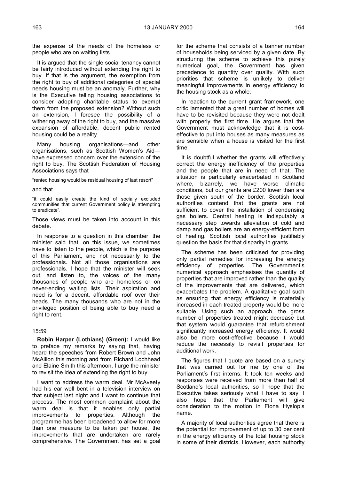the expense of the needs of the homeless or people who are on waiting lists.

It is argued that the single social tenancy cannot be fairly introduced without extending the right to buy. If that is the argument, the exemption from the right to buy of additional categories of special needs housing must be an anomaly. Further, why is the Executive telling housing associations to consider adopting charitable status to exempt them from the proposed extension? Without such an extension, I foresee the possibility of a withering away of the right to buy, and the massive expansion of affordable, decent public rented housing could be a reality.

Many housing organisations—and other organisations, such as Scottish Women's Aid have expressed concern over the extension of the right to buy. The Scottish Federation of Housing Associations says that

"rented housing would be residual housing of last resort"

### and that

"it could easily create the kind of socially excluded communities that current Government policy is attempting to eradicate".

Those views must be taken into account in this debate.

In response to a question in this chamber, the minister said that, on this issue, we sometimes have to listen to the people, which is the purpose of this Parliament, and not necessarily to the professionals. Not all those organisations are professionals. I hope that the minister will seek out, and listen to, the voices of the many thousands of people who are homeless or on never-ending waiting lists. Their aspiration and need is for a decent, affordable roof over their heads. The many thousands who are not in the privileged position of being able to buy need a right to rent.

## 15:59

**Robin Harper (Lothians) (Green):** I would like to preface my remarks by saying that, having heard the speeches from Robert Brown and John McAllion this morning and from Richard Lochhead and Elaine Smith this afternoon, I urge the minister to revisit the idea of extending the right to buy.

I want to address the warm deal. Mr McAveety had his ear well bent in a television interview on that subject last night and I want to continue that process. The most common complaint about the warm deal is that it enables only partial improvements to properties. Although the programme has been broadened to allow for more than one measure to be taken per house, the improvements that are undertaken are rarely comprehensive. The Government has set a goal

for the scheme that consists of a banner number of households being serviced by a given date. By structuring the scheme to achieve this purely numerical goal, the Government has given precedence to quantity over quality. With such priorities that scheme is unlikely to deliver meaningful improvements in energy efficiency to the housing stock as a whole.

In reaction to the current grant framework, one critic lamented that a great number of homes will have to be revisited because they were not dealt with properly the first time. He argues that the Government must acknowledge that it is costeffective to put into houses as many measures as are sensible when a house is visited for the first time.

It is doubtful whether the grants will effectively correct the energy inefficiency of the properties and the people that are in need of that. The situation is particularly exacerbated in Scotland where, bizarrely, we have worse climatic conditions, but our grants are £200 lower than are those given south of the border. Scottish local authorities contend that the grants are not sufficient to cover the installation of condensing gas boilers. Central heating is indisputably a necessary step towards alleviation of cold and damp and gas boilers are an energy-efficient form of heating. Scottish local authorities justifiably question the basis for that disparity in grants.

The scheme has been criticised for providing only partial remedies for increasing the energy efficiency of properties. The Government's numerical approach emphasises the quantity of properties that are improved rather than the quality of the improvements that are delivered, which exacerbates the problem. A qualitative goal such as ensuring that energy efficiency is materially increased in each treated property would be more suitable. Using such an approach, the gross number of properties treated might decrease but that system would guarantee that refurbishment significantly increased energy efficiency. It would also be more cost-effective because it would reduce the necessity to revisit properties for additional work.

The figures that I quote are based on a survey that was carried out for me by one of the Parliament's first interns. It took ten weeks and responses were received from more than half of Scotland's local authorities, so I hope that the Executive takes seriously what I have to say. I also hope that the Parliament will give consideration to the motion in Fiona Hyslop's name.

A majority of local authorities agree that there is the potential for improvement of up to 30 per cent in the energy efficiency of the total housing stock in some of their districts. However, each authority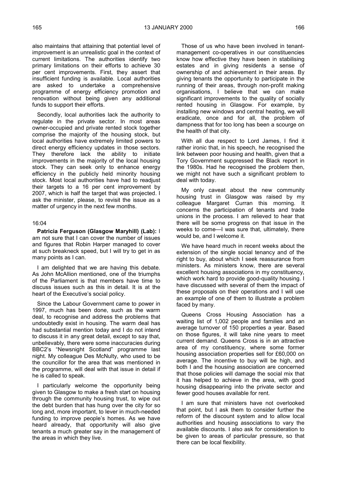also maintains that attaining that potential level of improvement is an unrealistic goal in the context of current limitations. The authorities identify two primary limitations on their efforts to achieve 30 per cent improvements. First, they assert that insufficient funding is available. Local authorities are asked to undertake a comprehensive programme of energy efficiency promotion and renovation without being given any additional funds to support their efforts.

Secondly, local authorities lack the authority to regulate in the private sector. In most areas owner-occupied and private rented stock together comprise the majority of the housing stock, but local authorities have extremely limited powers to direct energy efficiency updates in those sectors. They therefore lack the ability to initiate improvements in the majority of the local housing stock. They can seek only to enhance energy efficiency in the publicly held minority housing stock. Most local authorities have had to readjust their targets to a 16 per cent improvement by 2007, which is half the target that was projected. I ask the minister, please, to revisit the issue as a matter of urgency in the next few months.

#### 16:04

**Patricia Ferguson (Glasgow Maryhill) (Lab):** I am not sure that I can cover the number of issues and figures that Robin Harper managed to cover at such breakneck speed, but I will try to get in as many points as I can.

I am delighted that we are having this debate. As John McAllion mentioned, one of the triumphs of the Parliament is that members have time to discuss issues such as this in detail. It is at the heart of the Executive's social policy.

Since the Labour Government came to power in 1997, much has been done, such as the warm deal, to recognise and address the problems that undoubtedly exist in housing. The warm deal has had substantial mention today and I do not intend to discuss it in any great detail, except to say that, unbelievably, there were some inaccuracies during BBC2's "Newsnight Scotland" programme last night. My colleague Des McNulty, who used to be the councillor for the area that was mentioned in the programme, will deal with that issue in detail if he is called to speak.

I particularly welcome the opportunity being given to Glasgow to make a fresh start on housing through the community housing trust, to wipe out the debt burden that has hung over the city for so long and, more important, to lever in much-needed funding to improve people's homes. As we have heard already, that opportunity will also give tenants a much greater say in the management of the areas in which they live.

Those of us who have been involved in tenantmanagement co-operatives in our constituencies know how effective they have been in stabilising estates and in giving residents a sense of ownership of and achievement in their areas. By giving tenants the opportunity to participate in the running of their areas, through non-profit making organisations, I believe that we can make significant improvements to the quality of socially rented housing in Glasgow. For example, by installing new windows and central heating, we will eradicate, once and for all, the problem of dampness that for too long has been a scourge on the health of that city.

With all due respect to Lord James, I find it rather ironic that, in his speech, he recognised the link between poor housing and health, given that a Tory Government suppressed the Black report in the 1980s. Had he recognised the problem then, we might not have such a significant problem to deal with today.

My only caveat about the new community housing trust in Glasgow was raised by my colleague Margaret Curran this morning. It concerns the participation of tenants and trade unions in the process. I am relieved to hear that there will be some progress on that issue in the weeks to come—I was sure that, ultimately, there would be, and I welcome it.

We have heard much in recent weeks about the extension of the single social tenancy and of the right to buy, about which I seek reassurance from ministers. As ministers know, there are several excellent housing associations in my constituency, which work hard to provide good-quality housing. I have discussed with several of them the impact of these proposals on their operations and I will use an example of one of them to illustrate a problem faced by many.

Queens Cross Housing Association has a waiting list of 1,002 people and families and an average turnover of 150 properties a year. Based on those figures, it will take nine years to meet current demand. Queens Cross is in an attractive area of my constituency, where some former housing association properties sell for £60,000 on average. The incentive to buy will be high, and both I and the housing association are concerned that those policies will damage the social mix that it has helped to achieve in the area, with good housing disappearing into the private sector and fewer good houses available for rent.

I am sure that ministers have not overlooked that point, but I ask them to consider further the reform of the discount system and to allow local authorities and housing associations to vary the available discounts. I also ask for consideration to be given to areas of particular pressure, so that there can be local flexibility.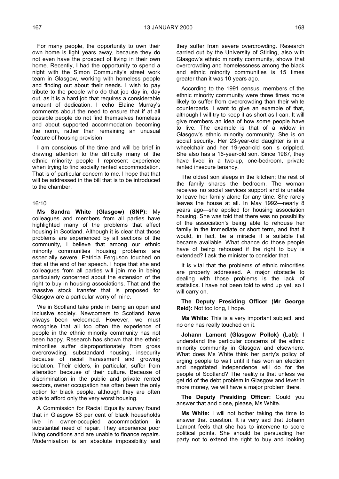For many people, the opportunity to own their own home is light years away, because they do not even have the prospect of living in their own home. Recently, I had the opportunity to spend a night with the Simon Community's street work team in Glasgow, working with homeless people and finding out about their needs. I wish to pay tribute to the people who do that job day in, day out, as it is a hard job that requires a considerable amount of dedication. I echo Elaine Murray's comments about the need to ensure that if at all possible people do not find themselves homeless and about supported accommodation becoming the norm, rather than remaining an unusual feature of housing provision.

I am conscious of the time and will be brief in drawing attention to the difficulty many of the ethnic minority people I represent experience when trying to find socially rented accommodation. That is of particular concern to me. I hope that that will be addressed in the bill that is to be introduced to the chamber.

### 16:10

**Ms Sandra White (Glasgow) (SNP):** My colleagues and members from all parties have highlighted many of the problems that affect housing in Scotland. Although it is clear that those problems are experienced by all sections of the community, I believe that among our ethnic minority communities housing problems are especially severe. Patricia Ferguson touched on that at the end of her speech. I hope that she and colleagues from all parties will join me in being particularly concerned about the extension of the right to buy in housing associations. That and the massive stock transfer that is proposed for Glasgow are a particular worry of mine.

We in Scotland take pride in being an open and inclusive society. Newcomers to Scotland have always been welcomed. However, we must recognise that all too often the experience of people in the ethnic minority community has not been happy. Research has shown that the ethnic minorities suffer disproportionately from gross overcrowding, substandard housing, insecurity because of racial harassment and growing isolation. Their elders, in particular, suffer from alienation because of their culture. Because of discrimination in the public and private rented sectors, owner occupation has often been the only option for black people, although they are often able to afford only the very worst housing.

A Commission for Racial Equality survey found that in Glasgow 83 per cent of black households live in owner-occupied accommodation in substantial need of repair. They experience poor living conditions and are unable to finance repairs. Modernisation is an absolute impossibility and

they suffer from severe overcrowding. Research carried out by the University of Stirling, also with Glasgow's ethnic minority community, shows that overcrowding and homelessness among the black and ethnic minority communities is 15 times greater than it was 10 years ago.

According to the 1991 census, members of the ethnic minority community were three times more likely to suffer from overcrowding than their white counterparts. I want to give an example of that, although I will try to keep it as short as I can. It will give members an idea of how some people have to live. The example is that of a widow in Glasgow's ethnic minority community. She is on social security. Her 23-year-old daughter is in a wheelchair and her 19-year-old son is crippled. She also has a 16-year-old son. Since 1987, they have lived in a two-up, one-bedroom, private rented insecure tenancy.

The oldest son sleeps in the kitchen; the rest of the family shares the bedroom. The woman receives no social services support and is unable to leave her family alone for any time. She rarely leaves the house at all. In May 1992—nearly 8 years ago—she applied for housing association housing. She was told that there was no possibility of the association's being able to rehouse her family in the immediate or short term, and that it would, in fact, be a miracle if a suitable flat became available. What chance do those people have of being rehoused if the right to buy is extended? I ask the minister to consider that.

It is vital that the problems of ethnic minorities are properly addressed. A major obstacle to dealing with those problems is the lack of statistics. I have not been told to wind up yet, so I will carry on.

**The Deputy Presiding Officer (Mr George Reid):** Not too long, I hope.

**Ms White:** This is a very important subject, and no one has really touched on it.

**Johann Lamont (Glasgow Pollok) (Lab):** I understand the particular concerns of the ethnic minority community in Glasgow and elsewhere. What does Ms White think her party's policy of urging people to wait until it has won an election and negotiated independence will do for the people of Scotland? The reality is that unless we get rid of the debt problem in Glasgow and lever in more money, we will have a major problem there.

**The Deputy Presiding Officer:** Could you answer that and close, please, Ms White.

**Ms White:** I will not bother taking the time to answer that question. It is very sad that Johann Lamont feels that she has to intervene to score political points. She should be persuading her party not to extend the right to buy and looking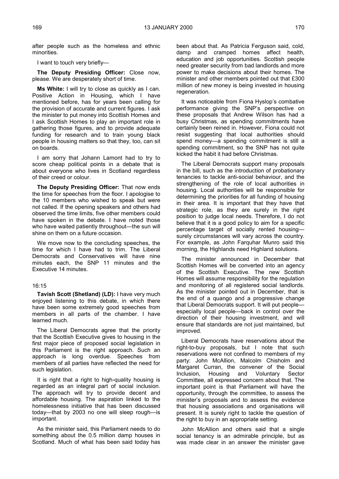after people such as the homeless and ethnic minorities.

I want to touch very briefly—

**The Deputy Presiding Officer:** Close now, please. We are desperately short of time.

**Ms White:** I will try to close as quickly as I can. Positive Action in Housing, which I have mentioned before, has for years been calling for the provision of accurate and current figures. I ask the minister to put money into Scottish Homes and I ask Scottish Homes to play an important role in gathering those figures, and to provide adequate funding for research and to train young black people in housing matters so that they, too, can sit on boards.

I am sorry that Johann Lamont had to try to score cheap political points in a debate that is about everyone who lives in Scotland regardless of their creed or colour.

**The Deputy Presiding Officer:** That now ends the time for speeches from the floor. I apologise to the 10 members who wished to speak but were not called. If the opening speakers and others had observed the time limits, five other members could have spoken in the debate. I have noted those who have waited patiently throughout—the sun will shine on them on a future occasion.

We move now to the concluding speeches, the time for which I have had to trim. The Liberal Democrats and Conservatives will have nine minutes each, the SNP 11 minutes and the Executive 14 minutes.

## 16:15

**Tavish Scott (Shetland) (LD):** I have very much enjoyed listening to this debate, in which there have been some extremely good speeches from members in all parts of the chamber. I have learned much.

The Liberal Democrats agree that the priority that the Scottish Executive gives to housing in the first major piece of proposed social legislation in this Parliament is the right approach. Such an approach is long overdue. Speeches from members of all parties have reflected the need for such legislation.

It is right that a right to high-quality housing is regarded as an integral part of social inclusion. The approach will try to provide decent and affordable housing. The aspiration linked to the homelessness initiative that has been discussed today—that by 2003 no one will sleep rough—is important.

As the minister said, this Parliament needs to do something about the 0.5 million damp houses in Scotland. Much of what has been said today has

been about that. As Patricia Ferguson said, cold, damp and cramped homes affect health, education and job opportunities. Scottish people need greater security from bad landlords and more power to make decisions about their homes. The minister and other members pointed out that £300 million of new money is being invested in housing regeneration.

It was noticeable from Fiona Hyslop's combative performance giving the SNP's perspective on these proposals that Andrew Wilson has had a busy Christmas, as spending commitments have certainly been reined in. However, Fiona could not resist suggesting that local authorities should spend money—a spending commitment is still a spending commitment, so the SNP has not quite kicked the habit it had before Christmas.

The Liberal Democrats support many proposals in the bill, such as the introduction of probationary tenancies to tackle anti-social behaviour, and the strengthening of the role of local authorities in housing. Local authorities will be responsible for determining the priorities for all funding of housing in their area. It is important that they have that strategic role, as they are surely in the right position to judge local needs. Therefore, I do not believe that it is a good policy to aim for a specific percentage target of socially rented housing surely circumstances will vary across the country. For example, as John Farquhar Munro said this morning, the Highlands need Highland solutions.

The minister announced in December that Scottish Homes will be converted into an agency of the Scottish Executive. The new Scottish Homes will assume responsibility for the regulation and monitoring of all registered social landlords. As the minister pointed out in December, that is the end of a quango and a progressive change that Liberal Democrats support. It will put people especially local people—back in control over the direction of their housing investment, and will ensure that standards are not just maintained, but improved.

Liberal Democrats have reservations about the right-to-buy proposals, but I note that such reservations were not confined to members of my party: John McAllion, Malcolm Chisholm and Margaret Curran, the convener of the Social Inclusion, Housing and Voluntary Sector Committee, all expressed concern about that. The important point is that Parliament will have the opportunity, through the committee, to assess the minister's proposals and to assess the evidence that housing associations and organisations will present. It is surely right to tackle the question of the right to buy in an appropriate setting.

John McAllion and others said that a single social tenancy is an admirable principle, but as was made clear in an answer the minister gave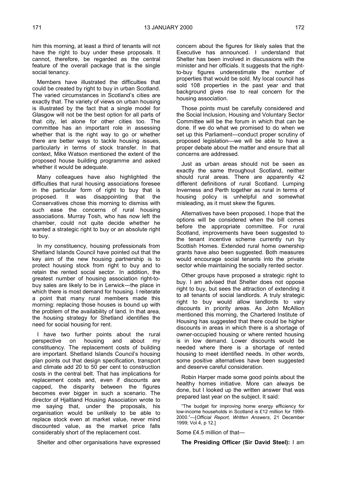him this morning, at least a third of tenants will not have the right to buy under these proposals. It cannot, therefore, be regarded as the central feature of the overall package that is the single social tenancy.

Members have illustrated the difficulties that could be created by right to buy in urban Scotland. The varied circumstances in Scotland's cities are exactly that. The variety of views on urban housing is illustrated by the fact that a single model for Glasgow will not be the best option for all parts of that city, let alone for other cities too. The committee has an important role in assessing whether that is the right way to go or whether there are better ways to tackle housing issues, particularly in terms of stock transfer. In that context, Mike Watson mentioned the extent of the proposed house building programme and asked whether it would be adequate.

Many colleagues have also highlighted the difficulties that rural housing associations foresee in the particular form of right to buy that is proposed. It was disappointing that the Conservatives chose this morning to dismiss with such ease the concerns of rural housing associations. Murray Tosh, who has now left the chamber, could not quite decide whether he wanted a strategic right to buy or an absolute right to buy.

In my constituency, housing professionals from Shetland Islands Council have pointed out that the key aim of the new housing partnership is to protect housing stock from right to buy and to retain the rented social sector. In addition, the greatest number of housing association right-tobuy sales are likely to be in Lerwick—the place in which there is most demand for housing. I reiterate a point that many rural members made this morning: replacing those houses is bound up with the problem of the availability of land. In that area, the housing strategy for Shetland identifies the need for social housing for rent.

I have two further points about the rural perspective on housing and about my constituency. The replacement costs of building are important. Shetland Islands Council's housing plan points out that design specification, transport and climate add 20 to 50 per cent to construction costs in the central belt. That has implications for replacement costs and, even if discounts are capped, the disparity between the figures becomes ever bigger in such a scenario. The director of Hjaltland Housing Association wrote to me saying that, under the proposals, his organisation would be unlikely to be able to replace stock even at market value, never mind discounted value, as the market price falls considerably short of the replacement cost.

Shelter and other organisations have expressed

concern about the figures for likely sales that the Executive has announced. I understand that Shelter has been involved in discussions with the minister and her officials. It suggests that the rightto-buy figures underestimate the number of properties that would be sold. My local council has sold 108 properties in the past year and that background gives rise to real concern for the housing association.

Those points must be carefully considered and the Social Inclusion, Housing and Voluntary Sector Committee will be the forum in which that can be done. If we do what we promised to do when we set up this Parliament—conduct proper scrutiny of proposed legislation—we will be able to have a proper debate about the matter and ensure that all concerns are addressed.

Just as urban areas should not be seen as exactly the same throughout Scotland, neither should rural areas. There are apparently 42 different definitions of rural Scotland. Lumping Inverness and Perth together as rural in terms of housing policy is unhelpful and somewhat misleading, as it must skew the figures.

Alternatives have been proposed. I hope that the options will be considered when the bill comes before the appropriate committee. For rural Scotland, improvements have been suggested to the tenant incentive scheme currently run by Scottish Homes. Extended rural home ownership grants have also been suggested. Both measures would encourage social tenants into the private sector while maintaining the socially rented sector.

Other groups have proposed a strategic right to buy. I am advised that Shelter does not oppose right to buy, but sees the attraction of extending it to all tenants of social landlords. A truly strategic right to buy would allow landlords to vary discounts in priority areas. As John McAllion mentioned this morning, the Chartered Institute of Housing has suggested that there could be higher discounts in areas in which there is a shortage of owner-occupied housing or where rented housing is in low demand. Lower discounts would be needed where there is a shortage of rented housing to meet identified needs. In other words, some positive alternatives have been suggested and deserve careful consideration.

Robin Harper made some good points about the healthy homes initiative. More can always be done, but I looked up the written answer that was prepared last year on the subject. It said:

"The budget for improving home energy efficiency for low-income households in Scotland is £12 million for 1999- 2000."—[*Official Report, Written Answers,* 21 December 1999; Vol 4, p 12.]

Some £4.5 million of that—

**The Presiding Officer (Sir David Steel):** I am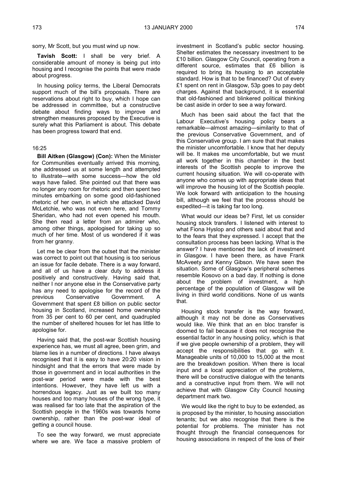**Tavish Scott:** I shall be very brief. A considerable amount of money is being put into housing and I recognise the points that were made about progress.

In housing policy terms, the Liberal Democrats support much of the bill's proposals. There are reservations about right to buy, which I hope can be addressed in committee, but a constructive debate about finding ways to improve and strengthen measures proposed by the Executive is surely what this Parliament is about. This debate has been progress toward that end.

#### 16:25

**Bill Aitken (Glasgow) (Con):** When the Minister for Communities eventually arrived this morning, she addressed us at some length and attempted to illustrate—with some success—how the old ways have failed. She pointed out that there was no longer any room for rhetoric and then spent two minutes embarking on some good old-fashioned rhetoric of her own, in which she attacked David McLetchie, who was not even here, and Tommy Sheridan, who had not even opened his mouth. She then read a letter from an admirer who, among other things, apologised for taking up so much of her time. Most of us wondered if it was from her granny.

Let me be clear from the outset that the minister was correct to point out that housing is too serious an issue for facile debate. There is a way forward, and all of us have a clear duty to address it positively and constructively. Having said that, neither I nor anyone else in the Conservative party has any need to apologise for the record of the previous Conservative Government. A Government that spent £8 billion on public sector housing in Scotland, increased home ownership from 35 per cent to 60 per cent, and quadrupled the number of sheltered houses for let has little to apologise for.

Having said that, the post-war Scottish housing experience has, we must all agree, been grim, and blame lies in a number of directions. I have always recognised that it is easy to have 20:20 vision in hindsight and that the errors that were made by those in government and in local authorities in the post-war period were made with the best intentions. However, they have left us with a horrendous legacy. Just as we built too many houses and too many houses of the wrong type, it was realised far too late that the aspiration of the Scottish people in the 1960s was towards home ownership, rather than the post-war ideal of getting a council house.

To see the way forward, we must appreciate where we are. We face a massive problem of investment in Scotland's public sector housing. Shelter estimates the necessary investment to be £10 billion. Glasgow City Council, operating from a different source, estimates that £6 billion is required to bring its housing to an acceptable standard. How is that to be financed? Out of every £1 spent on rent in Glasgow, 53p goes to pay debt charges. Against that background, it is essential that old-fashioned and blinkered political thinking be cast aside in order to see a way forward.

Much has been said about the fact that the Labour Executive's housing policy bears a remarkable—almost amazing—similarity to that of the previous Conservative Government, and of this Conservative group. I am sure that that makes the minister uncomfortable. I know that her deputy will be. It makes me uncomfortable, but we must all work together in this chamber in the best interests of the Scottish people to improve the current housing situation. We will co-operate with anyone who comes up with appropriate ideas that will improve the housing lot of the Scottish people. We look forward with anticipation to the housing bill, although we feel that the process should be expedited—it is taking far too long.

What would our ideas be? First, let us consider housing stock transfers. I listened with interest to what Fiona Hyslop and others said about that and to the fears that they expressed. I accept that the consultation process has been lacking. What is the answer? I have mentioned the lack of investment in Glasgow. I have been there, as have Frank McAveety and Kenny Gibson. We have seen the situation. Some of Glasgow's peripheral schemes resemble Kosovo on a bad day. If nothing is done about the problem of investment, a high percentage of the population of Glasgow will be living in third world conditions. None of us wants that.

Housing stock transfer is the way forward, although it may not be done as Conservatives would like. We think that an en bloc transfer is doomed to fail because it does not recognise the essential factor in any housing policy, which is that if we give people ownership of a problem, they will accept the responsibilities that go with it. Manageable units of 10,000 to 15,000 at the most are the breakdown position. When there is local input and a local appreciation of the problems, there will be constructive dialogue with the tenants and a constructive input from them. We will not achieve that with Glasgow City Council housing department mark two.

We would like the right to buy to be extended, as is proposed by the minister, to housing association tenants; but we also recognise that there is the potential for problems. The minister has not thought through the financial consequences for housing associations in respect of the loss of their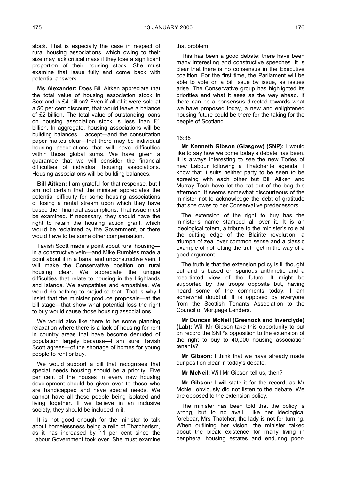stock. That is especially the case in respect of rural housing associations, which owing to their size may lack critical mass if they lose a significant proportion of their housing stock. She must examine that issue fully and come back with potential answers.

**Ms Alexander:** Does Bill Aitken appreciate that the total value of housing association stock in Scotland is £4 billion? Even if all of it were sold at a 50 per cent discount, that would leave a balance of £2 billion. The total value of outstanding loans on housing association stock is less than £1 billion. In aggregate, housing associations will be building balances. I accept—and the consultation paper makes clear—that there may be individual housing associations that will have difficulties within those global sums. We have given a guarantee that we will consider the financial difficulties of individual housing associations. Housing associations will be building balances.

**Bill Aitken:** I am grateful for that response, but I am not certain that the minister appreciates the potential difficulty for some housing associations of losing a rental stream upon which they have based their financial assumptions. That issue must be examined. If necessary, they should have the right to retain the housing action grant, which would be reclaimed by the Government, or there would have to be some other compensation.

Tavish Scott made a point about rural housing in a constructive vein—and Mike Rumbles made a point about it in a banal and unconstructive vein. I will make the Conservative position on rural housing clear. We appreciate the unique difficulties that relate to housing in the Highlands and Islands. We sympathise and empathise. We would do nothing to prejudice that. That is why I insist that the minister produce proposals—at the bill stage—that show what potential loss the right to buy would cause those housing associations.

We would also like there to be some planning relaxation where there is a lack of housing for rent in country areas that have become denuded of population largely because—I am sure Tavish Scott agrees—of the shortage of homes for young people to rent or buy.

We would support a bill that recognises that special needs housing should be a priority. Five per cent of the houses in every new housing development should be given over to those who are handicapped and have special needs. We cannot have all those people being isolated and living together. If we believe in an inclusive society, they should be included in it.

It is not good enough for the minister to talk about homelessness being a relic of Thatcherism, as it has increased by 11 per cent since the Labour Government took over. She must examine

that problem.

This has been a good debate; there have been many interesting and constructive speeches. It is clear that there is no consensus in the Executive coalition. For the first time, the Parliament will be able to vote on a bill issue by issue, as issues arise. The Conservative group has highlighted its priorities and what it sees as the way ahead. If there can be a consensus directed towards what we have proposed today, a new and enlightened housing future could be there for the taking for the people of Scotland.

### 16:35

**Mr Kenneth Gibson (Glasgow) (SNP):** I would like to say how welcome today's debate has been. It is always interesting to see the new Tories of new Labour following a Thatcherite agenda. I know that it suits neither party to be seen to be agreeing with each other but Bill Aitken and Murray Tosh have let the cat out of the bag this afternoon. It seems somewhat discourteous of the minister not to acknowledge the debt of gratitude that she owes to her Conservative predecessors.

The extension of the right to buy has the minister's name stamped all over it. It is an ideological totem, a tribute to the minister's role at the cutting edge of the Blairite revolution, a triumph of zeal over common sense and a classic example of not letting the truth get in the way of a good argument.

The truth is that the extension policy is ill thought out and is based on spurious arithmetic and a rose-tinted view of the future. It might be supported by the troops opposite but, having heard some of the comments today, I am somewhat doubtful. It is opposed by everyone from the Scottish Tenants Association to the Council of Mortgage Lenders.

**Mr Duncan McNeil (Greenock and Inverclyde) (Lab):** Will Mr Gibson take this opportunity to put on record the SNP's opposition to the extension of the right to buy to 40,000 housing association tenants?

**Mr Gibson:** I think that we have already made our position clear in today's debate.

**Mr McNeil:** Will Mr Gibson tell us, then?

**Mr Gibson:** I will state it for the record, as Mr McNeil obviously did not listen to the debate. We are opposed to the extension policy.

The minister has been told that the policy is wrong, but to no avail. Like her ideological forebear, Mrs Thatcher, the lady is not for turning. When outlining her vision, the minister talked about the bleak existence for many living in peripheral housing estates and enduring poor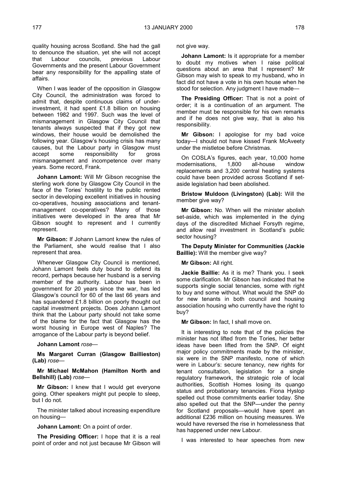quality housing across Scotland. She had the gall to denounce the situation, yet she will not accept that Labour councils, previous Labour Governments and the present Labour Government bear any responsibility for the appalling state of affairs.

When I was leader of the opposition in Glasgow City Council, the administration was forced to admit that, despite continuous claims of underinvestment, it had spent £1.8 billion on housing between 1982 and 1997. Such was the level of mismanagement in Glasgow City Council that tenants always suspected that if they got new windows, their house would be demolished the following year. Glasgow's housing crisis has many causes, but the Labour party in Glasgow must accept some responsibility for gross mismanagement and incompetence over many years. Some record, Frank.

**Johann Lamont:** Will Mr Gibson recognise the sterling work done by Glasgow City Council in the face of the Tories' hostility to the public rented sector in developing excellent initiatives in housing co-operatives, housing associations and tenantmanagement co-operatives? Many of those initiatives were developed in the area that Mr Gibson sought to represent and I currently represent.

**Mr Gibson:** If Johann Lamont knew the rules of the Parliament, she would realise that I also represent that area.

Whenever Glasgow City Council is mentioned, Johann Lamont feels duty bound to defend its record, perhaps because her husband is a serving member of the authority. Labour has been in government for 20 years since the war, has led Glasgow's council for 60 of the last 66 years and has squandered £1.8 billion on poorly thought out capital investment projects. Does Johann Lamont think that the Labour party should not take some of the blame for the fact that Glasgow has the worst housing in Europe west of Naples? The arrogance of the Labour party is beyond belief.

## **Johann Lamont** *rose—*

**Ms Margaret Curran (Glasgow Baillieston) (Lab)** *rose—*

**Mr Michael McMahon (Hamilton North and Bellshill) (Lab)** *rose—*

**Mr Gibson:** I knew that I would get everyone going. Other speakers might put people to sleep, but I do not.

The minister talked about increasing expenditure on housing—

**Johann Lamont:** On a point of order.

**The Presiding Officer:** I hope that it is a real point of order and not just because Mr Gibson will not give way.

**Johann Lamont:** Is it appropriate for a member to doubt my motives when I raise political questions about an area that I represent? Mr Gibson may wish to speak to my husband, who in fact did not have a vote in his own house when he stood for selection. Any judgment I have made—

**The Presiding Officer:** That is not a point of order; it is a continuation of an argument. The member must be responsible for his own remarks and if he does not give way, that is also his responsibility.

**Mr Gibson:** I apologise for my bad voice today—I should not have kissed Frank McAveety under the mistletoe before Christmas.

On COSLA's figures, each year, 10,000 home modernisations, 1,800 all-house window replacements and 3,200 central heating systems could have been provided across Scotland if setaside legislation had been abolished.

**Bristow Muldoon (Livingston) (Lab):** Will the member give way?

**Mr Gibson:** No. When will the minister abolish set-aside, which was implemented in the dying days of the discredited Michael Forsyth regime, and allow real investment in Scotland's public sector housing?

**The Deputy Minister for Communities (Jackie Baillie):** Will the member give way?

### **Mr Gibson:** All right.

**Jackie Baillie:** As it is me? Thank you. I seek some clarification. Mr Gibson has indicated that he supports single social tenancies, some with right to buy and some without. What would the SNP do for new tenants in both council and housing association housing who currently have the right to buy?

**Mr Gibson:** In fact, I shall move on.

It is interesting to note that of the policies the minister has not lifted from the Tories, her better ideas have been lifted from the SNP. Of eight major policy commitments made by the minister, six were in the SNP manifesto, none of which were in Labour's: secure tenancy, new rights for tenant consultation, legislation for a single regulatory framework, the strategic role of local authorities, Scottish Homes losing its quango status and probationary tenancies. Fiona Hyslop spelled out those commitments earlier today. She also spelled out that the SNP—under the penny for Scotland proposals—would have spent an additional £236 million on housing measures. We would have reversed the rise in homelessness that has happened under new Labour.

I was interested to hear speeches from new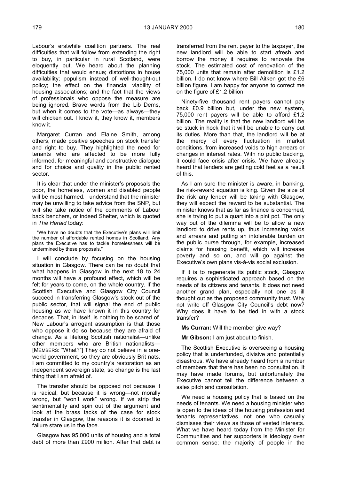Labour's erstwhile coalition partners. The real difficulties that will follow from extending the right to buy, in particular in rural Scotland, were eloquently put. We heard about the planning difficulties that would ensue; distortions in house availability; populism instead of well-thought-out policy; the effect on the financial viability of housing associations; and the fact that the views of professionals who oppose the measure are being ignored. Brave words from the Lib Dems, but when it comes to the vote—as always—they will chicken out. I know it, they know it, members know it.

Margaret Curran and Elaine Smith, among others, made positive speeches on stock transfer and right to buy. They highlighted the need for tenants who are affected to be more fully informed, for meaningful and constructive dialogue and for choice and quality in the public rented sector.

It is clear that under the minister's proposals the poor, the homeless, women and disabled people will be most harmed. I understand that the minister may be unwilling to take advice from the SNP, but will she take notice of the comments of Labour back benchers, or indeed Shelter, which is quoted in *The Herald* today:

"We have no doubts that the Executive's plans will limit the number of affordable rented homes in Scotland. Any plans the Executive has to tackle homelessness will be undermined by these proposals."

I will conclude by focusing on the housing situation in Glasgow. There can be no doubt that what happens in Glasgow in the next 18 to 24 months will have a profound effect, which will be felt for years to come, on the whole country. If the Scottish Executive and Glasgow City Council succeed in transferring Glasgow's stock out of the public sector, that will signal the end of public housing as we have known it in this country for decades. That, in itself, is nothing to be scared of. New Labour's arrogant assumption is that those who oppose it do so because they are afraid of change. As a lifelong Scottish nationalist—unlike other members who are British nationalists— [MEMBERS: "What?"] They do not believe in a oneworld government, so they are obviously Brit nats. I am committed to my country's restoration as an independent sovereign state, so change is the last thing that I am afraid of.

The transfer should be opposed not because it is radical, but because it is wrong—not morally wrong, but "won't work" wrong. If we strip the sentimentality and spin out of the argument and look at the brass tacks of the case for stock transfer in Glasgow, the reasons it is doomed to failure stare us in the face.

Glasgow has 95,000 units of housing and a total debt of more than £900 million. After that debt is

transferred from the rent payer to the taxpayer, the new landlord will be able to start afresh and borrow the money it requires to renovate the stock. The estimated cost of renovation of the 75,000 units that remain after demolition is £1.2 billion. I do not know where Bill Aitken got the £6 billion figure. I am happy for anyone to correct me on the figure of £1.2 billion.

Ninety-five thousand rent payers cannot pay back £0.9 billion but, under the new system, 75,000 rent payers will be able to afford £1.2 billion. The reality is that the new landlord will be so stuck in hock that it will be unable to carry out its duties. More than that, the landlord will be at the mercy of every fluctuation in market conditions, from increased voids to high arrears or changes in interest rates. With no public backing, it could face crisis after crisis. We have already heard that lenders are getting cold feet as a result of this.

As I am sure the minister is aware, in banking, the risk-reward equation is king. Given the size of the risk any lender will be taking with Glasgow, they will expect the reward to be substantial. The minister knows that as far as finance is concerned, she is trying to put a quart into a pint pot. The only way out of the dilemma will be to allow a new landlord to drive rents up, thus increasing voids and arrears and putting an intolerable burden on the public purse through, for example, increased claims for housing benefit, which will increase poverty and so on, and will go against the Executive's own plans vis-à-vis social exclusion.

If it is to regenerate its public stock, Glasgow requires a sophisticated approach based on the needs of its citizens and tenants. It does not need another grand plan, especially not one as ill thought out as the proposed community trust. Why not write off Glasgow City Council's debt now? Why does it have to be tied in with a stock transfer?

**Ms Curran:** Will the member give way?

**Mr Gibson:** I am just about to finish.

The Scottish Executive is overseeing a housing policy that is underfunded, divisive and potentially disastrous. We have already heard from a number of members that there has been no consultation. It may have made forums, but unfortunately the Executive cannot tell the difference between a sales pitch and consultation.

We need a housing policy that is based on the needs of tenants. We need a housing minister who is open to the ideas of the housing profession and tenants representatives, not one who casually dismisses their views as those of vested interests. What we have heard today from the Minister for Communities and her supporters is ideology over common sense; the majority of people in the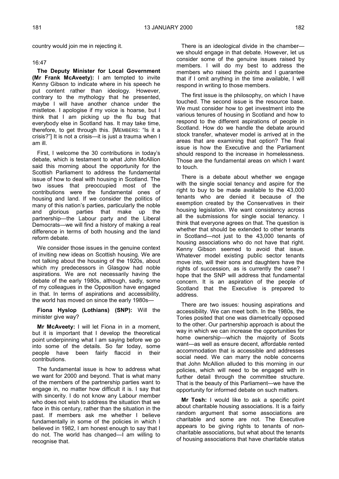country would join me in rejecting it.

## 16:47

**The Deputy Minister for Local Government (Mr Frank McAveety):** I am tempted to invite Kenny Gibson to indicate where in his speech he put content rather than ideology. However, contrary to the mythology that he presented, maybe I will have another chance under the mistletoe. I apologise if my voice is hoarse, but I think that I am picking up the flu bug that everybody else in Scotland has. It may take time, therefore, to get through this. [MEMBERS: "Is it a crisis?"] It is not a crisis—it is just a trauma when I am ill.

First, I welcome the 30 contributions in today's debate, which is testament to what John McAllion said this morning about the opportunity for the Scottish Parliament to address the fundamental issue of how to deal with housing in Scotland. The two issues that preoccupied most of the contributions were the fundamental ones of housing and land. If we consider the politics of many of this nation's parties, particularly the noble and glorious parties that make up the partnership—the Labour party and the Liberal Democrats—we will find a history of making a real difference in terms of both housing and the land reform debate.

We consider those issues in the genuine context of inviting new ideas on Scottish housing. We are not talking about the housing of the 1920s, about which my predecessors in Glasgow had noble aspirations. We are not necessarily having the debate of the early 1980s, although, sadly, some of my colleagues in the Opposition have engaged in that. In terms of aspirations and accessibility, the world has moved on since the early 1980s—

## **Fiona Hyslop (Lothians) (SNP):** Will the minister give way?

**Mr McAveety:** I will let Fiona in in a moment, but it is important that I develop the theoretical point underpinning what I am saying before we go into some of the details. So far today, some people have been fairly flaccid in their contributions.

The fundamental issue is how to address what we want for 2000 and beyond. That is what many of the members of the partnership parties want to engage in, no matter how difficult it is. I say that with sincerity. I do not know any Labour member who does not wish to address the situation that we face in this century, rather than the situation in the past. If members ask me whether I believe fundamentally in some of the policies in which I believed in 1982, I am honest enough to say that I do not. The world has changed—I am willing to recognise that.

There is an ideological divide in the chamber we should engage in that debate. However, let us consider some of the genuine issues raised by members. I will do my best to address the members who raised the points and I guarantee that if I omit anything in the time available, I will respond in writing to those members.

The first issue is the philosophy, on which I have touched. The second issue is the resource base. We must consider how to get investment into the various tenures of housing in Scotland and how to respond to the different aspirations of people in Scotland. How do we handle the debate around stock transfer, whatever model is arrived at in the areas that are examining that option? The final issue is how the Executive and the Parliament should respond to the increase in homelessness. Those are the fundamental areas on which I want to touch.

There is a debate about whether we engage with the single social tenancy and aspire for the right to buy to be made available to the 43,000 tenants who are denied it because of the exemption created by the Conservatives in their housing legislation. We want consistency across all the submissions for single social tenancy. I think that everyone agrees on that. The question is whether that should be extended to other tenants in Scotland—not just to the 43,000 tenants of housing associations who do not have that right. Kenny Gibson seemed to avoid that issue. Whatever model existing public sector tenants move into, will their sons and daughters have the rights of succession, as is currently the case? I hope that the SNP will address that fundamental concern. It is an aspiration of the people of Scotland that the Executive is prepared to address.

There are two issues: housing aspirations and accessibility. We can meet both. In the 1980s, the Tories posited that one was diametrically opposed to the other. Our partnership approach is about the way in which we can increase the opportunities for home ownership—which the majority of Scots want—as well as ensure decent, affordable rented accommodation that is accessible and addresses social need. We can marry the noble concerns that John McAllion alluded to this morning in our policies, which will need to be engaged with in further detail through the committee structure. That is the beauty of this Parliament—we have the opportunity for informed debate on such matters.

**Mr Tosh:** I would like to ask a specific point about charitable housing associations. It is a fairly random argument that some associations are charitable and some are not. The Executive appears to be giving rights to tenants of noncharitable associations, but what about the tenants of housing associations that have charitable status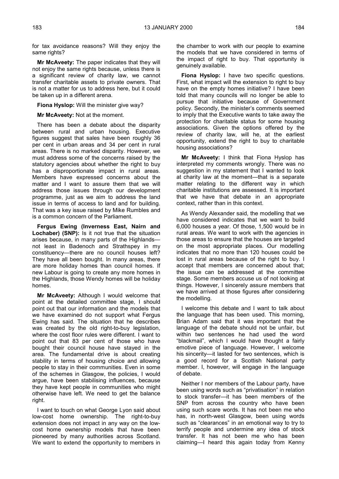for tax avoidance reasons? Will they enjoy the same rights?

**Mr McAveety:** The paper indicates that they will not enjoy the same rights because, unless there is a significant review of charity law, we cannot transfer charitable assets to private owners. That is not a matter for us to address here, but it could be taken up in a different arena.

**Fiona Hyslop:** Will the minister give way?

**Mr McAveety:** Not at the moment.

There has been a debate about the disparity between rural and urban housing. Executive figures suggest that sales have been roughly 36 per cent in urban areas and 34 per cent in rural areas. There is no marked disparity. However, we must address some of the concerns raised by the statutory agencies about whether the right to buy has a disproportionate impact in rural areas. Members have expressed concerns about the matter and I want to assure them that we will address those issues through our development programme, just as we aim to address the land issue in terms of access to land and for building. That was a key issue raised by Mike Rumbles and is a common concern of the Parliament.

**Fergus Ewing (Inverness East, Nairn and Lochaber) (SNP):** Is it not true that the situation arises because, in many parts of the Highlands not least in Badenoch and Strathspey in my constituency—there are no council houses left? They have all been bought. In many areas, there are more holiday homes than council homes. If new Labour is going to create any more homes in the Highlands, those Wendy homes will be holiday homes.

**Mr McAveety:** Although I would welcome that point at the detailed committee stage, I should point out that our information and the models that we have examined do not support what Fergus Ewing has said. The situation that he describes was created by the old right-to-buy legislation, where the cost floor rules were different. I want to point out that 83 per cent of those who have bought their council house have stayed in the area. The fundamental drive is about creating stability in terms of housing choice and allowing people to stay in their communities. Even in some of the schemes in Glasgow, the policies, I would argue, have been stabilising influences, because they have kept people in communities who might otherwise have left. We need to get the balance right.

I want to touch on what George Lyon said about low-cost home ownership. The right-to-buy extension does not impact in any way on the lowcost home ownership models that have been pioneered by many authorities across Scotland. We want to extend the opportunity to members in

the chamber to work with our people to examine the models that we have considered in terms of the impact of right to buy. That opportunity is genuinely available.

**Fiona Hyslop:** I have two specific questions. First, what impact will the extension to right to buy have on the empty homes initiative? I have been told that many councils will no longer be able to pursue that initiative because of Government policy. Secondly, the minister's comments seemed to imply that the Executive wants to take away the protection for charitable status for some housing associations. Given the options offered by the review of charity law, will he, at the earliest opportunity, extend the right to buy to charitable housing associations?

**Mr McAveety:** I think that Fiona Hyslop has interpreted my comments wrongly. There was no suggestion in my statement that I wanted to look at charity law at the moment—that is a separate matter relating to the different way in which charitable institutions are assessed. It is important that we have that debate in an appropriate context, rather than in this context.

As Wendy Alexander said, the modelling that we have considered indicates that we want to build 6,000 houses a year. Of those, 1,500 would be in rural areas. We want to work with the agencies in those areas to ensure that the houses are targeted on the most appropriate places. Our modelling indicates that no more than 120 houses could be lost in rural areas because of the right to buy. I accept that members are concerned about that; the issue can be addressed at the committee stage. Some members accuse us of not looking at things. However, I sincerely assure members that we have arrived at those figures after considering the modelling.

I welcome this debate and I want to talk about the language that has been used. This morning, Brian Adam said that it was important that the language of the debate should not be unfair, but within two sentences he had used the word "blackmail", which I would have thought a fairly emotive piece of language. However, I welcome his sincerity—it lasted for two sentences, which is a good record for a Scottish National party member. I, however, will engage in the language of debate.

Neither I nor members of the Labour party, have been using words such as "privatisation" in relation to stock transfer—it has been members of the SNP from across the country who have been using such scare words. It has not been me who has, in north-west Glasgow, been using words such as "clearances" in an emotional way to try to terrify people and undermine any idea of stock transfer. It has not been me who has been claiming—I heard this again today from Kenny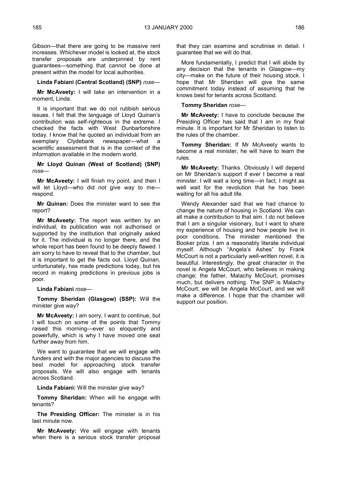Gibson—that there are going to be massive rent increases. Whichever model is looked at, the stock transfer proposals are underpinned by rent guarantees—something that cannot be done at present within the model for local authorities.

## **Linda Fabiani (Central Scotland) (SNP)** *rose—*

**Mr McAveety:** I will take an intervention in a moment, Linda.

It is important that we do not rubbish serious issues. I felt that the language of Lloyd Quinan's contribution was self-righteous in the extreme. I checked the facts with West Dunbartonshire today. I know that he quoted an individual from an exemplary Clydebank newspaper—what a scientific assessment that is in the context of the information available in the modern world.

**Mr Lloyd Quinan (West of Scotland) (SNP)** *rose—*

**Mr McAveety:** I will finish my point, and then I will let Lloyd—who did not give way to me respond.

**Mr Quinan:** Does the minister want to see the report?

**Mr McAveety:** The report was written by an individual; its publication was not authorised or supported by the institution that originally asked for it. The individual is no longer there, and the whole report has been found to be deeply flawed. I am sorry to have to reveal that to the chamber, but it is important to get the facts out. Lloyd Quinan, unfortunately, has made predictions today, but his record in making predictions in previous jobs is poor.

**Linda Fabiani** *rose—*

**Tommy Sheridan (Glasgow) (SSP):** Will the minister give way?

**Mr McAveety:** I am sorry, I want to continue, but I will touch on some of the points that Tommy raised this morning—ever so eloquently and powerfully, which is why I have moved one seat further away from him.

We want to guarantee that we will engage with funders and with the major agencies to discuss the best model for approaching stock transfer proposals. We will also engage with tenants across Scotland.

**Linda Fabiani:** Will the minister give way?

**Tommy Sheridan:** When will he engage with tenants?

**The Presiding Officer:** The minister is in his last minute now.

**Mr McAveety:** We will engage with tenants when there is a serious stock transfer proposal that they can examine and scrutinise in detail. I guarantee that we will do that.

More fundamentally, I predict that I will abide by any decision that the tenants in Glasgow—my city—make on the future of their housing stock. I hope that Mr Sheridan will give the same commitment today instead of assuming that he knows best for tenants across Scotland.

**Tommy Sheridan** *rose—*

**Mr McAveety:** I have to conclude because the Presiding Officer has said that I am in my final minute. It is important for Mr Sheridan to listen to the rules of the chamber.

**Tommy Sheridan:** If Mr McAveety wants to become a real minister, he will have to learn the rules.

**Mr McAveety:** Thanks. Obviously I will depend on Mr Sheridan's support if ever I become a real minister. I will wait a long time—in fact, I might as well wait for the revolution that he has been waiting for all his adult life.

Wendy Alexander said that we had chance to change the nature of housing in Scotland. We can all make a contribution to that aim. I do not believe that I am a singular visionary, but I want to share my experience of housing and how people live in poor conditions. The minister mentioned the Booker prize. I am a reasonably literate individual myself. Although "Angela's Ashes" by Frank McCourt is not a particularly well-written novel, it is beautiful. Interestingly, the great character in the novel is Angela McCourt, who believes in making change; the father, Malachy McCourt, promises much, but delivers nothing. The SNP is Malachy McCourt; we will be Angela McCourt, and we will make a difference. I hope that the chamber will support our position.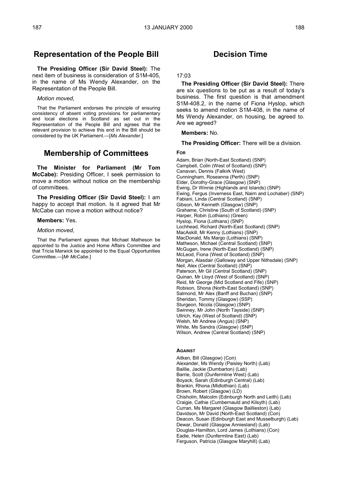# **Representation of the People Bill**

**The Presiding Officer (Sir David Steel):** The next item of business is consideration of S1M-405, in the name of Ms Wendy Alexander, on the Representation of the People Bill.

### *Motion moved,*

That the Parliament endorses the principle of ensuring consistency of absent voting provisions for parliamentary and local elections in Scotland as set out in the Representation of the People Bill and agrees that the relevant provision to achieve this end in the Bill should be considered by the UK Parliament.—[*Ms Alexander*.]

# **Membership of Committees**

**The Minister for Parliament (Mr Tom McCabe):** Presiding Officer, I seek permission to move a motion without notice on the membership of committees.

**The Presiding Officer (Sir David Steel):** I am happy to accept that motion. Is it agreed that Mr McCabe can move a motion without notice?

## **Members:** Yes.

#### *Motion moved,*

That the Parliament agrees that Michael Matheson be appointed to the Justice and Home Affairs Committee and that Tricia Marwick be appointed to the Equal Opportunities Committee.—[*Mr McCabe.*]

# **Decision Time**

## 17:03

**The Presiding Officer (Sir David Steel):** There are six questions to be put as a result of today's business. The first question is that amendment S1M-408.2, in the name of Fiona Hyslop, which seeks to amend motion S1M-408, in the name of Ms Wendy Alexander, on housing, be agreed to. Are we agreed?

### **Members:** No.

**The Presiding Officer:** There will be a division.

#### **FOR**

Adam, Brian (North-East Scotland) (SNP) Campbell, Colin (West of Scotland) (SNP) Canavan, Dennis (Falkirk West) Cunningham, Roseanna (Perth) (SNP) Elder, Dorothy-Grace (Glasgow) (SNP) Ewing, Dr Winnie (Highlands and Islands) (SNP) Ewing, Fergus (Inverness East, Nairn and Lochaber) (SNP) Fabiani, Linda (Central Scotland) (SNP) Gibson, Mr Kenneth (Glasgow) (SNP) Grahame, Christine (South of Scotland) (SNP) Harper, Robin (Lothians) (Green) Hyslop, Fiona (Lothians) (SNP) Lochhead, Richard (North-East Scotland) (SNP) MacAskill, Mr Kenny (Lothians) (SNP) MacDonald, Ms Margo (Lothians) (SNP) Matheson, Michael (Central Scotland) (SNP) McGugan, Irene (North-East Scotland) (SNP) McLeod, Fiona (West of Scotland) (SNP) Morgan, Alasdair (Galloway and Upper Nithsdale) (SNP) Neil, Alex (Central Scotland) (SNP) Paterson, Mr Gil (Central Scotland) (SNP) Quinan, Mr Lloyd (West of Scotland) (SNP) Reid, Mr George (Mid Scotland and Fife) (SNP) Robison, Shona (North-East Scotland) (SNP) Salmond, Mr Alex (Banff and Buchan) (SNP) Sheridan, Tommy (Glasgow) (SSP) Sturgeon, Nicola (Glasgow) (SNP) Swinney, Mr John (North Tayside) (SNP) Ullrich, Kay (West of Scotland) (SNP) Welsh, Mr Andrew (Angus) (SNP) White, Ms Sandra (Glasgow) (SNP) Wilson, Andrew (Central Scotland) (SNP)

## **AGAINST**

Aitken, Bill (Glasgow) (Con) Alexander, Ms Wendy (Paisley North) (Lab) Baillie, Jackie (Dumbarton) (Lab) Barrie, Scott (Dunfermline West) (Lab) Boyack, Sarah (Edinburgh Central) (Lab) Brankin, Rhona (Midlothian) (Lab) Brown, Robert (Glasgow) (LD) Chisholm, Malcolm (Edinburgh North and Leith) (Lab) Craigie, Cathie (Cumbernauld and Kilsyth) (Lab) Curran, Ms Margaret (Glasgow Baillieston) (Lab) Davidson, Mr David (North-East Scotland) (Con) Deacon, Susan (Edinburgh East and Musselburgh) (Lab) Dewar, Donald (Glasgow Anniesland) (Lab) Douglas-Hamilton, Lord James (Lothians) (Con) Eadie, Helen (Dunfermline East) (Lab) Ferguson, Patricia (Glasgow Maryhill) (Lab)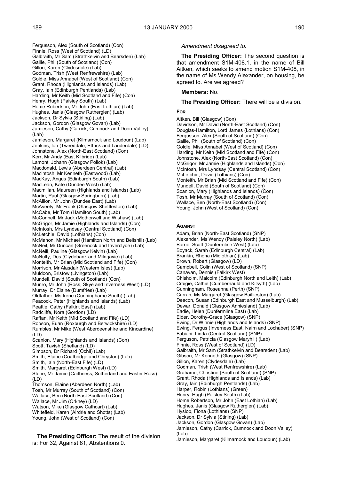Fergusson, Alex (South of Scotland) (Con) Finnie, Ross (West of Scotland) (LD) Galbraith, Mr Sam (Strathkelvin and Bearsden) (Lab) Gallie, Phil (South of Scotland) (Con) Gillon, Karen (Clydesdale) (Lab) Godman, Trish (West Renfrewshire) (Lab) Goldie, Miss Annabel (West of Scotland) (Con) Grant, Rhoda (Highlands and Islands) (Lab) Gray, Iain (Edinburgh Pentlands) (Lab) Harding, Mr Keith (Mid Scotland and Fife) (Con) Henry, Hugh (Paisley South) (Lab) Home Robertson, Mr John (East Lothian) (Lab) Hughes, Janis (Glasgow Rutherglen) (Lab) Jackson, Dr Sylvia (Stirling) (Lab) Jackson, Gordon (Glasgow Govan) (Lab) Jamieson, Cathy (Carrick, Cumnock and Doon Valley)  $($ l ab $)$ Jamieson, Margaret (Kilmarnock and Loudoun) (Lab) Jenkins, Ian (Tweeddale, Ettrick and Lauderdale) (LD) Johnstone, Alex (North-East Scotland) (Con) Kerr, Mr Andy (East Kilbride) (Lab) Lamont, Johann (Glasgow Pollok) (Lab) Macdonald, Lewis (Aberdeen Central) (Lab) Macintosh, Mr Kenneth (Eastwood) (Lab) MacKay, Angus (Edinburgh South) (Lab) MacLean, Kate (Dundee West) (Lab) Macmillan, Maureen (Highlands and Islands) (Lab) Martin, Paul (Glasgow Springburn) (Lab) McAllion, Mr John (Dundee East) (Lab) McAveety, Mr Frank (Glasgow Shettleston) (Lab) McCabe, Mr Tom (Hamilton South) (Lab) McConnell, Mr Jack (Motherwell and Wishaw) (Lab) McGrigor, Mr Jamie (Highlands and Islands) (Con) McIntosh, Mrs Lyndsay (Central Scotland) (Con) McLetchie, David (Lothians) (Con) McMahon, Mr Michael (Hamilton North and Bellshill) (Lab) McNeil, Mr Duncan (Greenock and Inverclyde) (Lab) McNeill, Pauline (Glasgow Kelvin) (Lab) McNulty, Des (Clydebank and Milngavie) (Lab) Monteith, Mr Brian (Mid Scotland and Fife) (Con) Morrison, Mr Alasdair (Western Isles) (Lab) Muldoon, Bristow (Livingston) (Lab) Mundell, David (South of Scotland) (Con) Munro, Mr John (Ross, Skye and Inverness West) (LD) Murray, Dr Elaine (Dumfries) (Lab) Oldfather, Ms Irene (Cunninghame South) (Lab) Peacock, Peter (Highlands and Islands) (Lab) Peattie, Cathy (Falkirk East) (Lab) Radcliffe, Nora (Gordon) (LD) Raffan, Mr Keith (Mid Scotland and Fife) (LD) Robson, Euan (Roxburgh and Berwickshire) (LD) Rumbles, Mr Mike (West Aberdeenshire and Kincardine) (LD) Scanlon, Mary (Highlands and Islands) (Con) Scott, Tavish (Shetland) (LD) Simpson, Dr Richard (Ochil) (Lab) Smith, Elaine (Coatbridge and Chryston) (Lab) Smith, Iain (North-East Fife) (LD) Smith, Margaret (Edinburgh West) (LD) Stone, Mr Jamie (Caithness, Sutherland and Easter Ross) (LD) Thomson, Elaine (Aberdeen North) (Lab) Tosh, Mr Murray (South of Scotland) (Con) Wallace, Ben (North-East Scotland) (Con) Wallace, Mr Jim (Orkney) (LD) Watson, Mike (Glasgow Cathcart) (Lab) Whitefield, Karen (Airdrie and Shotts) (Lab) Young, John (West of Scotland) (Con)

**The Presiding Officer:** The result of the division is: For 32, Against 81, Abstentions 0.

## *Amendment disagreed to.*

**The Presiding Officer:** The second question is that amendment S1M-408.1, in the name of Bill Aitken, which seeks to amend motion S1M-408, in the name of Ms Wendy Alexander, on housing, be agreed to. Are we agreed?

**Members:** No.

**The Presiding Officer:** There will be a division.

## **FOR**

Aitken, Bill (Glasgow) (Con) Davidson, Mr David (North-East Scotland) (Con) Douglas-Hamilton, Lord James (Lothians) (Con) Fergusson, Alex (South of Scotland) (Con) Gallie, Phil (South of Scotland) (Con) Goldie, Miss Annabel (West of Scotland) (Con) Harding, Mr Keith (Mid Scotland and Fife) (Con) Johnstone, Alex (North-East Scotland) (Con) McGrigor, Mr Jamie (Highlands and Islands) (Con) McIntosh, Mrs Lyndsay (Central Scotland) (Con) McLetchie, David (Lothians) (Con) Monteith, Mr Brian (Mid Scotland and Fife) (Con) Mundell, David (South of Scotland) (Con) Scanlon, Mary (Highlands and Islands) (Con) Tosh, Mr Murray (South of Scotland) (Con) Wallace, Ben (North-East Scotland) (Con) Young, John (West of Scotland) (Con)

## **AGAINST**

Adam, Brian (North-East Scotland) (SNP) Alexander, Ms Wendy (Paisley North) (Lab) Barrie, Scott (Dunfermline West) (Lab) Boyack, Sarah (Edinburgh Central) (Lab) Brankin, Rhona (Midlothian) (Lab) Brown, Robert (Glasgow) (LD) Campbell, Colin (West of Scotland) (SNP) Canavan, Dennis (Falkirk West) Chisholm, Malcolm (Edinburgh North and Leith) (Lab) Craigie, Cathie (Cumbernauld and Kilsyth) (Lab) Cunningham, Roseanna (Perth) (SNP) Curran, Ms Margaret (Glasgow Baillieston) (Lab) Deacon, Susan (Edinburgh East and Musselburgh) (Lab) Dewar, Donald (Glasgow Anniesland) (Lab) Eadie, Helen (Dunfermline East) (Lab) Elder, Dorothy-Grace (Glasgow) (SNP) Ewing, Dr Winnie (Highlands and Islands) (SNP) Ewing, Fergus (Inverness East, Nairn and Lochaber) (SNP) Fabiani, Linda (Central Scotland) (SNP) Ferguson, Patricia (Glasgow Maryhill) (Lab) Finnie, Ross (West of Scotland) (LD) Galbraith, Mr Sam (Strathkelvin and Bearsden) (Lab) Gibson, Mr Kenneth (Glasgow) (SNP) Gillon, Karen (Clydesdale) (Lab) Godman, Trish (West Renfrewshire) (Lab) Grahame, Christine (South of Scotland) (SNP) Grant, Rhoda (Highlands and Islands) (Lab) Gray, Iain (Edinburgh Pentlands) (Lab) Harper, Robin (Lothians) (Green) Henry, Hugh (Paisley South) (Lab) Home Robertson, Mr John (East Lothian) (Lab) Hughes, Janis (Glasgow Rutherglen) (Lab) Hyslop, Fiona (Lothians) (SNP) Jackson, Dr Sylvia (Stirling) (Lab) Jackson, Gordon (Glasgow Govan) (Lab) Jamieson, Cathy (Carrick, Cumnock and Doon Valley) (Lab) Jamieson, Margaret (Kilmarnock and Loudoun) (Lab)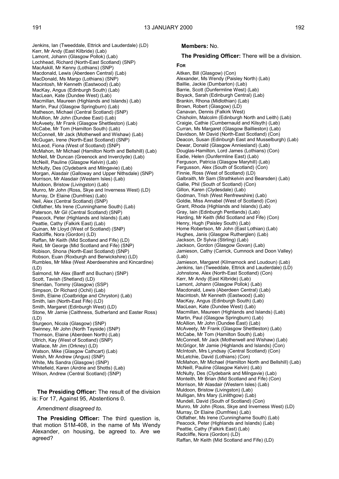Jenkins, Ian (Tweeddale, Ettrick and Lauderdale) (LD) Kerr, Mr Andy (East Kilbride) (Lab) Lamont, Johann (Glasgow Pollok) (Lab) Lochhead, Richard (North-East Scotland) (SNP) MacAskill, Mr Kenny (Lothians) (SNP) Macdonald, Lewis (Aberdeen Central) (Lab) MacDonald, Ms Margo (Lothians) (SNP) Macintosh, Mr Kenneth (Eastwood) (Lab) MacKay, Angus (Edinburgh South) (Lab) MacLean, Kate (Dundee West) (Lab) Macmillan, Maureen (Highlands and Islands) (Lab) Martin, Paul (Glasgow Springburn) (Lab) Matheson, Michael (Central Scotland) (SNP) McAllion, Mr John (Dundee East) (Lab) McAveety, Mr Frank (Glasgow Shettleston) (Lab) McCabe, Mr Tom (Hamilton South) (Lab) McConnell, Mr Jack (Motherwell and Wishaw) (Lab) McGugan, Irene (North-East Scotland) (SNP) McLeod, Fiona (West of Scotland) (SNP) McMahon, Mr Michael (Hamilton North and Bellshill) (Lab) McNeil, Mr Duncan (Greenock and Inverclyde) (Lab) McNeill, Pauline (Glasgow Kelvin) (Lab) McNulty, Des (Clydebank and Milngavie) (Lab) Morgan, Alasdair (Galloway and Upper Nithsdale) (SNP) Morrison, Mr Alasdair (Western Isles) (Lab) Muldoon, Bristow (Livingston) (Lab) Munro, Mr John (Ross, Skye and Inverness West) (LD) Murray, Dr Elaine (Dumfries) (Lab) Neil, Alex (Central Scotland) (SNP) Oldfather, Ms Irene (Cunninghame South) (Lab) Paterson, Mr Gil (Central Scotland) (SNP) Peacock, Peter (Highlands and Islands) (Lab) Peattie, Cathy (Falkirk East) (Lab) Quinan, Mr Lloyd (West of Scotland) (SNP) Radcliffe, Nora (Gordon) (LD) Raffan, Mr Keith (Mid Scotland and Fife) (LD) Reid, Mr George (Mid Scotland and Fife) (SNP) Robison, Shona (North-East Scotland) (SNP) Robson, Euan (Roxburgh and Berwickshire) (LD) Rumbles, Mr Mike (West Aberdeenshire and Kincardine)  $(LD)$ Salmond, Mr Alex (Banff and Buchan) (SNP) Scott, Tavish (Shetland) (LD) Sheridan, Tommy (Glasgow) (SSP) Simpson, Dr Richard (Ochil) (Lab) Smith, Elaine (Coatbridge and Chryston) (Lab) Smith, Iain (North-East Fife) (LD) Smith, Margaret (Edinburgh West) (LD) Stone, Mr Jamie (Caithness, Sutherland and Easter Ross)  $(1D)$ Sturgeon, Nicola (Glasgow) (SNP) Swinney, Mr John (North Tayside) (SNP) Thomson, Elaine (Aberdeen North) (Lab) Ullrich, Kay (West of Scotland) (SNP) Wallace, Mr Jim (Orkney) (LD) Watson, Mike (Glasgow Cathcart) (Lab) Welsh, Mr Andrew (Angus) (SNP) White, Ms Sandra (Glasgow) (SNP) Whitefield, Karen (Airdrie and Shotts) (Lab) Wilson, Andrew (Central Scotland) (SNP)

**The Presiding Officer:** The result of the division is: For 17, Against 95, Abstentions 0.

*Amendment disagreed to.*

**The Presiding Officer:** The third question is, that motion S1M-408, in the name of Ms Wendy Alexander, on housing, be agreed to. Are we agreed?

## **Members:** No.

**The Presiding Officer:** There will be a division.

#### **FOR**

Aitken, Bill (Glasgow) (Con) Alexander, Ms Wendy (Paisley North) (Lab) Baillie, Jackie (Dumbarton) (Lab) Barrie, Scott (Dunfermline West) (Lab) Boyack, Sarah (Edinburgh Central) (Lab) Brankin, Rhona (Midlothian) (Lab) Brown, Robert (Glasgow) (LD) Canavan, Dennis (Falkirk West) Chisholm, Malcolm (Edinburgh North and Leith) (Lab) Craigie, Cathie (Cumbernauld and Kilsyth) (Lab) Curran, Ms Margaret (Glasgow Baillieston) (Lab) Davidson, Mr David (North-East Scotland) (Con) Deacon, Susan (Edinburgh East and Musselburgh) (Lab) Dewar, Donald (Glasgow Anniesland) (Lab) Douglas-Hamilton, Lord James (Lothians) (Con) Eadie, Helen (Dunfermline East) (Lab) Ferguson, Patricia (Glasgow Maryhill) (Lab) Fergusson, Alex (South of Scotland) (Con) Finnie, Ross (West of Scotland) (LD) Galbraith, Mr Sam (Strathkelvin and Bearsden) (Lab) Gallie, Phil (South of Scotland) (Con) Gillon, Karen (Clydesdale) (Lab) Godman, Trish (West Renfrewshire) (Lab) Goldie, Miss Annabel (West of Scotland) (Con) Grant, Rhoda (Highlands and Islands) (Lab) Gray, Iain (Edinburgh Pentlands) (Lab) Harding, Mr Keith (Mid Scotland and Fife) (Con) Henry, Hugh (Paisley South) (Lab) Home Robertson, Mr John (East Lothian) (Lab) Hughes, Janis (Glasgow Rutherglen) (Lab) Jackson, Dr Sylvia (Stirling) (Lab) Jackson, Gordon (Glasgow Govan) (Lab) Jamieson, Cathy (Carrick, Cumnock and Doon Valley) (Lab) Jamieson, Margaret (Kilmarnock and Loudoun) (Lab) Jenkins, Ian (Tweeddale, Ettrick and Lauderdale) (LD) Johnstone, Alex (North-East Scotland) (Con) Kerr, Mr Andy (East Kilbride) (Lab) Lamont, Johann (Glasgow Pollok) (Lab) Macdonald, Lewis (Aberdeen Central) (Lab) Macintosh, Mr Kenneth (Eastwood) (Lab) MacKay, Angus (Edinburgh South) (Lab) MacLean, Kate (Dundee West) (Lab) Macmillan, Maureen (Highlands and Islands) (Lab) Martin, Paul (Glasgow Springburn) (Lab) McAllion, Mr John (Dundee East) (Lab) McAveety, Mr Frank (Glasgow Shettleston) (Lab) McCabe, Mr Tom (Hamilton South) (Lab) McConnell, Mr Jack (Motherwell and Wishaw) (Lab) McGrigor, Mr Jamie (Highlands and Islands) (Con) McIntosh, Mrs Lyndsay (Central Scotland) (Con) McLetchie, David (Lothians) (Con) McMahon, Mr Michael (Hamilton North and Bellshill) (Lab) McNeill, Pauline (Glasgow Kelvin) (Lab) McNulty, Des (Clydebank and Milngavie) (Lab) Monteith, Mr Brian (Mid Scotland and Fife) (Con) Morrison, Mr Alasdair (Western Isles) (Lab) Muldoon, Bristow (Livingston) (Lab) Mulligan, Mrs Mary (Linlithgow) (Lab) Mundell, David (South of Scotland) (Con) Munro, Mr John (Ross, Skye and Inverness West) (LD) Murray, Dr Elaine (Dumfries) (Lab) Oldfather, Ms Irene (Cunninghame South) (Lab) Peacock, Peter (Highlands and Islands) (Lab) Peattie, Cathy (Falkirk East) (Lab) Radcliffe, Nora (Gordon) (LD) Raffan, Mr Keith (Mid Scotland and Fife) (LD)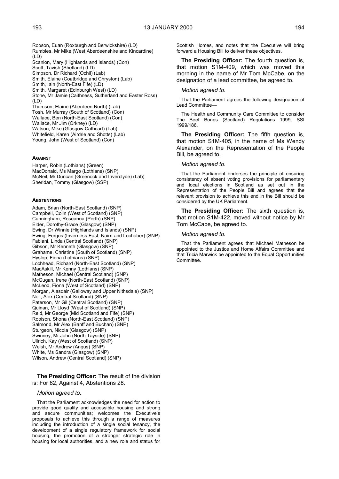Robson, Euan (Roxburgh and Berwickshire) (LD) Rumbles, Mr Mike (West Aberdeenshire and Kincardine) (LD) Scanlon, Mary (Highlands and Islands) (Con) Scott, Tavish (Shetland) (LD) Simpson, Dr Richard (Ochil) (Lab) Smith, Elaine (Coatbridge and Chryston) (Lab) Smith, Iain (North-East Fife) (LD) Smith, Margaret (Edinburgh West) (LD) Stone, Mr Jamie (Caithness, Sutherland and Easter Ross)  $(1, D)$ Thomson, Elaine (Aberdeen North) (Lab) Tosh, Mr Murray (South of Scotland) (Con) Wallace, Ben (North-East Scotland) (Con) Wallace, Mr Jim (Orkney) (LD) Watson, Mike (Glasgow Cathcart) (Lab) Whitefield, Karen (Airdrie and Shotts) (Lab) Young, John (West of Scotland) (Con)

### **AGAINST**

Harper, Robin (Lothians) (Green) MacDonald, Ms Margo (Lothians) (SNP) McNeil, Mr Duncan (Greenock and Inverclyde) (Lab) Sheridan, Tommy (Glasgow) (SSP)

#### **ABSTENTIONS**

Adam, Brian (North-East Scotland) (SNP) Campbell, Colin (West of Scotland) (SNP) Cunningham, Roseanna (Perth) (SNP) Elder, Dorothy-Grace (Glasgow) (SNP) Ewing, Dr Winnie (Highlands and Islands) (SNP) Ewing, Fergus (Inverness East, Nairn and Lochaber) (SNP) Fabiani, Linda (Central Scotland) (SNP) Gibson, Mr Kenneth (Glasgow) (SNP) Grahame, Christine (South of Scotland) (SNP) Hyslop, Fiona (Lothians) (SNP) Lochhead, Richard (North-East Scotland) (SNP) MacAskill, Mr Kenny (Lothians) (SNP) Matheson, Michael (Central Scotland) (SNP) McGugan, Irene (North-East Scotland) (SNP) McLeod, Fiona (West of Scotland) (SNP) Morgan, Alasdair (Galloway and Upper Nithsdale) (SNP) Neil, Alex (Central Scotland) (SNP) Paterson, Mr Gil (Central Scotland) (SNP) Quinan, Mr Lloyd (West of Scotland) (SNP) Reid, Mr George (Mid Scotland and Fife) (SNP) Robison, Shona (North-East Scotland) (SNP) Salmond, Mr Alex (Banff and Buchan) (SNP) Sturgeon, Nicola (Glasgow) (SNP) Swinney, Mr John (North Tayside) (SNP) Ullrich, Kay (West of Scotland) (SNP) Welsh, Mr Andrew (Angus) (SNP) White, Ms Sandra (Glasgow) (SNP) Wilson, Andrew (Central Scotland) (SNP)

### **The Presiding Officer:** The result of the division is: For 82, Against 4, Abstentions 28.

#### *Motion agreed to.*

That the Parliament acknowledges the need for action to provide good quality and accessible housing and strong and secure communities; welcomes the Executive's proposals to achieve this through a range of measures including the introduction of a single social tenancy, the development of a single regulatory framework for social housing, the promotion of a stronger strategic role in housing for local authorities, and a new role and status for

Scottish Homes, and notes that the Executive will bring forward a Housing Bill to deliver these objectives.

**The Presiding Officer:** The fourth question is, that motion S1M-409, which was moved this morning in the name of Mr Tom McCabe, on the designation of a lead committee, be agreed to.

#### *Motion agreed to.*

That the Parliament agrees the following designation of Lead Committee—

The Health and Community Care Committee to consider The Beef Bones (Scotland) Regulations 1999, SSI 1999/186.

**The Presiding Officer:** The fifth question is, that motion S1M-405, in the name of Ms Wendy Alexander, on the Representation of the People Bill, be agreed to.

#### *Motion agreed to.*

That the Parliament endorses the principle of ensuring consistency of absent voting provisions for parliamentary and local elections in Scotland as set out in the Representation of the People Bill and agrees that the relevant provision to achieve this end in the Bill should be considered by the UK Parliament.

**The Presiding Officer:** The sixth question is, that motion S1M-422, moved without notice by Mr Tom McCabe, be agreed to.

#### *Motion agreed to.*

That the Parliament agrees that Michael Matheson be appointed to the Justice and Home Affairs Committee and that Tricia Marwick be appointed to the Equal Opportunities Committee.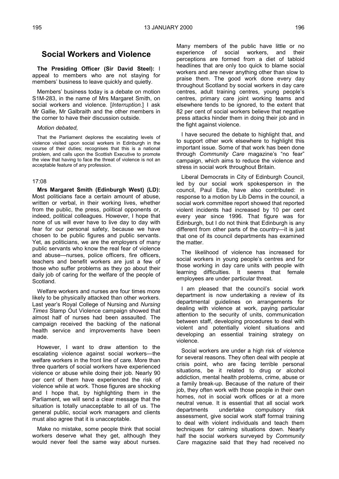# **Social Workers and Violence**

**The Presiding Officer (Sir David Steel):** I appeal to members who are not staying for members' business to leave quickly and quietly.

Members' business today is a debate on motion S1M-283, in the name of Mrs Margaret Smith, on social workers and violence. [*Interruption.*] I ask Mr Gallie, Mr Galbraith and the other members in the corner to have their discussion outside.

## *Motion debated,*

That the Parliament deplores the escalating levels of violence visited upon social workers in Edinburgh in the course of their duties; recognises that this is a national problem, and calls upon the Scottish Executive to promote the view that having to face the threat of violence is not an acceptable feature of any profession.

## 17:08

**Mrs Margaret Smith (Edinburgh West) (LD):** Most politicians face a certain amount of abuse, written or verbal, in their working lives, whether from the public, the press, political opponents or, indeed, political colleagues. However, I hope that none of us will ever have to live day to day with fear for our personal safety, because we have chosen to be public figures and public servants. Yet, as politicians, we are the employers of many public servants who know the real fear of violence and abuse—nurses, police officers, fire officers, teachers and benefit workers are just a few of those who suffer problems as they go about their daily job of caring for the welfare of the people of Scotland.

Welfare workers and nurses are four times more likely to be physically attacked than other workers. Last year's Royal College of Nursing and *Nursing Times* Stamp Out Violence campaign showed that almost half of nurses had been assaulted. The campaign received the backing of the national health service and improvements have been made.

However, I want to draw attention to the escalating violence against social workers—the welfare workers in the front line of care. More than three quarters of social workers have experienced violence or abuse while doing their job. Nearly 90 per cent of them have experienced the risk of violence while at work. Those figures are shocking and I hope that, by highlighting them in the Parliament, we will send a clear message that the situation is totally unacceptable to all of us. The general public, social work managers and clients must also agree that it is unacceptable.

Make no mistake, some people think that social workers deserve what they get, although they would never feel the same way about nurses.

Many members of the public have little or no experience of social workers, and their perceptions are formed from a diet of tabloid headlines that are only too quick to blame social workers and are never anything other than slow to praise them. The good work done every day throughout Scotland by social workers in day care centres, adult training centres, young people's centres, primary care joint working teams and elsewhere tends to be ignored, to the extent that 82 per cent of social workers believe that negative press attacks hinder them in doing their job and in the fight against violence.

I have secured the debate to highlight that, and to support other work elsewhere to highlight this important issue. Some of that work has been done through *Community Care* magazine's "no fear" campaign, which aims to reduce the violence and stress in social work throughout Britain.

Liberal Democrats in City of Edinburgh Council, led by our social work spokesperson in the council, Paul Edie, have also contributed: in response to a motion by Lib Dems in the council, a social work committee report showed that reported violent incidents had increased by 10 per cent every year since 1996. That figure was for Edinburgh, but I do not think that Edinburgh is any different from other parts of the country—it is just that one of its council departments has examined the matter.

The likelihood of violence has increased for social workers in young people's centres and for those working in day care units with people with learning difficulties. It seems that female employees are under particular threat.

I am pleased that the council's social work department is now undertaking a review of its departmental guidelines on arrangements for dealing with violence at work, paying particular attention to the security of units, communication between staff, developing procedures to deal with violent and potentially violent situations and developing an essential training strategy on violence.

Social workers are under a high risk of violence for several reasons. They often deal with people at crisis point, who are facing terrible personal situations, be it related to drug or alcohol addiction, mental health problems, crime, abuse or a family break-up. Because of the nature of their job, they often work with those people in their own homes, not in social work offices or at a more neutral venue. It is essential that all social work departments undertake compulsory risk assessment, give social work staff formal training to deal with violent individuals and teach them techniques for calming situations down. Nearly half the social workers surveyed by *Community Care* magazine said that they had received no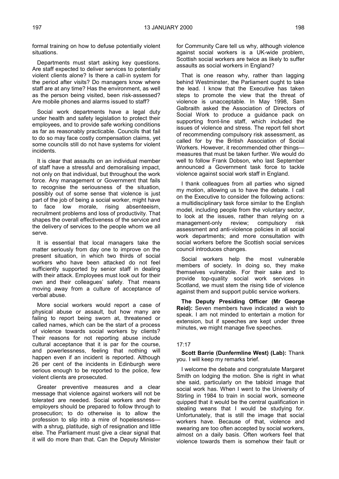formal training on how to defuse potentially violent situations.

Departments must start asking key questions. Are staff expected to deliver services to potentially violent clients alone? Is there a call-in system for the period after visits? Do managers know where staff are at any time? Has the environment, as well as the person being visited, been risk-assessed? Are mobile phones and alarms issued to staff?

Social work departments have a legal duty under health and safety legislation to protect their employees, and to provide safe working conditions as far as reasonably practicable. Councils that fail to do so may face costly compensation claims, yet some councils still do not have systems for violent incidents.

It is clear that assaults on an individual member of staff have a stressful and demoralising impact, not only on that individual, but throughout the work force. Any management or Government that fails to recognise the seriousness of the situation, possibly out of some sense that violence is just part of the job of being a social worker, might have to face low morale, rising absenteeism, recruitment problems and loss of productivity. That shapes the overall effectiveness of the service and the delivery of services to the people whom we all serve.

It is essential that local managers take the matter seriously from day one to improve on the present situation, in which two thirds of social workers who have been attacked do not feel sufficiently supported by senior staff in dealing with their attack. Employees must look out for their own and their colleagues' safety. That means moving away from a culture of acceptance of verbal abuse.

More social workers would report a case of physical abuse or assault, but how many are failing to report being sworn at, threatened or called names, which can be the start of a process of violence towards social workers by clients? Their reasons for not reporting abuse include cultural acceptance that it is par for the course, and powerlessness, feeling that nothing will happen even if an incident is reported. Although 26 per cent of the incidents in Edinburgh were serious enough to be reported to the police, few violent clients are prosecuted.

Greater preventive measures and a clear message that violence against workers will not be tolerated are needed. Social workers and their employers should be prepared to follow through to prosecution; to do otherwise is to allow the profession to slip into a mire of hopelessness with a shrug, platitude, sigh of resignation and little else. The Parliament must give a clear signal that it will do more than that. Can the Deputy Minister

for Community Care tell us why, although violence against social workers is a UK-wide problem, Scottish social workers are twice as likely to suffer assaults as social workers in England?

That is one reason why, rather than lagging behind Westminster, the Parliament ought to take the lead. I know that the Executive has taken steps to promote the view that the threat of violence is unacceptable. In May 1998, Sam Galbraith asked the Association of Directors of Social Work to produce a guidance pack on supporting front-line staff, which included the issues of violence and stress. The report fell short of recommending compulsory risk assessment, as called for by the British Association of Social Workers. However, it recommended other things measures that must be taken further. We would do well to follow Frank Dobson, who last September announced a Government task force to tackle violence against social work staff in England.

I thank colleagues from all parties who signed my motion, allowing us to have the debate. I call on the Executive to consider the following actions: a multidisciplinary task force similar to the English model, including people from the voluntary sector, to look at the issues, rather than relying on a management-only review; compulsory risk assessment and anti-violence policies in all social work departments; and more consultation with social workers before the Scottish social services council introduces changes.

Social workers help the most vulnerable members of society. In doing so, they make themselves vulnerable. For their sake and to provide top-quality social work services in Scotland, we must stem the rising tide of violence against them and support public service workers.

**The Deputy Presiding Officer (Mr George Reid):** Seven members have indicated a wish to speak. I am not minded to entertain a motion for extension, but if speeches are kept under three minutes, we might manage five speeches.

## 17:17

**Scott Barrie (Dunfermline West) (Lab):** Thank you. I will keep my remarks brief.

I welcome the debate and congratulate Margaret Smith on lodging the motion. She is right in what she said, particularly on the tabloid image that social work has. When I went to the University of Stirling in 1984 to train in social work, someone quipped that it would be the central qualification in stealing weans that I would be studying for. Unfortunately, that is still the image that social workers have. Because of that, violence and swearing are too often accepted by social workers, almost on a daily basis. Often workers feel that violence towards them is somehow their fault or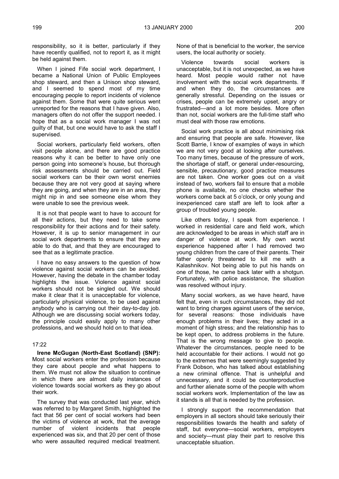responsibility, so it is better, particularly if they have recently qualified, not to report it, as it might be held against them.

When I joined Fife social work department, I became a National Union of Public Employees shop steward, and then a Unison shop steward, and I seemed to spend most of my time encouraging people to report incidents of violence against them. Some that were quite serious went unreported for the reasons that I have given. Also, managers often do not offer the support needed. I hope that as a social work manager I was not guilty of that, but one would have to ask the staff I supervised.

Social workers, particularly field workers, often visit people alone, and there are good practice reasons why it can be better to have only one person going into someone's house, but thorough risk assessments should be carried out. Field social workers can be their own worst enemies because they are not very good at saying where they are going, and when they are in an area, they might nip in and see someone else whom they were unable to see the previous week.

It is not that people want to have to account for all their actions, but they need to take some responsibility for their actions and for their safety. However, it is up to senior management in our social work departments to ensure that they are able to do that, and that they are encouraged to see that as a legitimate practice.

I have no easy answers to the question of how violence against social workers can be avoided. However, having the debate in the chamber today highlights the issue. Violence against social workers should not be singled out. We should make it clear that it is unacceptable for violence, particularly physical violence, to be used against anybody who is carrying out their day-to-day job. Although we are discussing social workers today, the principle could easily apply to many other professions, and we should hold on to that idea.

### 17:22

**Irene McGugan (North-East Scotland) (SNP):** Most social workers enter the profession because they care about people and what happens to them. We must not allow the situation to continue in which there are almost daily instances of violence towards social workers as they go about their work.

The survey that was conducted last year, which was referred to by Margaret Smith, highlighted the fact that 56 per cent of social workers had been the victims of violence at work, that the average number of violent incidents that people experienced was six, and that 20 per cent of those who were assaulted required medical treatment.

None of that is beneficial to the worker, the service users, the local authority or society.

Violence towards social workers is unacceptable, but it is not unexpected, as we have heard. Most people would rather not have involvement with the social work departments. If and when they do, the circumstances are generally stressful. Depending on the issues or crises, people can be extremely upset, angry or frustrated—and a lot more besides. More often than not, social workers are the full-time staff who must deal with those raw emotions.

Social work practice is all about minimising risk and ensuring that people are safe. However, like Scott Barrie, I know of examples of ways in which we are not very good at looking after ourselves. Too many times, because of the pressure of work, the shortage of staff, or general under-resourcing, sensible, precautionary, good practice measures are not taken. One worker goes out on a visit instead of two, workers fail to ensure that a mobile phone is available, no one checks whether the workers come back at 5 o'clock, or only young and inexperienced care staff are left to look after a group of troubled young people.

Like others today, I speak from experience. I worked in residential care and field work, which are acknowledged to be areas in which staff are in danger of violence at work. My own worst experience happened after I had removed two young children from the care of their parents. Their father openly threatened to kill me with a Kalashnikov. Not being able to put his hands on one of those, he came back later with a shotgun. Fortunately, with police assistance, the situation was resolved without injury.

Many social workers, as we have heard, have felt that, even in such circumstances, they did not want to bring charges against users of the service, for several reasons: those individuals have enough problems in their lives; they acted in a moment of high stress; and the relationship has to be kept open, to address problems in the future. That is the wrong message to give to people. Whatever the circumstances, people need to be held accountable for their actions. I would not go to the extremes that were seemingly suggested by Frank Dobson, who has talked about establishing a new criminal offence. That is unhelpful and unnecessary, and it could be counterproductive and further alienate some of the people with whom social workers work. Implementation of the law as it stands is all that is needed by the profession.

I strongly support the recommendation that employers in all sectors should take seriously their responsibilities towards the health and safety of staff, but everyone—social workers, employers and society—must play their part to resolve this unacceptable situation.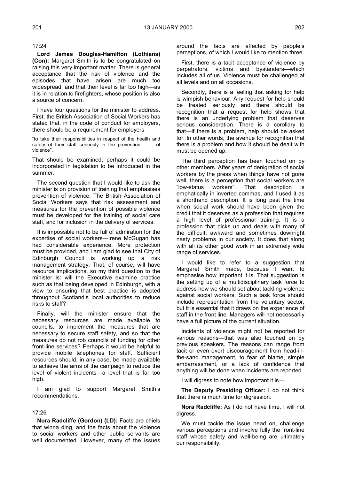17:24

**Lord James Douglas-Hamilton (Lothians) (Con):** Margaret Smith is to be congratulated on raising this very important matter. There is general acceptance that the risk of violence and the episodes that have arisen are much too widespread, and that their level is far too high—as it is in relation to firefighters, whose position is also a source of concern.

I have four questions for the minister to address. First, the British Association of Social Workers has stated that, in the code of conduct for employers, there should be a requirement for employers

"to take their responsibilities in respect of the health and safety of their staff seriously in the prevention . . . of violence".

That should be examined; perhaps it could be incorporated in legislation to be introduced in the summer.

The second question that I would like to ask the minister is on provision of training that emphasises prevention of violence. The British Association of Social Workers says that risk assessment and measures for the prevention of possible violence must be developed for the training of social care staff, and for inclusion in the delivery of services.

It is impossible not to be full of admiration for the expertise of social workers—Irene McGugan has had considerable experience. More protection must be provided, and I am glad to see that City of Edinburgh Council is working up a risk management strategy. That, of course, will have resource implications, so my third question to the minister is: will the Executive examine practice such as that being developed in Edinburgh, with a view to ensuring that best practice is adopted throughout Scotland's local authorities to reduce risks to staff?

Finally, will the minister ensure that the necessary resources are made available to councils, to implement the measures that are necessary to secure staff safety, and so that the measures do not rob councils of funding for other front-line services? Perhaps it would be helpful to provide mobile telephones for staff. Sufficient resources should, in any case, be made available to achieve the aims of the campaign to reduce the level of violent incidents—a level that is far too high.

I am glad to support Margaret Smith's recommendations.

## 17:26

**Nora Radcliffe (Gordon) (LD):** Facts are chiels that winna ding, and the facts about the violence to social workers and other public servants are well documented. However, many of the issues

around the facts are affected by people's perceptions, of which I would like to mention three.

First, there is a tacit acceptance of violence by perpetrators, victims and bystanders—which includes all of us. Violence must be challenged at all levels and on all occasions.

Secondly, there is a feeling that asking for help is wimpish behaviour. Any request for help should be treated seriously and there should be recognition that a request for help shows that there is an underlying problem that deserves serious consideration. There is a corollary to that—if there is a problem, help should be asked for. In other words, the avenue for recognition that there is a problem and how it should be dealt with must be opened up.

The third perception has been touched on by other members. After years of denigration of social workers by the press when things have not gone well, there is a perception that social workers are "low-status workers". That description is emphatically in inverted commas, and I used it as a shorthand description. It is long past the time when social work should have been given the credit that it deserves as a profession that requires a high level of professional training. It is a profession that picks up and deals with many of the difficult, awkward and sometimes downright nasty problems in our society. It does that along with all its other good work in an extremely wide range of services.

I would like to refer to a suggestion that Margaret Smith made, because I want to emphasise how important it is. That suggestion is the setting up of a multidisciplinary task force to address how we should set about tackling violence against social workers. Such a task force should include representation from the voluntary sector, but it is essential that it draws on the experience of staff in the front line. Managers will not necessarily have a full picture of the current situation.

Incidents of violence might not be reported for various reasons—that was also touched on by previous speakers. The reasons can range from tacit or even overt discouragement from head-inthe-sand management, to fear of blame, simple embarrassment, or a lack of confidence that anything will be done when incidents are reported.

I will digress to note how important it is—

**The Deputy Presiding Officer:** I do not think that there is much time for digression.

**Nora Radcliffe:** As I do not have time, I will not digress.

We must tackle the issue head on, challenge various perceptions and involve fully the front-line staff whose safety and well-being are ultimately our responsibility.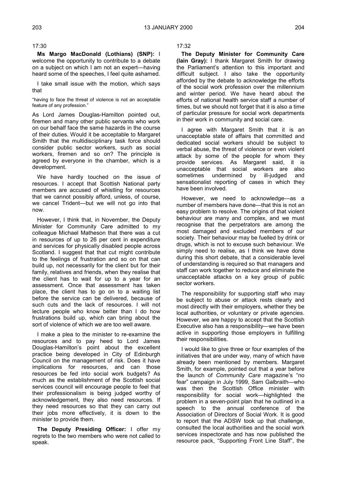17:30

**Ms Margo MacDonald (Lothians) (SNP):** I welcome the opportunity to contribute to a debate on a subject on which I am not an expert—having heard some of the speeches, I feel quite ashamed.

I take small issue with the motion, which says that

"having to face the threat of violence is not an acceptable feature of any profession."

As Lord James Douglas-Hamilton pointed out, firemen and many other public servants who work on our behalf face the same hazards in the course of their duties. Would it be acceptable to Margaret Smith that the multidisciplinary task force should consider public sector workers, such as social workers, firemen and so on? The principle is agreed by everyone in the chamber, which is a development.

We have hardly touched on the issue of resources. I accept that Scottish National party members are accused of whistling for resources that we cannot possibly afford, unless, of course, we cancel Trident—but we will not go into that now.

However, I think that, in November, the Deputy Minister for Community Care admitted to my colleague Michael Matheson that there was a cut in resources of up to 26 per cent in expenditure and services for physically disabled people across Scotland. I suggest that that cut might contribute to the feelings of frustration and so on that can build up, not necessarily for the client but for their family, relatives and friends, when they realise that the client has to wait for up to a year for an assessment. Once that assessment has taken place, the client has to go on to a waiting list before the service can be delivered, because of such cuts and the lack of resources. I will not lecture people who know better than I do how frustrations build up, which can bring about the sort of violence of which we are too well aware.

I make a plea to the minister to re-examine the resources and to pay heed to Lord James Douglas-Hamilton's point about the excellent practice being developed in City of Edinburgh Council on the management of risk. Does it have implications for resources, and can those resources be fed into social work budgets? As much as the establishment of the Scottish social services council will encourage people to feel that their professionalism is being judged worthy of acknowledgement, they also need resources. If they need resources so that they can carry out their jobs more effectively, it is down to the minister to provide them.

**The Deputy Presiding Officer:** I offer my regrets to the two members who were not called to speak.

17:32

**The Deputy Minister for Community Care (Iain Gray):** I thank Margaret Smith for drawing the Parliament's attention to this important and difficult subject. I also take the opportunity afforded by the debate to acknowledge the efforts of the social work profession over the millennium and winter period. We have heard about the efforts of national health service staff a number of times, but we should not forget that it is also a time of particular pressure for social work departments in their work in community and social care.

I agree with Margaret Smith that it is an unacceptable state of affairs that committed and dedicated social workers should be subject to verbal abuse, the threat of violence or even violent attack by some of the people for whom they provide services. As Margaret said, it is unacceptable that social workers are also sometimes undermined by ill-judged and sensationalist reporting of cases in which they have been involved.

However, we need to acknowledge—as a number of members have done—that this is not an easy problem to resolve. The origins of that violent behaviour are many and complex, and we must recognise that the perpetrators are among the most damaged and excluded members of our society. Their behaviour may be fuelled by drink or drugs, which is not to excuse such behaviour. We simply need to realise, as I think we have done during this short debate, that a considerable level of understanding is required so that managers and staff can work together to reduce and eliminate the unacceptable attacks on a key group of public sector workers.

The responsibility for supporting staff who may be subject to abuse or attack rests clearly and most directly with their employers, whether they be local authorities, or voluntary or private agencies. However, we are happy to accept that the Scottish Executive also has a responsibility—we have been active in supporting those employers in fulfilling their responsibilities.

I would like to give three or four examples of the initiatives that are under way, many of which have already been mentioned by members. Margaret Smith, for example, pointed out that a year before the launch of *Community Care* magazine's "no fear" campaign in July 1999, Sam Galbraith—who was then the Scottish Office minister with responsibility for social work—highlighted the problem in a seven-point plan that he outlined in a speech to the annual conference of the Association of Directors of Social Work. It is good to report that the ADSW took up that challenge, consulted the local authorities and the social work services inspectorate and has now published the resource pack, "Supporting Front Line Staff", the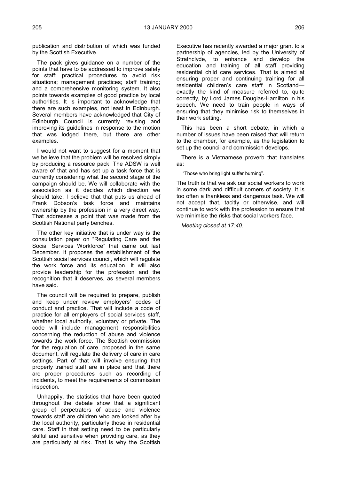publication and distribution of which was funded by the Scottish Executive.

The pack gives guidance on a number of the points that have to be addressed to improve safety for staff: practical procedures to avoid risk situations; management practices; staff training; and a comprehensive monitoring system. It also points towards examples of good practice by local authorities. It is important to acknowledge that there are such examples, not least in Edinburgh. Several members have acknowledged that City of Edinburgh Council is currently revising and improving its guidelines in response to the motion that was lodged there, but there are other examples.

I would not want to suggest for a moment that we believe that the problem will be resolved simply by producing a resource pack. The ADSW is well aware of that and has set up a task force that is currently considering what the second stage of the campaign should be. We will collaborate with the association as it decides which direction we should take. I believe that that puts us ahead of Frank Dobson's task force and maintains ownership by the profession in a very direct way. That addresses a point that was made from the Scottish National party benches.

The other key initiative that is under way is the consultation paper on "Regulating Care and the Social Services Workforce" that came out last December. It proposes the establishment of the Scottish social services council, which will regulate the work force and its education. It will also provide leadership for the profession and the recognition that it deserves, as several members have said.

The council will be required to prepare, publish and keep under review employers' codes of conduct and practice. That will include a code of practice for all employers of social services staff, whether local authority, voluntary or private. The code will include management responsibilities concerning the reduction of abuse and violence towards the work force. The Scottish commission for the regulation of care, proposed in the same document, will regulate the delivery of care in care settings. Part of that will involve ensuring that properly trained staff are in place and that there are proper procedures such as recording of incidents, to meet the requirements of commission inspection.

Unhappily, the statistics that have been quoted throughout the debate show that a significant group of perpetrators of abuse and violence towards staff are children who are looked after by the local authority, particularly those in residential care. Staff in that setting need to be particularly skilful and sensitive when providing care, as they are particularly at risk. That is why the Scottish

Executive has recently awarded a major grant to a partnership of agencies, led by the University of Strathclyde, to enhance and develop the education and training of all staff providing residential child care services. That is aimed at ensuring proper and continuing training for all residential children's care staff in Scotland exactly the kind of measure referred to, quite correctly, by Lord James Douglas-Hamilton in his speech. We need to train people in ways of ensuring that they minimise risk to themselves in their work setting.

This has been a short debate, in which a number of issues have been raised that will return to the chamber, for example, as the legislation to set up the council and commission develops.

There is a Vietnamese proverb that translates as:

"Those who bring light suffer burning".

The truth is that we ask our social workers to work in some dark and difficult corners of society. It is too often a thankless and dangerous task. We will not accept that, tacitly or otherwise, and will continue to work with the profession to ensure that we minimise the risks that social workers face.

*Meeting closed at 17:40.*